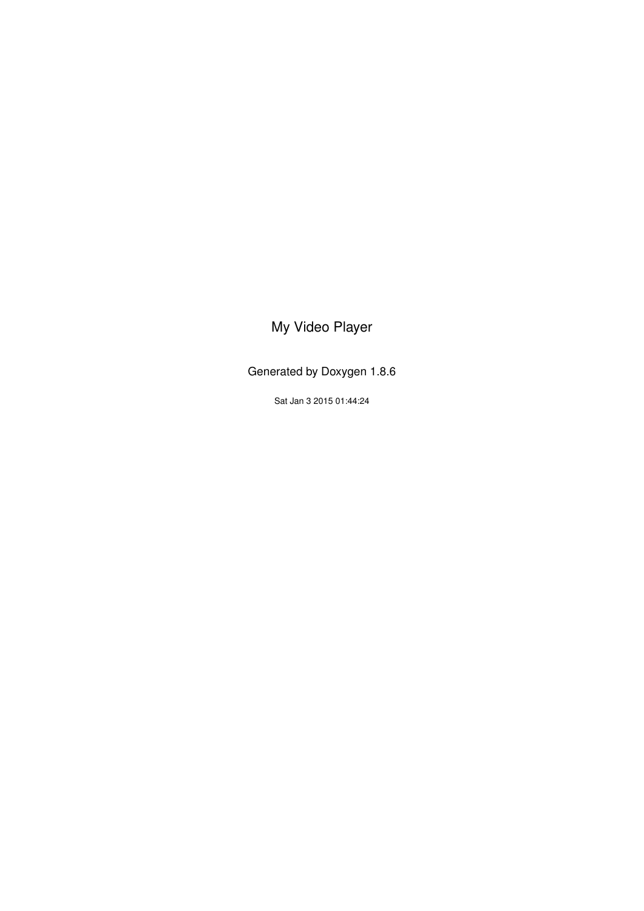### <span id="page-0-0"></span>My Video Player

Generated by Doxygen 1.8.6

Sat Jan 3 2015 01:44:24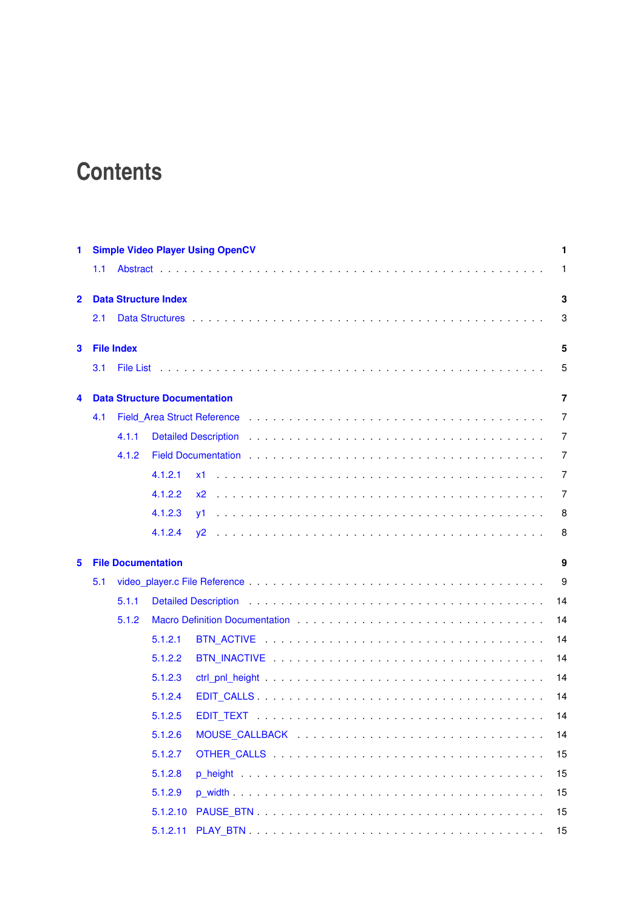# **Contents**

| 1              |     |                   |                                     | <b>Simple Video Player Using OpenCV</b>                                                                                                                                                                                              | 1              |
|----------------|-----|-------------------|-------------------------------------|--------------------------------------------------------------------------------------------------------------------------------------------------------------------------------------------------------------------------------------|----------------|
|                | 1.1 |                   |                                     |                                                                                                                                                                                                                                      | 1              |
| $\overline{2}$ |     |                   | <b>Data Structure Index</b>         |                                                                                                                                                                                                                                      | 3              |
|                | 2.1 |                   |                                     |                                                                                                                                                                                                                                      | 3              |
| 3              |     | <b>File Index</b> |                                     |                                                                                                                                                                                                                                      | 5              |
|                | 3.1 |                   |                                     |                                                                                                                                                                                                                                      | 5              |
| 4              |     |                   | <b>Data Structure Documentation</b> |                                                                                                                                                                                                                                      | $\overline{7}$ |
|                | 4.1 |                   |                                     |                                                                                                                                                                                                                                      | 7              |
|                |     | 4.1.1             |                                     | Detailed Description <i>witch the content of the content of the content of the content of the content of the content of the content of the content of the content of the content of the content of the content of the content of</i> | 7              |
|                |     | 4.1.2             |                                     | Field Documentation <i>and a series of the contract of the contract of the contract of the contract of the contract</i>                                                                                                              | 7              |
|                |     |                   | 4.1.2.1                             |                                                                                                                                                                                                                                      | 7              |
|                |     |                   | 4.1.2.2                             | $x^2$                                                                                                                                                                                                                                | 7              |
|                |     |                   | 4.1.2.3                             |                                                                                                                                                                                                                                      | 8              |
|                |     |                   | 4.1.2.4                             |                                                                                                                                                                                                                                      | 8              |
| 5              |     |                   | <b>File Documentation</b>           |                                                                                                                                                                                                                                      | 9              |
|                | 5.1 |                   |                                     |                                                                                                                                                                                                                                      | 9              |
|                |     | 5.1.1             |                                     |                                                                                                                                                                                                                                      | 14             |
|                |     | 5.1.2             |                                     | Macro Definition Documentation entries and the state of the state of the state of the state of the state of the Macro Definition of the state of the state of the state of the state of the state of the state of the state of       | 14             |
|                |     |                   | 5.1.2.1                             |                                                                                                                                                                                                                                      | 14             |
|                |     |                   | 5.1.2.2                             |                                                                                                                                                                                                                                      | 14             |
|                |     |                   | 5.1.2.3                             |                                                                                                                                                                                                                                      | 14             |
|                |     |                   | 5.1.2.4                             |                                                                                                                                                                                                                                      | 14             |
|                |     |                   | 5.1.2.5                             |                                                                                                                                                                                                                                      | 14             |
|                |     |                   | 5.1.2.6                             |                                                                                                                                                                                                                                      | 14             |
|                |     |                   | 5.1.2.7                             |                                                                                                                                                                                                                                      | 15             |
|                |     |                   | 5.1.2.8                             |                                                                                                                                                                                                                                      | 15             |
|                |     |                   | 5.1.2.9                             |                                                                                                                                                                                                                                      | 15             |
|                |     |                   | 5.1.2.10                            |                                                                                                                                                                                                                                      | 15             |
|                |     |                   | 5.1.2.11                            |                                                                                                                                                                                                                                      | 15             |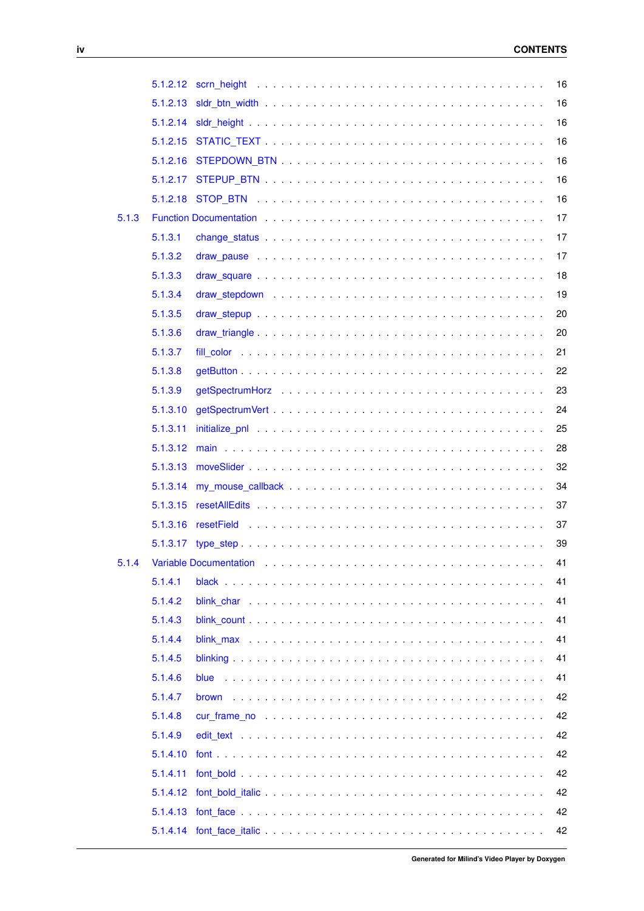|       |          |                                                                                                                                                                                                                                | 16 |
|-------|----------|--------------------------------------------------------------------------------------------------------------------------------------------------------------------------------------------------------------------------------|----|
|       | 5.1.2.13 |                                                                                                                                                                                                                                | 16 |
|       | 5.1.2.14 |                                                                                                                                                                                                                                | 16 |
|       | 5.1.2.15 |                                                                                                                                                                                                                                | 16 |
|       | 5.1.2.16 |                                                                                                                                                                                                                                | 16 |
|       | 5.1.2.17 |                                                                                                                                                                                                                                | 16 |
|       |          |                                                                                                                                                                                                                                | 16 |
| 5.1.3 |          | Function Documentation enterprise and and an article of the series and article of the series of the series of the series of the series of the series of the series of the series of the series of the series of the series of  | 17 |
|       | 5.1.3.1  |                                                                                                                                                                                                                                | 17 |
|       | 5.1.3.2  |                                                                                                                                                                                                                                | 17 |
|       | 5.1.3.3  |                                                                                                                                                                                                                                | 18 |
|       | 5.1.3.4  |                                                                                                                                                                                                                                | 19 |
|       | 5.1.3.5  |                                                                                                                                                                                                                                | 20 |
|       | 5.1.3.6  |                                                                                                                                                                                                                                | 20 |
|       | 5.1.3.7  |                                                                                                                                                                                                                                | 21 |
|       | 5.1.3.8  |                                                                                                                                                                                                                                | 22 |
|       | 5.1.3.9  |                                                                                                                                                                                                                                | 23 |
|       | 5.1.3.10 |                                                                                                                                                                                                                                | 24 |
|       | 5.1.3.11 | initialize_pnl with a state of the state of the state of the state of the state of the state of the state of the state of the state of the state of the state of the state of the state of the state of the state of the state | 25 |
|       | 5.1.3.12 |                                                                                                                                                                                                                                | 28 |
|       | 5.1.3.13 |                                                                                                                                                                                                                                | 32 |
|       | 5.1.3.14 |                                                                                                                                                                                                                                | 34 |
|       | 5.1.3.15 |                                                                                                                                                                                                                                | 37 |
|       | 5.1.3.16 |                                                                                                                                                                                                                                | 37 |
|       |          |                                                                                                                                                                                                                                | 39 |
| 5.1.4 |          | Variable Documentation enterpreteration of the contract of the contract of the contract of the contract of the contract of the contract of the contract of the contract of the contract of the contract of the contract of the | 41 |
|       | 5.1.4.1  |                                                                                                                                                                                                                                | 41 |
|       | 5.1.4.2  |                                                                                                                                                                                                                                | 41 |
|       | 5.1.4.3  |                                                                                                                                                                                                                                | 41 |
|       | 5.1.4.4  |                                                                                                                                                                                                                                | 41 |
|       | 5.1.4.5  |                                                                                                                                                                                                                                | 41 |
|       | 5.1.4.6  |                                                                                                                                                                                                                                | 41 |
|       | 5.1.4.7  |                                                                                                                                                                                                                                | 42 |
|       | 5.1.4.8  |                                                                                                                                                                                                                                | 42 |
|       | 5.1.4.9  |                                                                                                                                                                                                                                | 42 |
|       | 5.1.4.10 |                                                                                                                                                                                                                                | 42 |
|       | 5.1.4.11 |                                                                                                                                                                                                                                | 42 |
|       | 5.1.4.12 |                                                                                                                                                                                                                                | 42 |
|       | 5.1.4.13 |                                                                                                                                                                                                                                | 42 |
|       |          |                                                                                                                                                                                                                                | 42 |
|       |          |                                                                                                                                                                                                                                |    |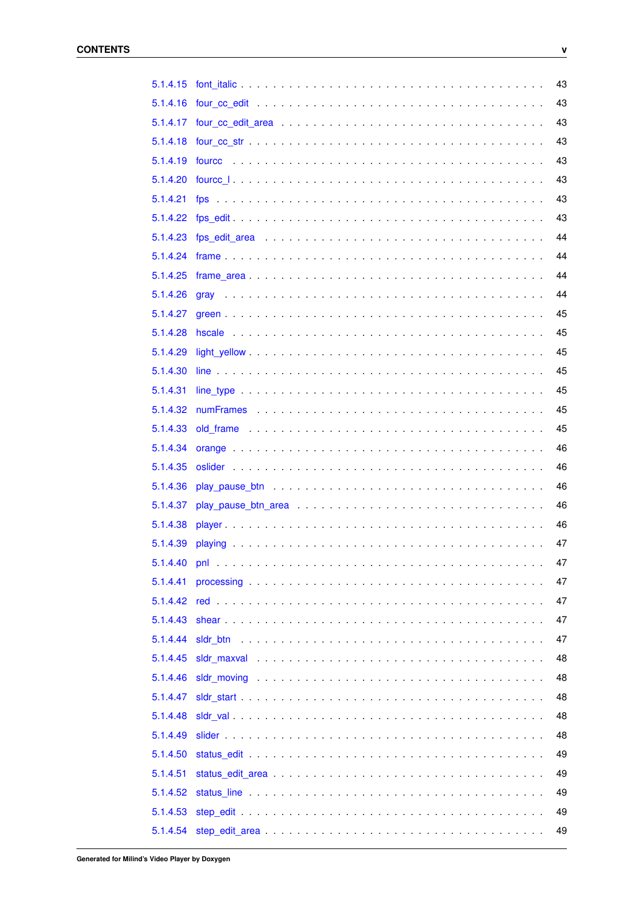| 5.1.4.15 | 43 |
|----------|----|
| 5.1.4.16 | 43 |
| 5.1.4.17 | 43 |
| 5.1.4.18 | 43 |
| 5.1.4.19 | 43 |
| 5.1.4.20 | 43 |
| 5.1.4.21 | 43 |
| 5.1.4.22 | 43 |
| 5.1.4.23 | 44 |
| 5.1.4.24 | 44 |
| 5.1.4.25 | 44 |
| 5.1.4.26 | 44 |
| 5.1.4.27 | 45 |
| 5.1.4.28 | 45 |
| 5.1.4.29 | 45 |
| 5.1.4.30 | 45 |
| 5.1.4.31 | 45 |
| 5.1.4.32 | 45 |
| 5.1.4.33 | 45 |
| 5.1.4.34 | 46 |
| 5.1.4.35 | 46 |
| 5.1.4.36 | 46 |
| 5.1.4.37 | 46 |
| 5.1.4.38 | 46 |
| 5.1.4.39 | 47 |
|          | 47 |
| 5.1.4.41 | 47 |
| 5.1.4.42 | 47 |
| 5.1.4.43 | 47 |
| 5.1.4.44 | 47 |
| 5.1.4.45 | 48 |
| 5.1.4.46 | 48 |
| 5.1.4.47 | 48 |
|          | 48 |
| 5.1.4.48 |    |
| 5.1.4.49 | 48 |
| 5.1.4.50 | 49 |
| 5.1.4.51 | 49 |
| 5.1.4.52 | 49 |
| 5.1.4.53 | 49 |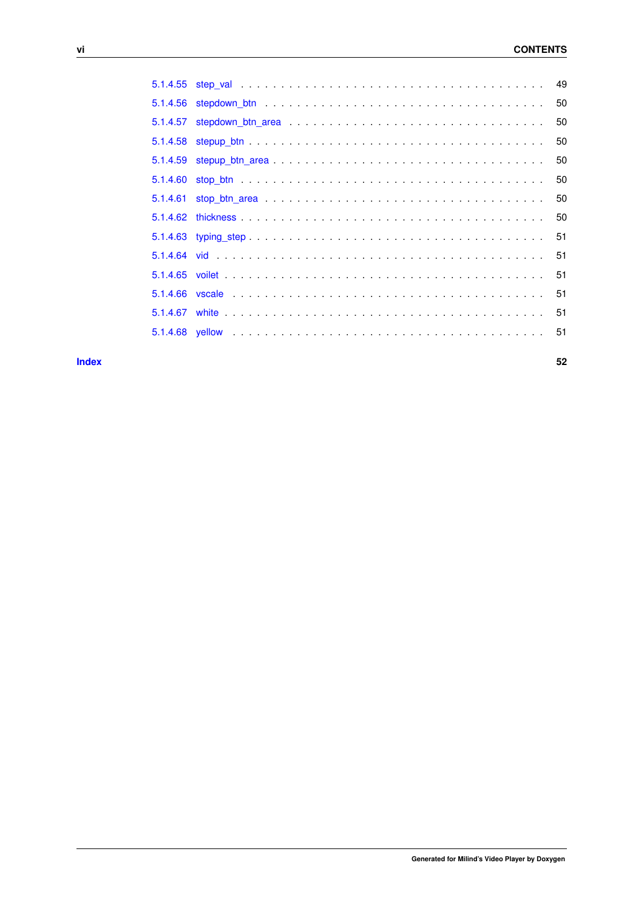**[Index](#page-57-0) 52**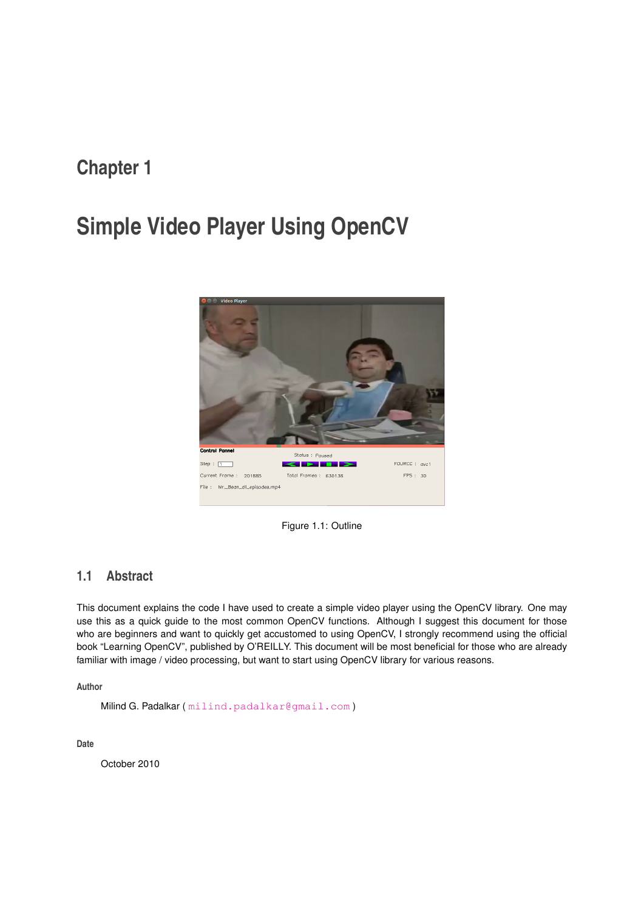## <span id="page-6-0"></span>**Simple Video Player Using OpenCV**



Figure 1.1: Outline

### <span id="page-6-1"></span>**1.1 Abstract**

This document explains the code I have used to create a simple video player using the OpenCV library. One may use this as a quick guide to the most common OpenCV functions. Although I suggest this document for those who are beginners and want to quickly get accustomed to using OpenCV, I strongly recommend using the official book "Learning OpenCV", published by O'REILLY. This document will be most beneficial for those who are already familiar with image / video processing, but want to start using OpenCV library for various reasons.

**Author**

Milind G. Padalkar ([milind.padalkar@gmail.com](mailto:milind.padalkar@gmail.com))

**Date**

October 2010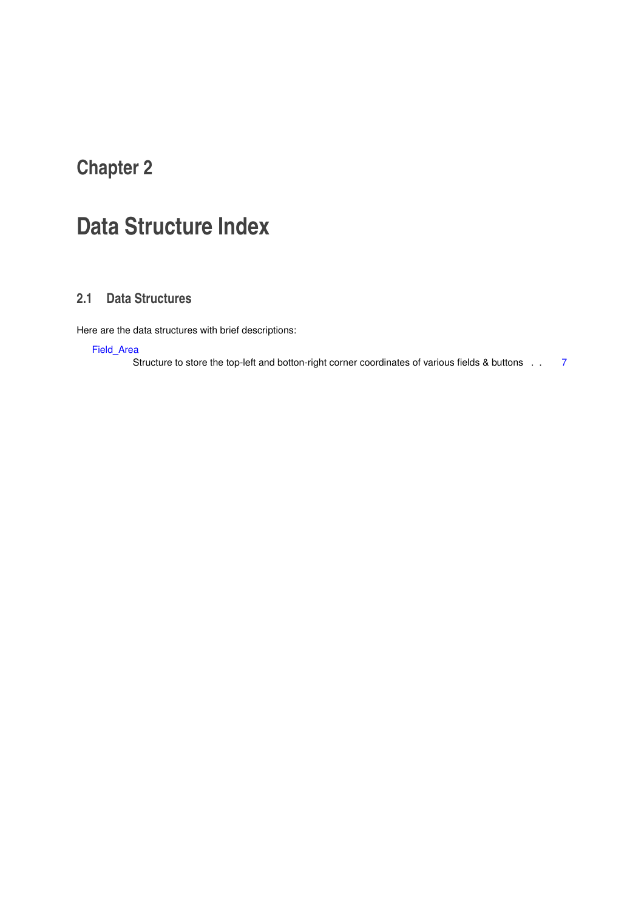# <span id="page-8-0"></span>**Data Structure Index**

### <span id="page-8-1"></span>**2.1 Data Structures**

Here are the data structures with brief descriptions:

[Field\\_Area](#page-12-1)

Structure to store the top-left and botton-right corner coordinates of various fields & buttons . . [7](#page-12-1)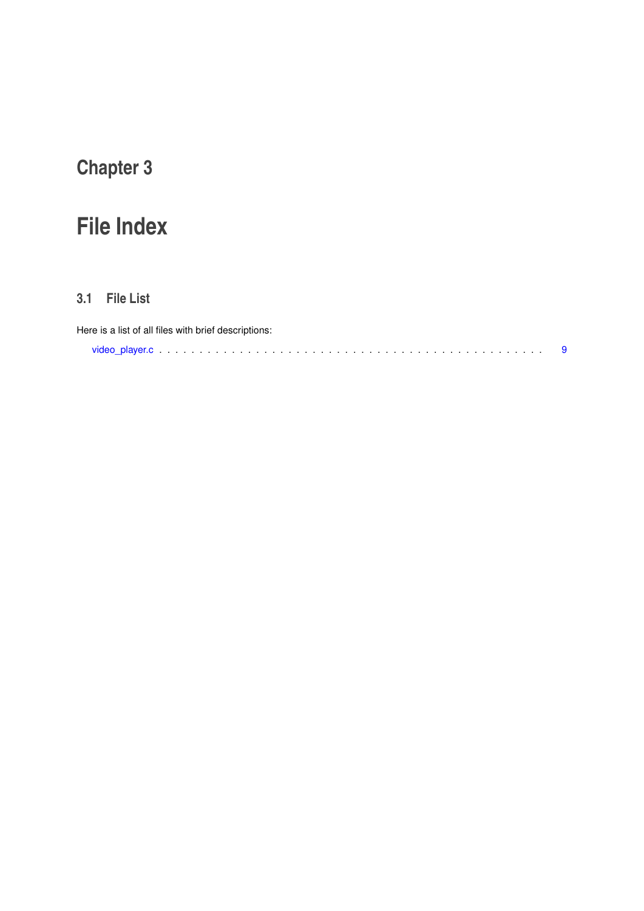# <span id="page-10-0"></span>**File Index**

### <span id="page-10-1"></span>**3.1 File List**

| Here is a list of all files with brief descriptions: |  |
|------------------------------------------------------|--|
|                                                      |  |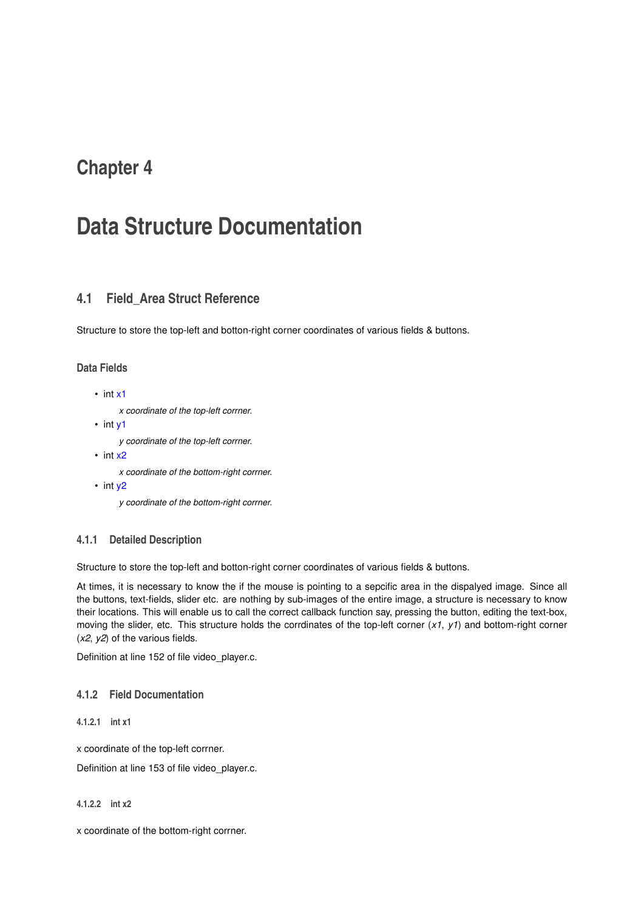## <span id="page-12-7"></span><span id="page-12-0"></span>**Data Structure Documentation**

### <span id="page-12-1"></span>**4.1 Field\_Area Struct Reference**

Structure to store the top-left and botton-right corner coordinates of various fields & buttons.

#### **Data Fields**

```
• int x1
```
*x coordinate of the top-left corrner.*

• int [y1](#page-13-2)

*y coordinate of the top-left corrner.*

- int [x2](#page-12-6)
	- *x coordinate of the bottom-right corrner.*
- int [y2](#page-13-3)

*y coordinate of the bottom-right corrner.*

#### <span id="page-12-2"></span>**4.1.1 Detailed Description**

Structure to store the top-left and botton-right corner coordinates of various fields & buttons.

At times, it is necessary to know the if the mouse is pointing to a sepcific area in the dispalyed image. Since all the buttons, text-fields, slider etc. are nothing by sub-images of the entire image, a structure is necessary to know their locations. This will enable us to call the correct callback function say, pressing the button, editing the text-box, moving the slider, etc. This structure holds the corrdinates of the top-left corner (*x1*, *y1*) and bottom-right corner (*x2*, *y2*) of the various fields.

Definition at line 152 of file video\_player.c.

#### <span id="page-12-3"></span>**4.1.2 Field Documentation**

<span id="page-12-4"></span>**4.1.2.1 int x1**

x coordinate of the top-left corrner.

<span id="page-12-6"></span>Definition at line 153 of file video\_player.c.

<span id="page-12-5"></span>**4.1.2.2 int x2**

x coordinate of the bottom-right corrner.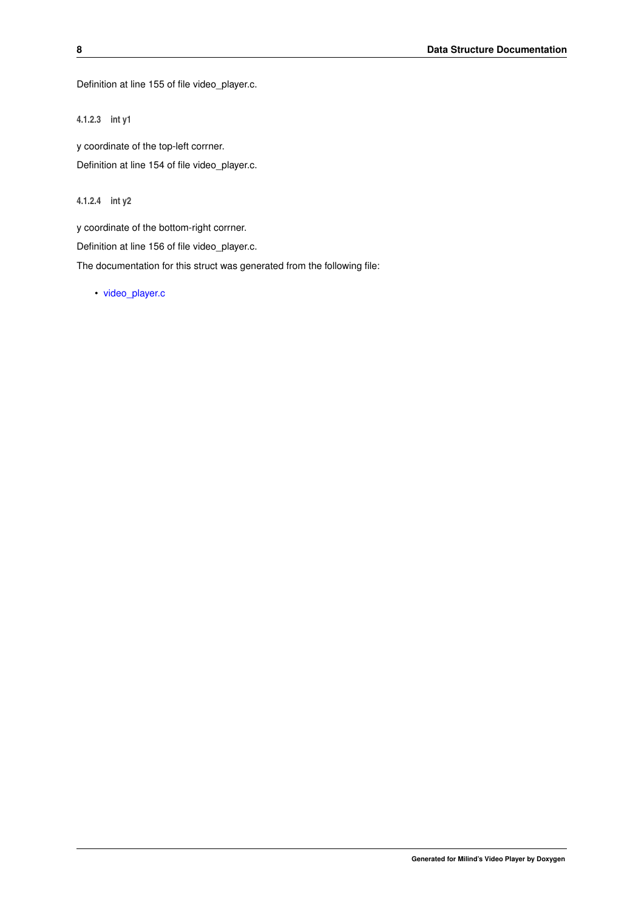<span id="page-13-4"></span><span id="page-13-2"></span>Definition at line 155 of file video\_player.c.

<span id="page-13-0"></span>**4.1.2.3 int y1**

y coordinate of the top-left corrner. Definition at line 154 of file video\_player.c.

<span id="page-13-3"></span><span id="page-13-1"></span>**4.1.2.4 int y2**

y coordinate of the bottom-right corrner.

Definition at line 156 of file video\_player.c.

The documentation for this struct was generated from the following file:

• [video\\_player.c](#page-14-1)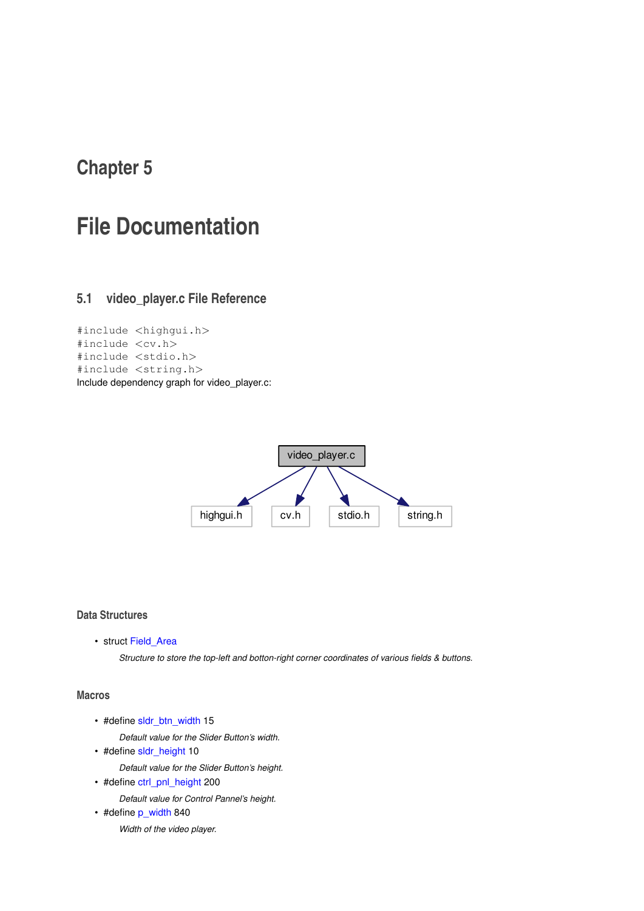## <span id="page-14-2"></span><span id="page-14-0"></span>**File Documentation**

### <span id="page-14-1"></span>**5.1 video\_player.c File Reference**

```
#include <highgui.h>
#include <cv.h>
#include <stdio.h>
#include <string.h>
Include dependency graph for video_player.c:
```


#### **Data Structures**

• struct Field Area

*Structure to store the top-left and botton-right corner coordinates of various fields & buttons.*

#### **Macros**

- #define [sldr\\_btn\\_width](#page-21-7) 15
	- *Default value for the Slider Button's width.*
- #define [sldr\\_height](#page-21-8) 10
	- *Default value for the Slider Button's height.*
- #define [ctrl\\_pnl\\_height](#page-19-8) 200 *Default value for Control Pannel's height.*
- #define [p\\_width](#page-20-5) 840

*Width of the video player.*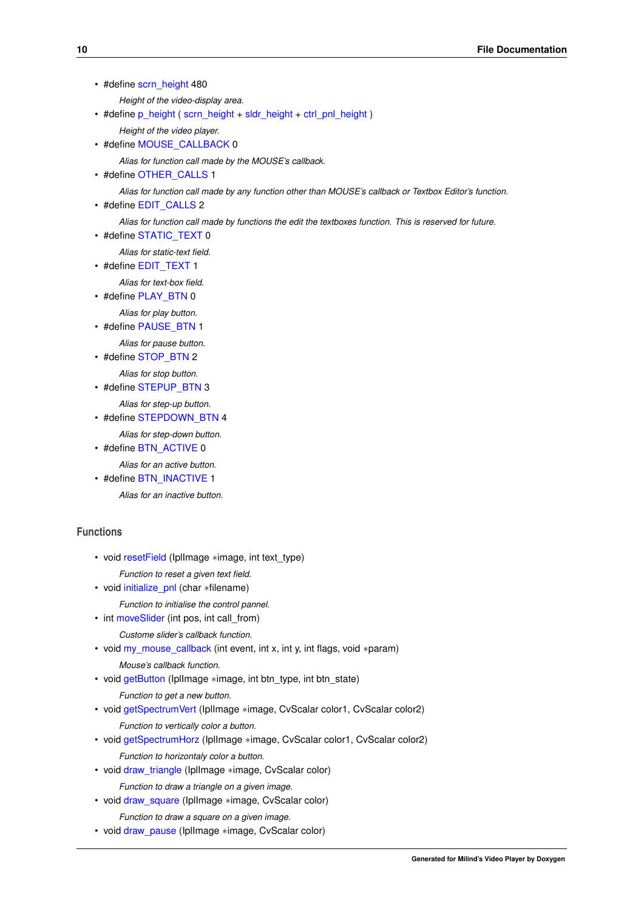• #define [scrn\\_height](#page-20-6) 480

*Height of the video-display area.*

- #define [p\\_height](#page-20-7) ( [scrn\\_height](#page-20-6) + [sldr\\_height](#page-21-8) + [ctrl\\_pnl\\_height](#page-19-8) )
	- *Height of the video player.*
- #define [MOUSE\\_CALLBACK](#page-19-9) 0

*Alias for function call made by the MOUSE's callback.*

• #define [OTHER\\_CALLS](#page-20-8) 1

*Alias for function call made by any function other than MOUSE's callback or Textbox Editor's function.*

• #define [EDIT\\_CALLS](#page-19-10) 2

*Alias for function call made by functions the edit the textboxes function. This is reserved for future.*

• #define [STATIC\\_TEXT](#page-21-9) 0

*Alias for static-text field.*

• #define [EDIT\\_TEXT](#page-19-11) 1

*Alias for text-box field.*

• #define [PLAY\\_BTN](#page-20-9) 0

*Alias for play button.*

• #define [PAUSE\\_BTN](#page-20-10) 1 *Alias for pause button.*

• #define [STOP\\_BTN](#page-21-10) 2

*Alias for stop button.*

• #define [STEPUP\\_BTN](#page-21-11) 3

*Alias for step-up button.*

• #define STEPDOWN BTN 4

*Alias for step-down button.*

• #define [BTN\\_ACTIVE](#page-19-2) 0

*Alias for an active button.*

• #define [BTN\\_INACTIVE](#page-19-12) 1

*Alias for an inactive button.*

#### **Functions**

- void [resetField](#page-42-2) (IplImage ∗image, int text\_type)
- *Function to reset a given text field.*
- void [initialize\\_pnl](#page-30-1) (char ∗filename)
- *Function to initialise the control pannel.*
- int [moveSlider](#page-37-1) (int pos, int call\_from) *Custome slider's callback function.*
- void [my\\_mouse\\_callback](#page-39-1) (int event, int x, int y, int flags, void ∗param)
	- *Mouse's callback function.*
- void [getButton](#page-27-1) (IplImage ∗image, int btn\_type, int btn\_state)
	- *Function to get a new button.*
- void [getSpectrumVert](#page-29-1) (IplImage ∗image, CvScalar color1, CvScalar color2) *Function to vertically color a button.*
- void [getSpectrumHorz](#page-28-1) (IplImage ∗image, CvScalar color1, CvScalar color2)
	- *Function to horizontaly color a button.*
- void [draw\\_triangle](#page-25-2) (IplImage ∗image, CvScalar color)

*Function to draw a triangle on a given image.*

- void [draw\\_square](#page-23-1) (IplImage ∗image, CvScalar color)
	- *Function to draw a square on a given image.*
- void [draw\\_pause](#page-22-3) (IplImage ∗image, CvScalar color)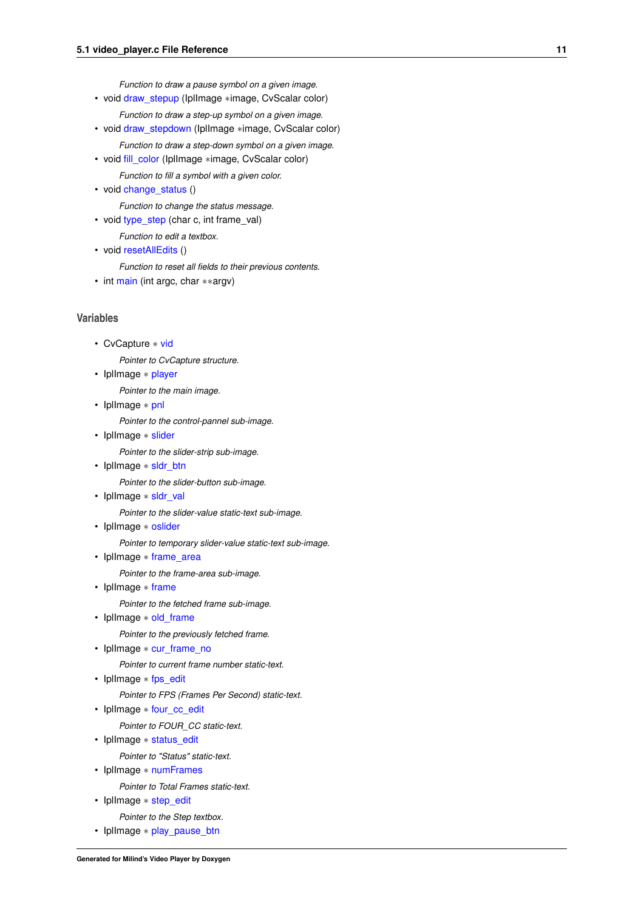*Function to draw a pause symbol on a given image.*

- void [draw\\_stepup](#page-25-3) (IplImage ∗image, CvScalar color) *Function to draw a step-up symbol on a given image.*
- void [draw\\_stepdown](#page-24-1) (IplImage ∗image, CvScalar color) *Function to draw a step-down symbol on a given image.*
- void [fill\\_color](#page-26-1) (IplImage ∗image, CvScalar color)

*Function to fill a symbol with a given color.*

- void change status ()
	- *Function to change the status message.*
- void [type\\_step](#page-44-1) (char c, int frame\_val)

*Function to edit a textbox.*

• void [resetAllEdits](#page-42-3) ()

*Function to reset all fields to their previous contents.*

• int [main](#page-33-1) (int argc, char ∗∗argv)

#### **Variables**

• CvCapture ∗ [vid](#page-56-6)

*Pointer to CvCapture structure.*

• IplImage ∗ [player](#page-51-5)

*Pointer to the main image.*

• IplImage ∗ [pnl](#page-52-6)

*Pointer to the control-pannel sub-image.*

• IplImage ∗ [slider](#page-53-5)

*Pointer to the slider-strip sub-image.*

• IplImage ∗ [sldr\\_btn](#page-52-7)

*Pointer to the slider-button sub-image.*

• IplImage \* [sldr\\_val](#page-53-6)

*Pointer to the slider-value static-text sub-image.*

• IplImage ∗ [oslider](#page-51-6)

*Pointer to temporary slider-value static-text sub-image.*

• IplImage ∗ [frame\\_area](#page-49-4)

*Pointer to the frame-area sub-image.*

• IplImage ∗ [frame](#page-49-5)

*Pointer to the fetched frame sub-image.*

• IplImage \* [old\\_frame](#page-50-7)

*Pointer to the previously fetched frame.*

• IplImage \* [cur\\_frame\\_no](#page-47-8)

*Pointer to current frame number static-text.*

• IplImage ∗ [fps\\_edit](#page-48-8)

*Pointer to FPS (Frames Per Second) static-text.*

• IplImage \* [four\\_cc\\_edit](#page-48-9)

*Pointer to FOUR\_CC static-text.*

• IplImage ∗ [status\\_edit](#page-54-6)

*Pointer to "Status" static-text.*

• IplImage ∗ [numFrames](#page-50-8)

*Pointer to Total Frames static-text.*

• IplImage ∗ [step\\_edit](#page-54-7)

*Pointer to the Step textbox.*

• IplImage ∗ [play\\_pause\\_btn](#page-51-7)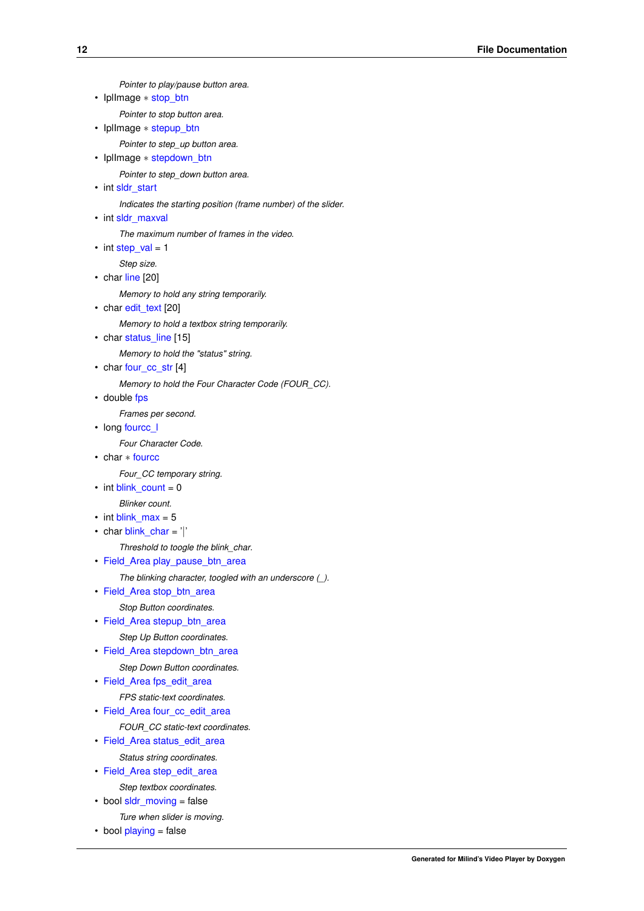```
Pointer to play/pause button area.
• IplImage ∗ stop_btn
     Pointer to stop button area.
stepup_btn
     Pointer to step_up button area.
• IplImage ∗ stepdown_btn
     Pointer to step_down button area.
sldr_start
     Indicates the starting position (frame number) of the slider.
sldr_maxval
     The maximum number of frames in the video.
\cdotstep_val = 1
     Step size.
line [20]
     Memory to hold any string temporarily.
• char edit text [20]
     Memory to hold a textbox string temporarily.
• char status line [15]
     Memory to hold the "status" string.
• char four cc_str [4]
     Memory to hold the Four Character Code (FOUR_CC).
fps
     Frames per second.
fourcc_l
     Four Character Code.
• char ∗ fourcc
     Four_CC temporary string.
\cdot int blink count = 0
     Blinker count.
• int blink max = 5• char blink char = '|'Threshold to toogle the blink_char.
• Field_Area play_pause_btn_area
     The blinking character, toogled with an underscore (_).
• Field Area stop btn area
     Stop Button coordinates.
• Field_Area stepup_btn_area
     Step Up Button coordinates.
• Field_Area stepdown_btn_area
     Step Down Button coordinates.
fps_edit_area
     FPS static-text coordinates.
• Field_Area four_cc_edit_area
     FOUR_CC static-text coordinates.
• Field_Area status_edit_area
     Status string coordinates.
• Field_Area step_edit_area
```

```
Step textbox coordinates.
```
- bool [sldr\\_moving](#page-53-9) = false *Ture when slider is moving.*
- bool [playing](#page-51-9) = false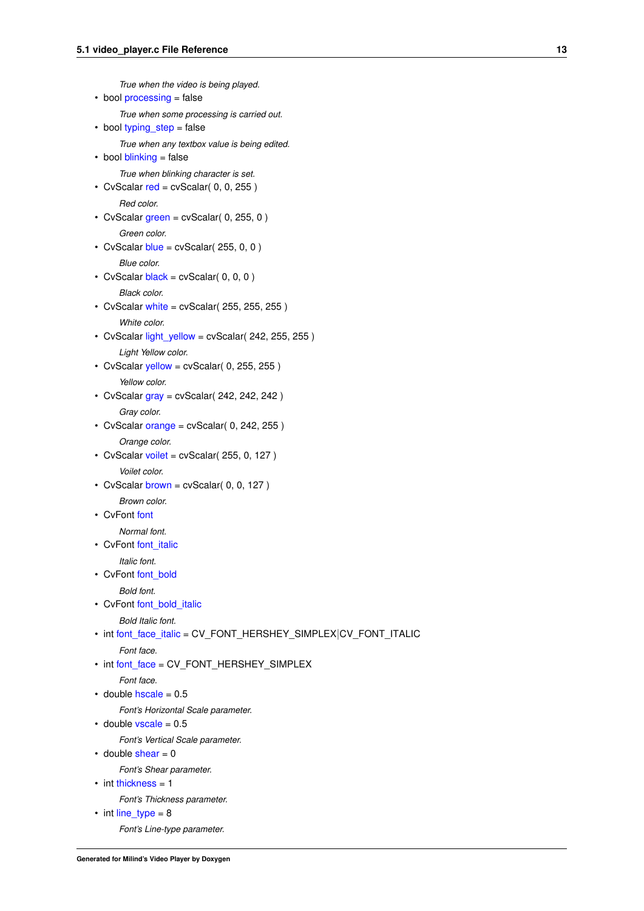```
True when the video is being played.
processing = false
     True when some processing is carried out.
typing_step = false
     True when any textbox value is being edited.
\cdotblinking = false
     True when blinking character is set.
• CvScalar red = cvScalar( 0, 0, 255)
     Red color.
green = cvScalar(0, 255, 0)Green color.
• CvScalar blue = cvScalar( 255, 0, 0)
     Blue color.
• CvScalar black = cvScalar(0, 0, 0)Black color.
white = cvScalar( 255, 255, 255)
     White color.
light_yellow = cvScalar(242, 255, 255)
     Light Yellow color.
\cdotyellow = cvScalar( 0, 255, 255)
     Yellow color.
\cdotgray = cvScalar( 242, 242, 242)
     Gray color.
\cdotorange = cvScalar( 0, 242, 255)
     Orange color.
\cdotvoilet = cvScalar( 255, 0, 127)
     Voilet color.
\cdotbrown = cvScalar( 0, 0, 127)
     Brown color.
• CvFont font
     Normal font.
font_italic
     Italic font.
font_bold
     Bold font.
font_bold_italic
     Bold Italic font.
• int font_face_italic = CV_FONT_HERSHEY_SIMPLEX|CV_FONT_ITALIC
     Font face.
• int font face = CV_FONT_HERSHEY_SIMPLEX
     Font face.
\cdothscale = 0.5
     Font's Horizontal Scale parameter.
\cdotvscale = 0.5
     Font's Vertical Scale parameter.
\cdotshear = 0
     Font's Shear parameter.
thickness = 1
     Font's Thickness parameter.
line_type = 8
```
*Font's Line-type parameter.*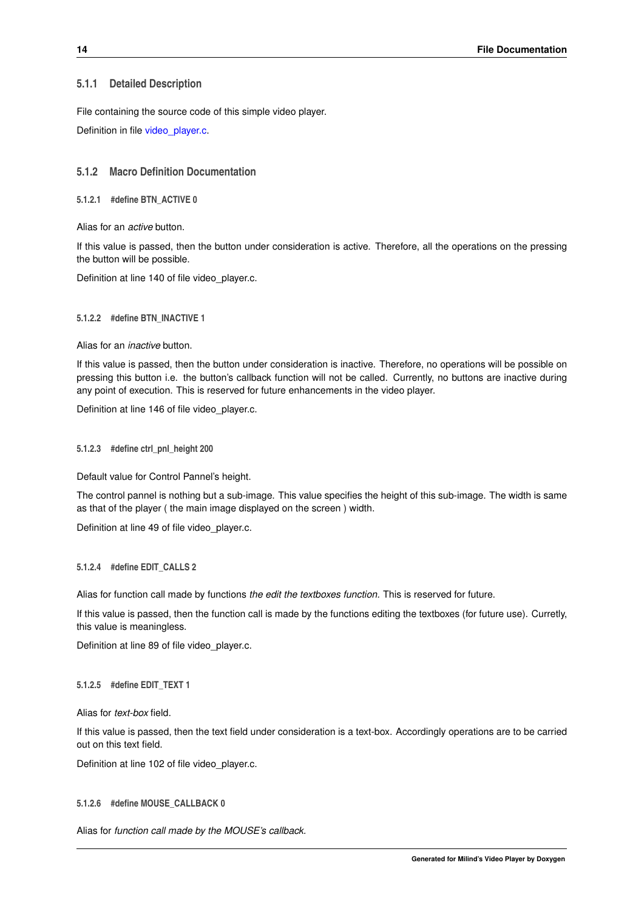#### <span id="page-19-13"></span><span id="page-19-0"></span>**5.1.1 Detailed Description**

File containing the source code of this simple video player.

Definition in file [video\\_player.c.](#page-0-0)

#### <span id="page-19-1"></span>**5.1.2 Macro Definition Documentation**

<span id="page-19-2"></span>**5.1.2.1 #define BTN\_ACTIVE 0**

Alias for an *active* button.

If this value is passed, then the button under consideration is active. Therefore, all the operations on the pressing the button will be possible.

<span id="page-19-12"></span>Definition at line 140 of file video\_player.c.

#### <span id="page-19-3"></span>**5.1.2.2 #define BTN\_INACTIVE 1**

Alias for an *inactive* button.

If this value is passed, then the button under consideration is inactive. Therefore, no operations will be possible on pressing this button i.e. the button's callback function will not be called. Currently, no buttons are inactive during any point of execution. This is reserved for future enhancements in the video player.

<span id="page-19-8"></span>Definition at line 146 of file video player.c.

#### <span id="page-19-4"></span>**5.1.2.3 #define ctrl\_pnl\_height 200**

Default value for Control Pannel's height.

The control pannel is nothing but a sub-image. This value specifies the height of this sub-image. The width is same as that of the player ( the main image displayed on the screen ) width.

<span id="page-19-10"></span>Definition at line 49 of file video player.c.

#### <span id="page-19-5"></span>**5.1.2.4 #define EDIT\_CALLS 2**

Alias for function call made by functions *the edit the textboxes function.* This is reserved for future.

If this value is passed, then the function call is made by the functions editing the textboxes (for future use). Curretly, this value is meaningless.

<span id="page-19-11"></span>Definition at line 89 of file video\_player.c.

#### <span id="page-19-6"></span>**5.1.2.5 #define EDIT\_TEXT 1**

Alias for *text-box* field.

If this value is passed, then the text field under consideration is a text-box. Accordingly operations are to be carried out on this text field.

<span id="page-19-9"></span>Definition at line 102 of file video\_player.c.

#### <span id="page-19-7"></span>**5.1.2.6 #define MOUSE\_CALLBACK 0**

Alias for *function call made by the MOUSE's callback.*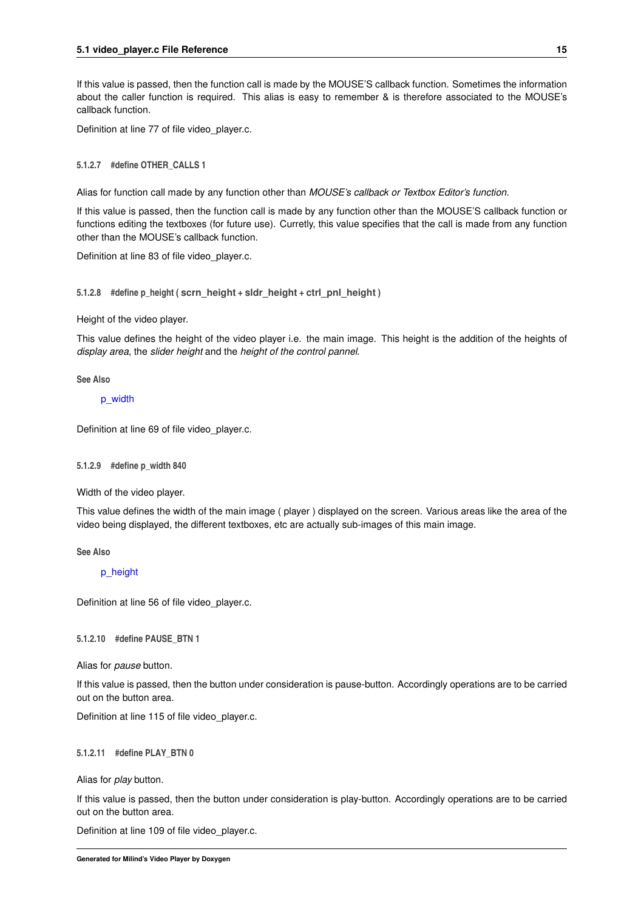<span id="page-20-11"></span>If this value is passed, then the function call is made by the MOUSE'S callback function. Sometimes the information about the caller function is required. This alias is easy to remember & is therefore associated to the MOUSE's callback function.

<span id="page-20-8"></span>Definition at line 77 of file video player.c.

<span id="page-20-0"></span>**5.1.2.7 #define OTHER\_CALLS 1**

Alias for function call made by any function other than *MOUSE's callback or Textbox Editor's function.*

If this value is passed, then the function call is made by any function other than the MOUSE'S callback function or functions editing the textboxes (for future use). Curretly, this value specifies that the call is made from any function other than the MOUSE's callback function.

<span id="page-20-7"></span>Definition at line 83 of file video\_player.c.

<span id="page-20-1"></span>**5.1.2.8 #define p\_height ( scrn\_height + sldr\_height + ctrl\_pnl\_height )**

Height of the video player.

This value defines the height of the video player i.e. the main image. This height is the addition of the heights of *display area*, the *slider height* and the *height of the control pannel*.

**See Also**

[p\\_width](#page-20-5)

<span id="page-20-5"></span>Definition at line 69 of file video player.c.

<span id="page-20-2"></span>**5.1.2.9 #define p\_width 840**

Width of the video player.

This value defines the width of the main image ( player ) displayed on the screen. Various areas like the area of the video being displayed, the different textboxes, etc are actually sub-images of this main image.

**See Also**

[p\\_height](#page-20-7)

<span id="page-20-10"></span>Definition at line 56 of file video\_player.c.

<span id="page-20-3"></span>**5.1.2.10 #define PAUSE\_BTN 1**

Alias for *pause* button.

If this value is passed, then the button under consideration is pause-button. Accordingly operations are to be carried out on the button area.

<span id="page-20-9"></span>Definition at line 115 of file video player.c.

<span id="page-20-4"></span>**5.1.2.11 #define PLAY\_BTN 0**

Alias for *play* button.

If this value is passed, then the button under consideration is play-button. Accordingly operations are to be carried out on the button area.

<span id="page-20-6"></span>Definition at line 109 of file video player.c.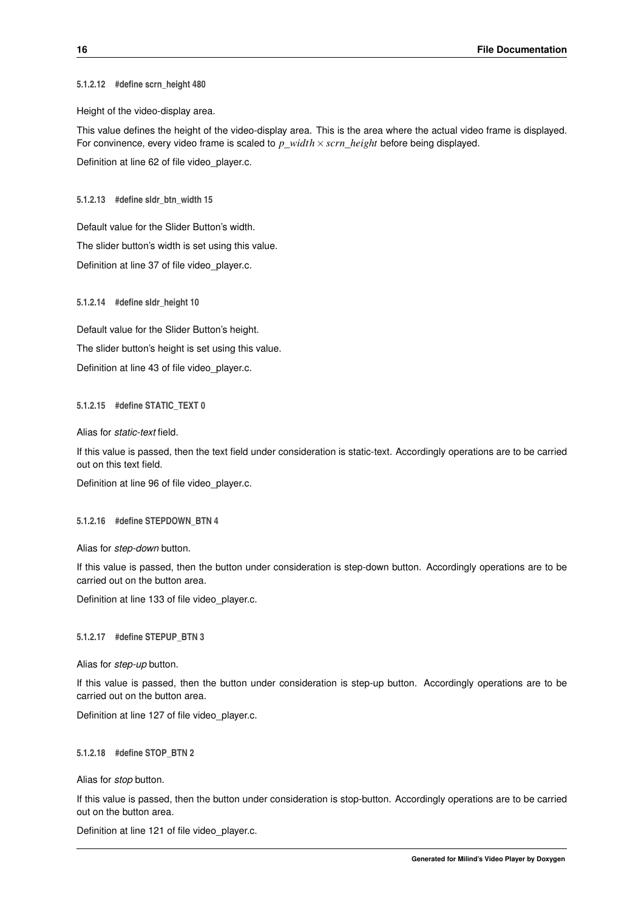<span id="page-21-13"></span><span id="page-21-0"></span>**5.1.2.12 #define scrn\_height 480**

Height of the video-display area.

This value defines the height of the video-display area. This is the area where the actual video frame is displayed. For convinence, every video frame is scaled to *p*\_*width*×*scrn*\_*height* before being displayed. Definition at line 62 of file video\_player.c.

<span id="page-21-7"></span><span id="page-21-1"></span>**5.1.2.13 #define sldr\_btn\_width 15**

Default value for the Slider Button's width.

The slider button's width is set using this value.

<span id="page-21-8"></span>Definition at line 37 of file video\_player.c.

<span id="page-21-2"></span>**5.1.2.14 #define sldr\_height 10**

Default value for the Slider Button's height. The slider button's height is set using this value. Definition at line 43 of file video\_player.c.

#### <span id="page-21-9"></span><span id="page-21-3"></span>**5.1.2.15 #define STATIC\_TEXT 0**

Alias for *static-text* field.

If this value is passed, then the text field under consideration is static-text. Accordingly operations are to be carried out on this text field.

<span id="page-21-12"></span>Definition at line 96 of file video\_player.c.

#### <span id="page-21-4"></span>**5.1.2.16 #define STEPDOWN\_BTN 4**

Alias for *step-down* button.

If this value is passed, then the button under consideration is step-down button. Accordingly operations are to be carried out on the button area.

<span id="page-21-11"></span>Definition at line 133 of file video\_player.c.

#### <span id="page-21-5"></span>**5.1.2.17 #define STEPUP\_BTN 3**

Alias for *step-up* button.

If this value is passed, then the button under consideration is step-up button. Accordingly operations are to be carried out on the button area.

<span id="page-21-10"></span>Definition at line 127 of file video\_player.c.

#### <span id="page-21-6"></span>**5.1.2.18 #define STOP\_BTN 2**

Alias for *stop* button.

If this value is passed, then the button under consideration is stop-button. Accordingly operations are to be carried out on the button area.

Definition at line 121 of file video player.c.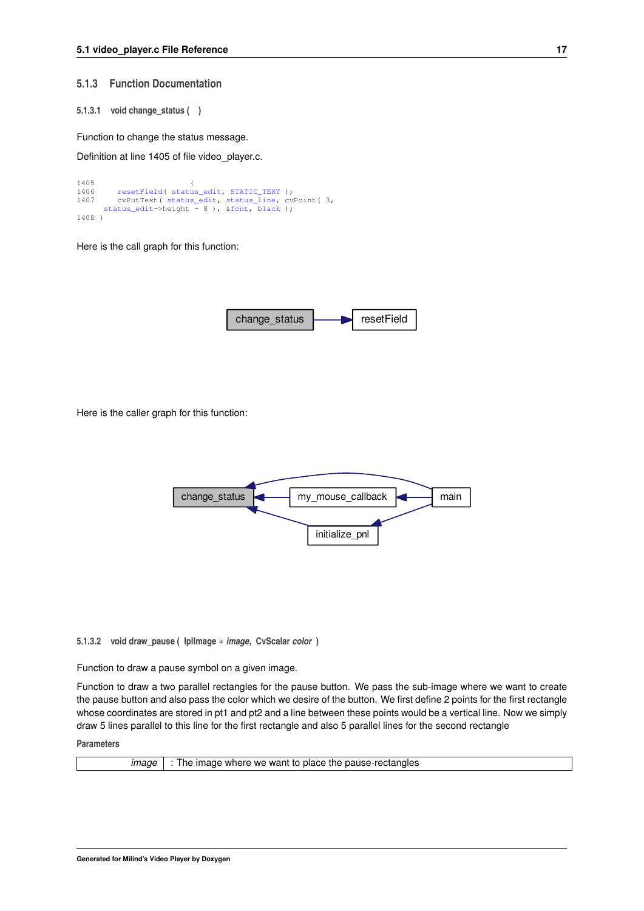#### <span id="page-22-4"></span><span id="page-22-0"></span>**5.1.3 Function Documentation**

<span id="page-22-1"></span>**5.1.3.1 void change\_status ( )**

Function to change the status message.

Definition at line 1405 of file video\_player.c.

```
1405 {
resetField(status_edit,STATIC_TEXT );<br>1407 cvPutText( status_edit, status_line, cv
        status_edit,status_line, cvPoint( 3,
     status_edit->height - 8&font,black );
1408 }
```
Here is the call graph for this function:



Here is the caller graph for this function:



<span id="page-22-3"></span><span id="page-22-2"></span>**5.1.3.2 void draw\_pause ( IplImage** ∗ *image,* **CvScalar** *color* **)**

Function to draw a pause symbol on a given image.

Function to draw a two parallel rectangles for the pause button. We pass the sub-image where we want to create the pause button and also pass the color which we desire of the button. We first define 2 points for the first rectangle whose coordinates are stored in pt1 and pt2 and a line between these points would be a vertical line. Now we simply draw 5 lines parallel to this line for the first rectangle and also 5 parallel lines for the second rectangle

**Parameters**

| ımaae | $\vert$ : The image where we want to place the pause-rectangles |
|-------|-----------------------------------------------------------------|
|       |                                                                 |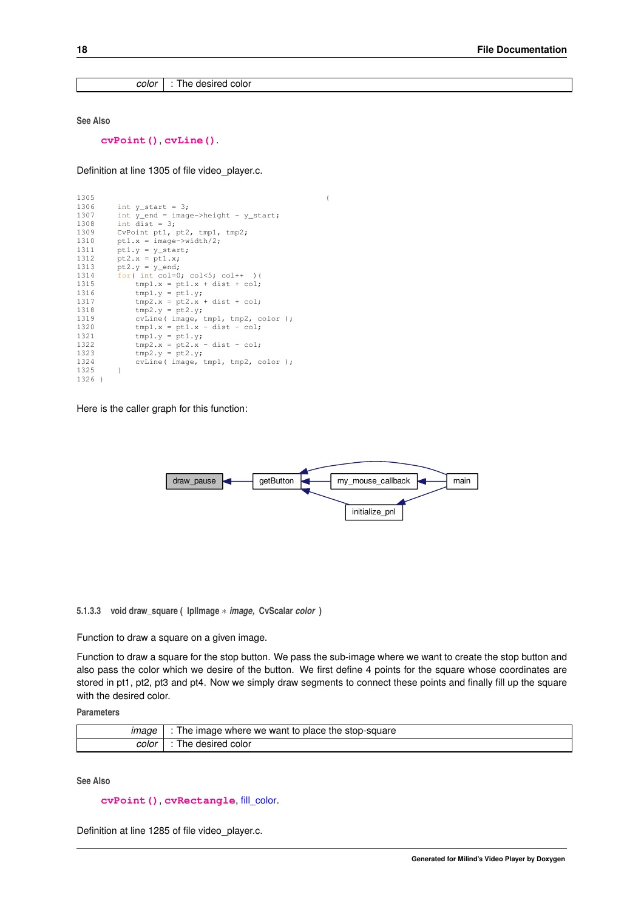<span id="page-23-2"></span>*color* : The desired color

**See Also**

**[cvPoint\(\)](http://opencv.willowgarage.com/documentation/c/core_basic_structures.html?highlight=point#CvPoint)**, **[cvLine\(\)](http://opencv.willowgarage.com/documentation/c/core_drawing_functions.html?highlight=line#cvLine)**.

Definition at line 1305 of file video\_player.c.

```
13051306 int y_{\text{start}} = 3;<br>1307 int y_{\text{end}} = \text{imag}1307 int \frac{y}{1} end = image->height - y_{\text{start}};<br>1308 int dist = 3:
           int dist = 3;1309 CvPoint pt1, pt2, tmp1, tmp2;<br>1310 pt1.x = image->width/2:
           pt1.x = image->width/2;1311 pt1.y = y_{start};<br>1312 pt2.x = pt1.x;1313 pt2. y = y_{end};
1314 for( int col=0; col<5; col++ ){
1315 tmp1.x = pt1.x + dist + col;1316 \text{tmp1.y} = \text{pt1.y};1317 tmp2.x = pt2.x + dist + col;<br>
1318 tmp2.y = pt2.y;1319 cvLine (image, tmp1, tmp2, color );<br>1320 tmp1.x = pt1.x - dist - col;
1321 \text{tmp1.y} = \text{pt1.y};1322 tmp2.x = pt2.x - dist - col;<br>1323 tmp2.y = pt2.y1323 \text{tmp2.y} = \text{pt2.y};<br>1324 \text{cylinder (image)}\text{cylinder}, tmp1, tmp2, color );
1325 }
1326 }
```
Here is the caller graph for this function:



<span id="page-23-1"></span><span id="page-23-0"></span>**5.1.3.3 void draw\_square ( IplImage** ∗ *image,* **CvScalar** *color* **)**

Function to draw a square on a given image.

Function to draw a square for the stop button. We pass the sub-image where we want to create the stop button and also pass the color which we desire of the button. We first define 4 points for the square whose coordinates are stored in pt1, pt2, pt3 and pt4. Now we simply draw segments to connect these points and finally fill up the square with the desired color.

**Parameters**

| imade | where we want to place the stop-square (<br>The imade |
|-------|-------------------------------------------------------|
| color | color<br>The desired                                  |

**See Also**

**[cvPoint\(\)](http://opencv.willowgarage.com/documentation/c/core_basic_structures.html?highlight=point#CvPoint)**, **[cvRectangle](http://opencv.willowgarage.com/documentation/c/core_drawing_functions.html?highlight=rectangle#cvRectangle)**, [fill\\_color.](#page-26-1)

Definition at line 1285 of file video\_player.c.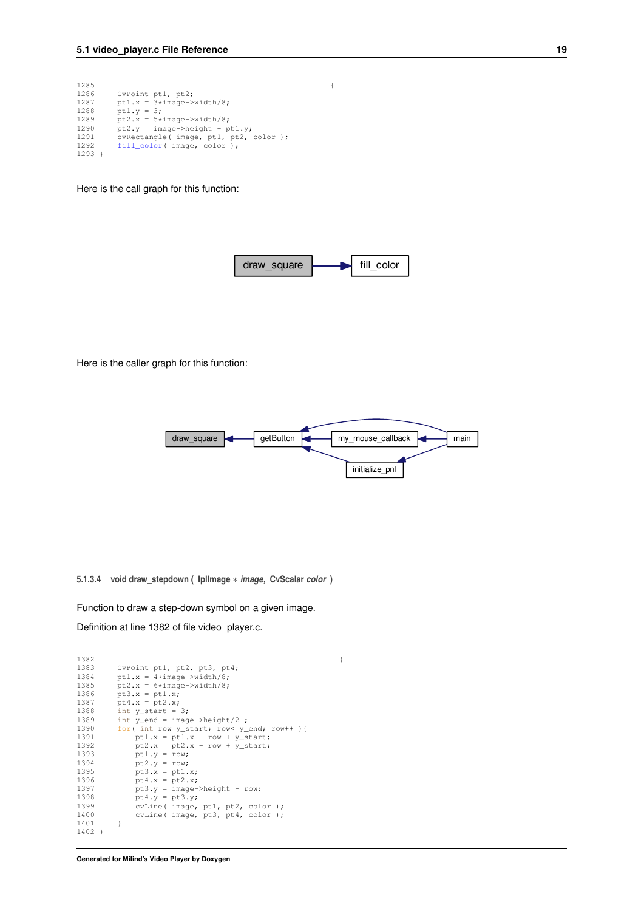```
12851286 CvPoint pt1, pt2;<br>1287 pt1.x = 3*image->
1287 pt1.x = 3*image - \text{width}/8;<br>1288 pt1.y = 3;
1288 pt1.y = 3;
1289 pt2.x = 5*image->width/8;
1290 pt2.y = image->height - pt1.y;
1291 cvRectangle( image, pt1, pt2, color );
1292 fill_color( image, color );
1293 }
```
Here is the call graph for this function:



Here is the caller graph for this function:



<span id="page-24-1"></span><span id="page-24-0"></span>**5.1.3.4 void draw\_stepdown ( IplImage** ∗ *image,* **CvScalar** *color* **)**

Function to draw a step-down symbol on a given image. Definition at line 1382 of file video\_player.c.

```
13821383 CvPoint pt1, pt2, pt3, pt4;<br>1384 pt1.x = 4*image->width/8;
1384 pt1.x = 4*image->width/8;
1385 pt2.x = 6*image->width/8;
1386 pt3.x = pt1.x;<br>1387 pt4.x = pt2.x;
1388 int y_{\text{start}} = 3;<br>1389 int y_{\text{end}} = \text{image}->height/2;
1390 for(int row=y_start; row<=y_end; row++ ){
1391 pt1.x = pt1.x - row + y_start;<br>
1392 pt2.x = pt2.x - row + y_start;1393 pt1.y = row;<br>
1394 pt2.y = row;1395 pt3.x = pt1.x;<br>
1396 pt4.x = pt2.x;1396 pt4.x = pt2.x;
1397 pt3.y = image->height - row;
1398 pt4.y = pt3.y;1399 cvLine( image, pt1, pt2, color );
1400 cvLine( image, pt3, pt4, color );
1401 }
1402 }
```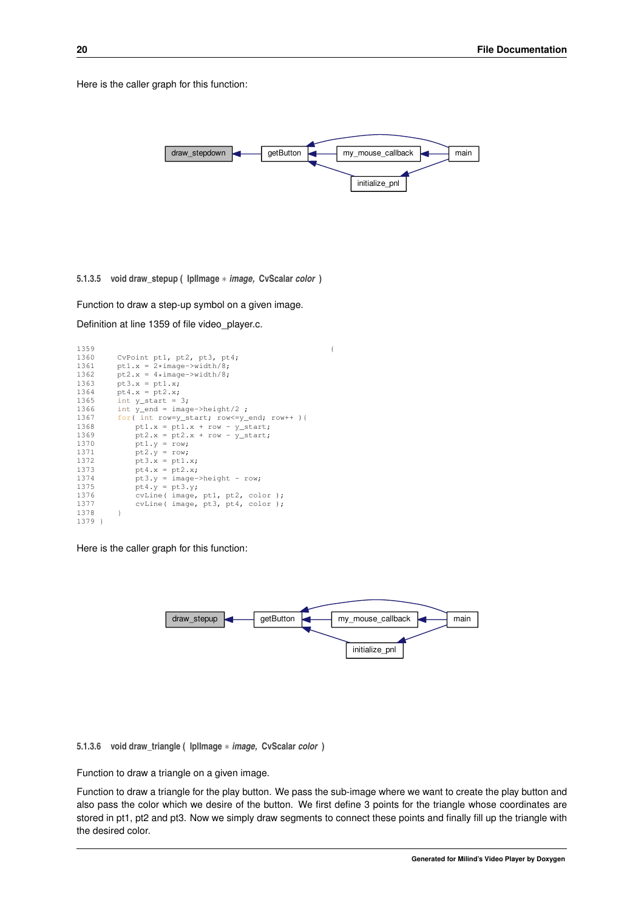<span id="page-25-4"></span>Here is the caller graph for this function:



<span id="page-25-3"></span><span id="page-25-0"></span>**5.1.3.5 void draw\_stepup ( IplImage** ∗ *image,* **CvScalar** *color* **)**

Function to draw a step-up symbol on a given image. Definition at line 1359 of file video\_player.c.

| 1359   |                                             | € |
|--------|---------------------------------------------|---|
| 1360   | CvPoint pt1, pt2, pt3, pt4;                 |   |
| 1361   | pt1.x = $2*image->width/8;$                 |   |
| 1362   | $pt2.x = 4*image->width/8;$                 |   |
| 1363   | $pt3.x = pt1.x;$                            |   |
| 1364   | $pt4.x = pt2.x;$                            |   |
| 1365   | int $y_{\text{start}} = 3$ ;                |   |
| 1366   | int $y_{end} = image - \text{height}/2$ ;   |   |
| 1367   | for( int row=y start; row<=y end; row++ ) { |   |
| 1368   | ptl.x = $pt1.x + row - y_start;$            |   |
| 1369   | $pt2.x = pt2.x + row - y_start;$            |   |
| 1370   | $pt1.y = row;$                              |   |
| 1371   | $pt2. y = row;$                             |   |
| 1372   | $pt3.x = pt1.x;$                            |   |
| 1373   | $pt4.x = pt2.x;$                            |   |
| 1374   | $pt3.y = image->height - row;$              |   |
| 1375   | $pt4.y = pt3.y;$                            |   |
| 1376   | cvLine(image, pt1, pt2, color);             |   |
| 1377   | cvLine(image, pt3, pt4, color);             |   |
| 1378   | ł                                           |   |
| 1379 } |                                             |   |

Here is the caller graph for this function:



<span id="page-25-2"></span><span id="page-25-1"></span>**5.1.3.6 void draw\_triangle ( IplImage** ∗ *image,* **CvScalar** *color* **)**

Function to draw a triangle on a given image.

Function to draw a triangle for the play button. We pass the sub-image where we want to create the play button and also pass the color which we desire of the button. We first define 3 points for the triangle whose coordinates are stored in pt1, pt2 and pt3. Now we simply draw segments to connect these points and finally fill up the triangle with the desired color.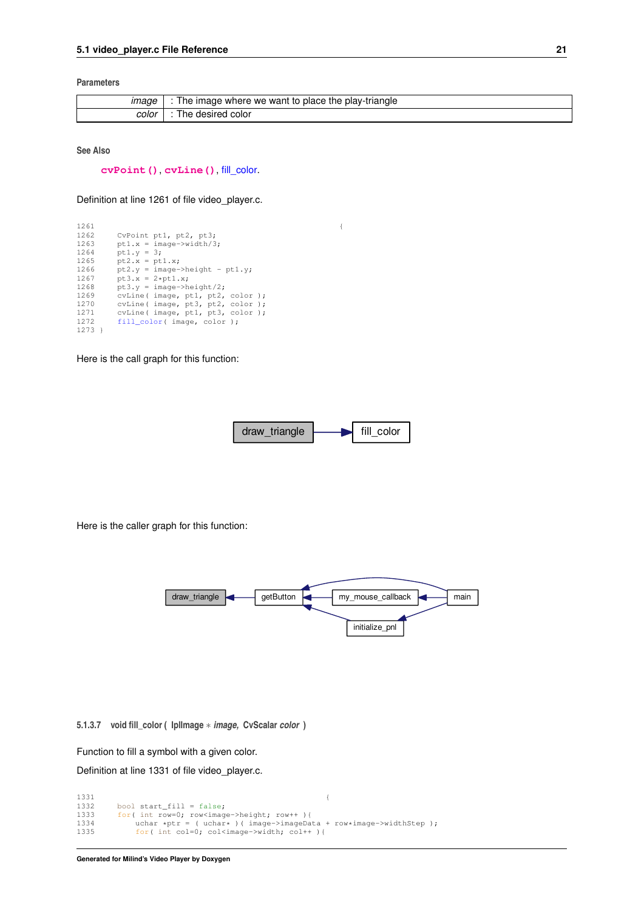#### <span id="page-26-2"></span>**Parameters**

|       | The image where we want to place the play-triangle |
|-------|----------------------------------------------------|
| color | . color<br>desired<br>ne.                          |

**See Also**

**[cvPoint\(\)](http://opencv.willowgarage.com/documentation/c/core_basic_structures.html?highlight=point#CvPoint)**, **[cvLine\(\)](http://opencv.willowgarage.com/documentation/c/core_drawing_functions.html?highlight=line#cvLine)**, [fill\\_color.](#page-26-1)

Definition at line 1261 of file video\_player.c.

| 1261     |                                  |  |
|----------|----------------------------------|--|
| 1262     | CvPoint pt1, pt2, pt3;           |  |
| 1263     | $pt1.x = image->width/3;$        |  |
| 1264     | $pt1.v = 3;$                     |  |
| 1265     | $pt2.x = pt1.x;$                 |  |
| 1266     | $pt2.y = image->height - pt1.y;$ |  |
| 1267     | $pt3.x = 2*pt1.x;$               |  |
| 1268     | $pt3. v = image-> height/2;$     |  |
| 1269     | cvLine(image, pt1, pt2, color);  |  |
| 1270     | cvLine(image, pt3, pt2, color);  |  |
| 1271     | cvLine(image, pt1, pt3, color);  |  |
| 1272     | fill color( image, color );      |  |
| $1273$ } |                                  |  |

Here is the call graph for this function:



Here is the caller graph for this function:



<span id="page-26-1"></span><span id="page-26-0"></span>**5.1.3.7 void fill\_color ( IplImage** ∗ *image,* **CvScalar** *color* **)**

Function to fill a symbol with a given color.

Definition at line 1331 of file video\_player.c.

1331 { 1332 bool start\_fill = false; 1333 for( int row=0; row<image->height; row++ ){ 1334 uchar \*ptr = ( uchar\* )( image->imageData + row\*image->widthStep ); 1335 for( int col=0; col<image->width; col++ ){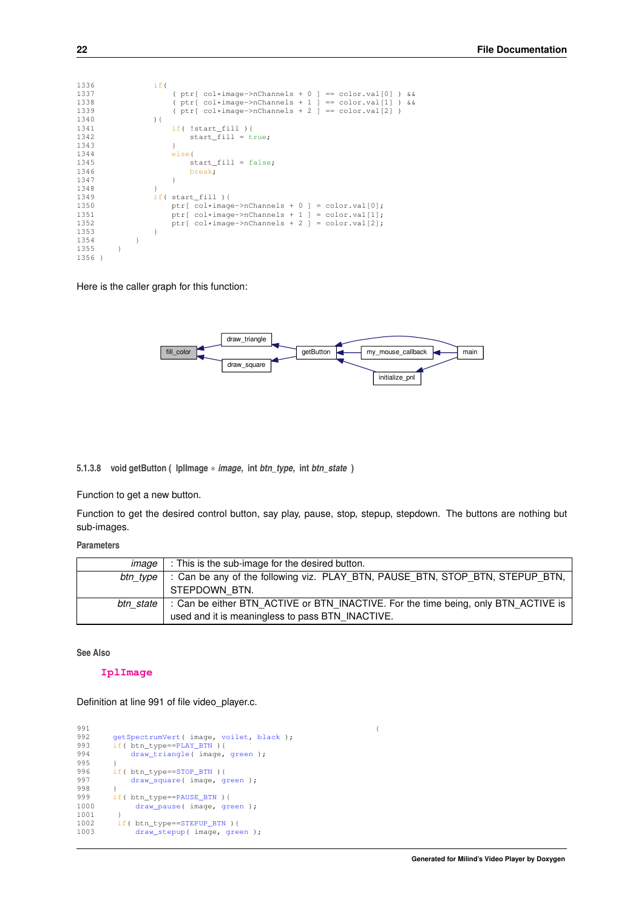<span id="page-27-2"></span>

| 1336   |  | if(                                                                    |  |
|--------|--|------------------------------------------------------------------------|--|
| 1337   |  | (ptr[col*image->nChannels + 0 ] == color.val[0] ) & &                  |  |
| 1338   |  | (ptr[col*image->nChannels + 1 ] == color.val[1] ) & &                  |  |
| 1339   |  | $(\text{ptr}[\text{col*image->nChannels + 2}] == \text{color.val}[2])$ |  |
| 1340   |  | $\left( \begin{array}{c} 1 \end{array} \right)$                        |  |
| 1341   |  | $if($ !start fill $)$ {                                                |  |
| 1342   |  | start $fill = true;$                                                   |  |
| 1343   |  |                                                                        |  |
| 1344   |  | $else{$                                                                |  |
| 1345   |  | $start_fill = false;$                                                  |  |
| 1346   |  | break;                                                                 |  |
| 1347   |  |                                                                        |  |
| 1348   |  |                                                                        |  |
| 1349   |  | if( start fill )                                                       |  |
| 1350   |  | ptr[ $col*image->nChannels + 0$ ] = $color.val[0]$ ;                   |  |
| 1351   |  | ptr[ $col*image \rightarrow nChannels + 1$ ] = $color.val[1]$ ;        |  |
| 1352   |  | ptr[ $col*image \rightarrow nChannels + 2$ ] = $color.val[2]$ ;        |  |
| 1353   |  |                                                                        |  |
| 1354   |  |                                                                        |  |
| 1355   |  |                                                                        |  |
| 1356 } |  |                                                                        |  |

Here is the caller graph for this function:



<span id="page-27-1"></span><span id="page-27-0"></span>**5.1.3.8 void getButton ( IplImage** ∗ *image,* **int** *btn\_type,* **int** *btn\_state* **)**

Function to get a new button.

Function to get the desired control button, say play, pause, stop, stepup, stepdown. The buttons are nothing but sub-images.

**Parameters**

| image     | : This is the sub-image for the desired button.                                    |
|-----------|------------------------------------------------------------------------------------|
| btn tvpe  | : Can be any of the following viz. PLAY BTN, PAUSE BTN, STOP BTN, STEPUP BTN,      |
|           | STEPDOWN BTN.                                                                      |
| btn state | : Can be either BTN ACTIVE or BTN INACTIVE. For the time being, only BTN ACTIVE is |
|           | used and it is meaningless to pass BTN INACTIVE.                                   |

**See Also**

#### **[IplImage](http://opencv.willowgarage.com/documentation/c/basic_structures.html#iplimage)**

Definition at line 991 of file video\_player.c.

```
991 {
992 getSpectrumVert( image, voilet, black );
993 if( btn_type==PLAY_BTN ){
draw_triangle(green );<br>995 }
995<br>996
=STOP_BTN){<br>997 draw_square(image, g
       draw_square(green );
998 }
       =PAUSE_BTN ) {
draw_pause(green );<br>1001 }
1001<br>1002
=STEPUP_BTN){<br>1003 draw_stepup(image, gree
            draw_stepup(green );
```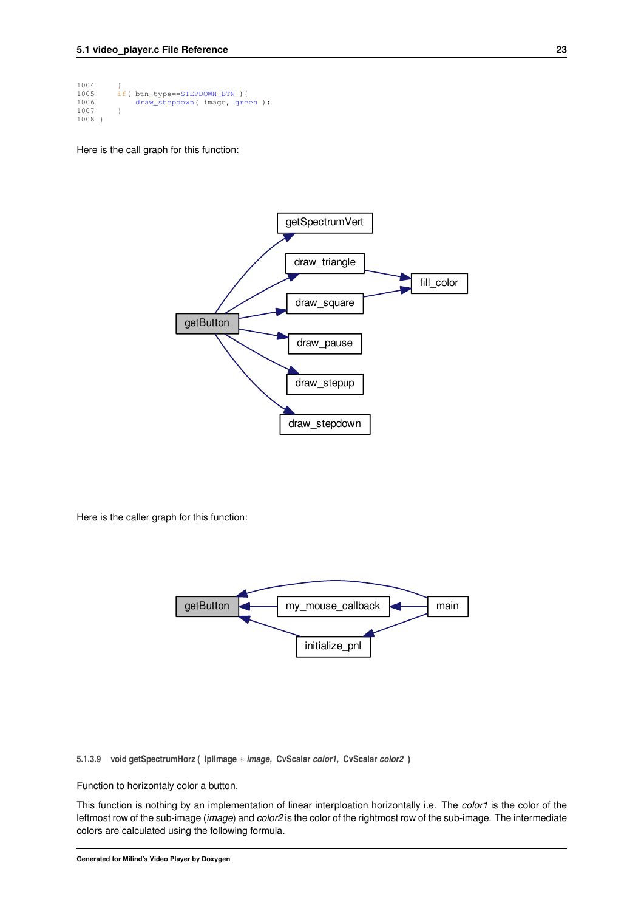```
1004<br>1005
=STEPDOWN_BTN){<br>1006 draw_stepdown(image, gree
              draw_stepdown(green );
1007 }
1008 }
```
Here is the call graph for this function:



Here is the caller graph for this function:



<span id="page-28-1"></span><span id="page-28-0"></span>**5.1.3.9 void getSpectrumHorz ( IplImage** ∗ *image,* **CvScalar** *color1,* **CvScalar** *color2* **)**

Function to horizontaly color a button.

This function is nothing by an implementation of linear interploation horizontally i.e. The *color1* is the color of the leftmost row of the sub-image (*image*) and *color2* is the color of the rightmost row of the sub-image. The intermediate colors are calculated using the following formula.

**Generated for Milind's Video Player by Doxygen**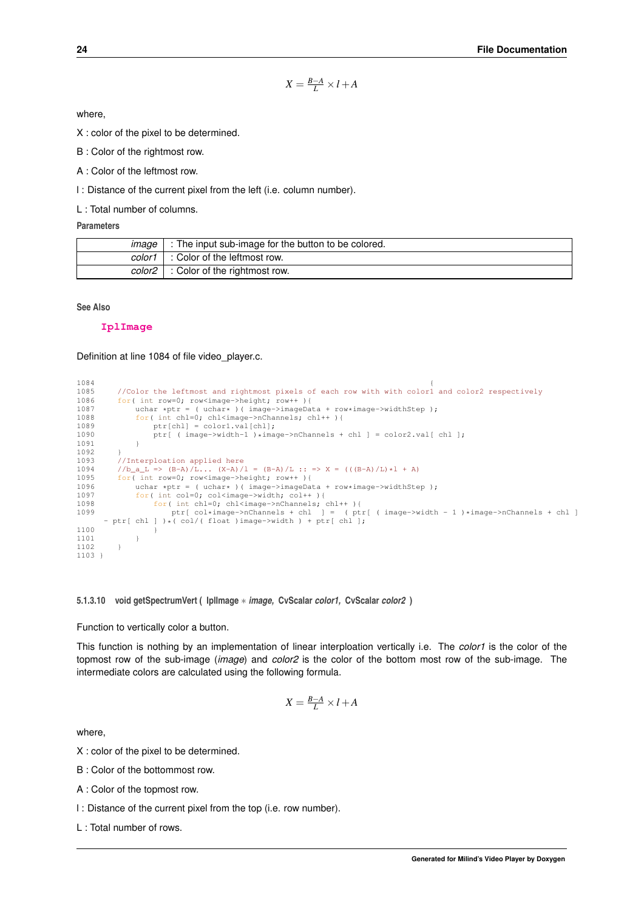$$
X = \frac{B-A}{L} \times l + A
$$

<span id="page-29-2"></span>where,

X : color of the pixel to be determined.

B : Color of the rightmost row.

A : Color of the leftmost row.

l : Distance of the current pixel from the left (i.e. column number).

L : Total number of columns.

#### **Parameters**

| $maae$ $\perp$ | : The input sub-image for the button to be colored. |
|----------------|-----------------------------------------------------|
|                | $color1 :color$ color of the leftmost row.          |
|                | $color2$ : Color of the rightmost row.              |

#### **See Also**

**[IplImage](http://opencv.willowgarage.com/documentation/c/basic_structures.html#iplimage)**

Definition at line 1084 of file video\_player.c.

```
1084 \{1085 //Color the leftmost and rightmost pixels of each row with with color1 and color2 respectively<br>1086 for(int row=0; row<image->beight; row++ ) /
1086 for( int row=0; row<image->height; row++ ){<br>1087 uchar *ptr = ( uchar* )( image->imageDa
1087 uchar *ptr = ( uchar* )( image\rightarrow image imageData + row*image->widthStep );<br>1088 for( int chl=0: chl<image->nChannels: chl++ ){
1088 for( int chl=0; chl<image->nChannels; chl++ ){<br>1089 \frac{t}{\pi} otr[ch]] = color1.val[ch]]:
1089 ptr[chl] = color1.val[chl];<br>1090 ptr[ (image->width-1 )*image
                ptr[ ( image->width-1 )*image->nChannels + chl ] = color2.val[ chl ];
1091 }
1092<br>1093
           //Interploation applied here
1094 //b_a_L => (B-A)/L... (X-A)/l = (B-A)/L :: => X = (((B-A)/L) *1 + A)<br>1095 for( int row=0; row<image->height; row++ ){
1096 uchar *ptr = ( uchar* )( image->imageData + row*image->widthStep );<br>1097 for( int col=0; col<image->width; col++ ){
1097 for( int col=0; col<image->width; col++ ){<br>1098 for( int chl=0; chl<image->nChannels;
                     for( int chl=0; chl<image->nChannels; chl++ ){
1099 ptr[ col*image->nChannels + chl ] = ( ptr[ ( image->width - 1 )*image->nChannels + chl ]
       - ptr[ chl ] )*( col/( float) image-> width) + ptr[ chl];\begin{array}{ccc} 1100 & & & \end{array} }
1101 }
1102 }
1103 }
```
<span id="page-29-1"></span><span id="page-29-0"></span>**5.1.3.10 void getSpectrumVert ( IplImage** ∗ *image,* **CvScalar** *color1,* **CvScalar** *color2* **)**

#### Function to vertically color a button.

This function is nothing by an implementation of linear interploation vertically i.e. The *color1* is the color of the topmost row of the sub-image (*image*) and *color2* is the color of the bottom most row of the sub-image. The intermediate colors are calculated using the following formula.

$$
X = \frac{B-A}{L} \times l + A
$$

where,

- X : color of the pixel to be determined.
- B : Color of the bottommost row.
- A : Color of the topmost row.
- l : Distance of the current pixel from the top (i.e. row number).
- L : Total number of rows.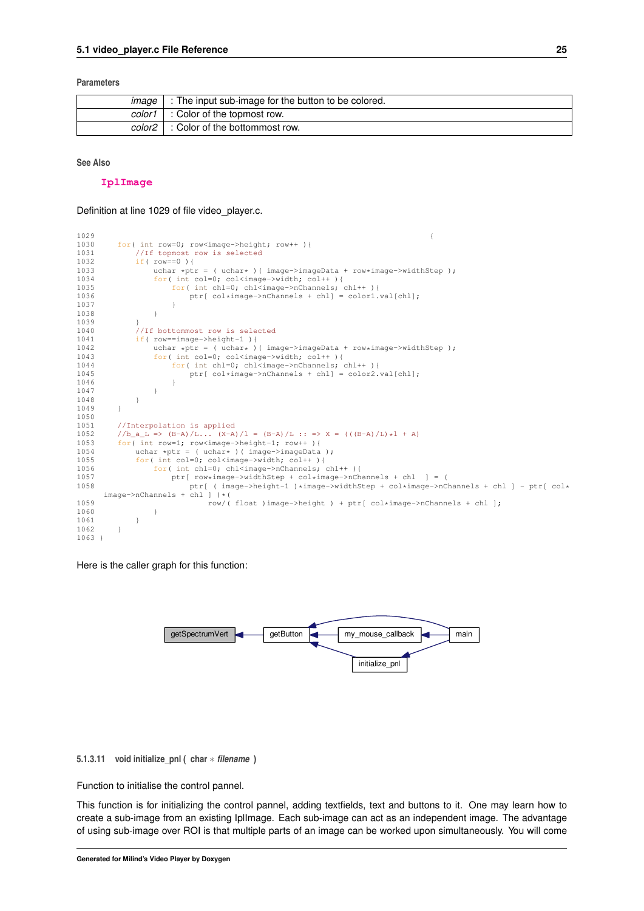#### <span id="page-30-2"></span>**Parameters**

| ımade | : The input sub-image for the button to be colored. |
|-------|-----------------------------------------------------|
|       | color1 : Color of the topmost row.                  |
|       | color2 : Color of the bottommost row.               |

#### **See Also**

#### **[IplImage](http://opencv.willowgarage.com/documentation/c/basic_structures.html#iplimage)**

Definition at line 1029 of file video\_player.c.

```
10291030 for(int row=0; row<image->height; row++ ){<br>1031 //If topmost row is selected
               //If topmost row is selected
1032 if('row==0'){<br>1033 uchar * pt1033 uchar *ptr = ( uchar* )( image->imageData + row*image->widthStep );<br>1034 for( int col=0; col<image->width; col++ ){
                     for( int col=0; col<image->width; col++ ){
1035 for( int chl=0; chl<image->nChannels; chl++ ){
1036 ptr[ col*image->nChannels + chl] = color1.val[chl];<br>1037 }
1037<br>1038 }
1038 }
1039 }
1040 //If bottommost row is selected<br>1041 if (row==image->height-1){
1041 if( row==image->height-1 ){<br>1042 uchar *ptr = ( uchar* )
1042 uchar *ptr = ( uchar* )( image->imageData + row*image->widthStep );<br>1043 for( int col=0; col<image->width; col++ ){
1043 for( int col=0; col<image->width; col++ ){<br>1044 for( int chl=0; chl<image->nChannels; chl++ ){
1045 ptr[ col*image->nChannels + chl] = color2.val[chl];<br>1046 }
1046 }
1047 }
1048 }<br>1049 }
1049 }
1050
1051 //Interpolation is applied<br>1052 //b a L => (B-A)/L... (X-A
1052 //b_a_L => (B-A)/L... (X-A)/1 = (B-A)/L :: => X = (((B-A)/L)*1 + A)<br>1053 for( int row=1; row<image->height-1; row++ ){
          for( int row=1; row<image->height-1; row++ ){
1054 uchar *ptr = ( uchar* )( image->imageData );<br>1055 for( int col=0; colsimage->width; col++ ){
1055 for( int col=0; col<image->width; col++ ){<br>1056 for( int chl=0; chl<image->nChannels;
1056 for(int chl=0; chl<image->nChannels; chl++ ){<br>1057 for(int chl=0; chl<image->widthStep + col*image->nCh
1057 ptr row*image->widthStep + col*image->nChannels + chl ] = (<br>1058 ptr ( image->height-1 )*image->widthStep + col*image->nCl
                             ptr[ ( image\rightarrow height-1 )*image->widthStep + col*image->nChannels + chl ] - ptr[ col*
       image->nChannels + chl ] )*(
1059 row/(float )image->height ) + ptr[ col*image->nChannels + chl ];<br>1060 }
1060 }
1061 }<br>1062 }
1062 }
1063 }
```
Here is the caller graph for this function:



#### <span id="page-30-1"></span><span id="page-30-0"></span>**5.1.3.11 void initialize\_pnl ( char** ∗ *filename* **)**

Function to initialise the control pannel.

This function is for initializing the control pannel, adding textfields, text and buttons to it. One may learn how to create a sub-image from an existing IplImage. Each sub-image can act as an independent image. The advantage of using sub-image over ROI is that multiple parts of an image can be worked upon simultaneously. You will come

**Generated for Milind's Video Player by Doxygen**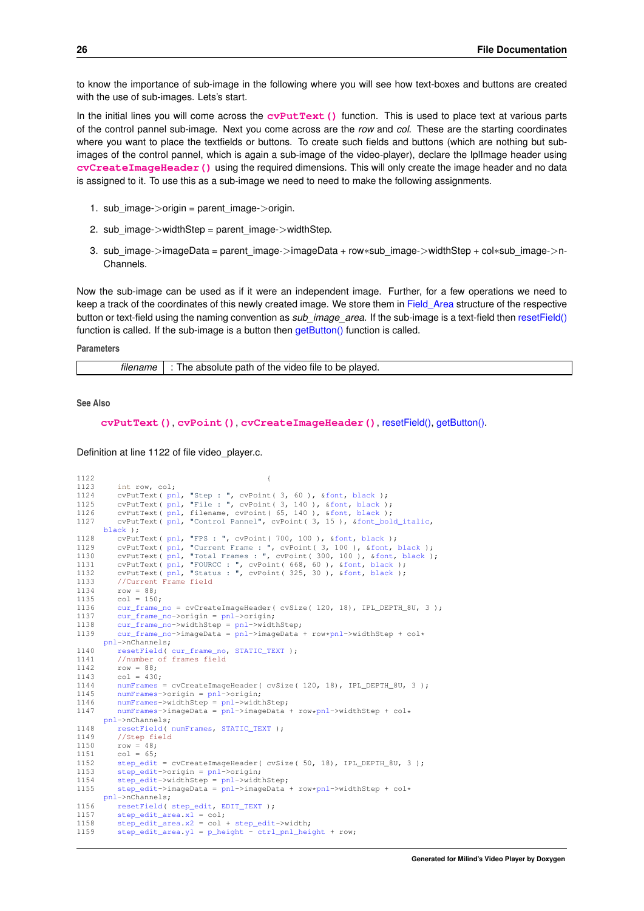to know the importance of sub-image in the following where you will see how text-boxes and buttons are created with the use of sub-images. Lets's start.

In the initial lines you will come across the **[cvPutText\(\)](http://opencv.willowgarage.com/documentation/c/core_drawing_functions.html?highlight=cvputtext#cvPutText)** function. This is used to place text at various parts of the control pannel sub-image. Next you come across are the *row* and *col*. These are the starting coordinates where you want to place the textfields or buttons. To create such fields and buttons (which are nothing but subimages of the control pannel, which is again a sub-image of the video-player), declare the IplImage header using **[cvCreateImageHeader\(\)](http://opencv.willowgarage.com/documentation/c/core_operations_on_arrays.html?highlight=createimageheader#cvCreateImageHeader)** using the required dimensions. This will only create the image header and no data is assigned to it. To use this as a sub-image we need to need to make the following assignments.

- 1. sub\_image->origin = parent\_image->origin.
- 2. sub\_image->widthStep = parent\_image->widthStep.
- 3. sub\_image->imageData = parent\_image->imageData + row∗sub\_image->widthStep + col∗sub\_image->n-Channels.

Now the sub-image can be used as if it were an independent image. Further, for a few operations we need to keep a track of the coordinates of this newly created image. We store them in Field Area structure of the respective button or text-field using the naming convention as *sub image area*. If the sub-image is a text-field then [resetField\(\)](#page-42-2) function is called. If the sub-image is a button then [getButton\(\)](#page-27-1) function is called.

#### **Parameters**

*filename* : The absolute path of the video file to be played.

#### **See Also**

**[cvPutText\(\)](http://opencv.willowgarage.com/documentation/c/core_drawing_functions.html?highlight=cvputtext#cvPutText)**, **[cvPoint\(\)](http://opencv.willowgarage.com/documentation/c/core_basic_structures.html?highlight=cvpoint#CvPoint)**, **[cvCreateImageHeader\(\)](http://opencv.willowgarage.com/documentation/c/core_operations_on_arrays.html?highlight=createimageheader#cvCreateImageHeader)**, [resetField\(\),](#page-42-2) [getButton\(\).](#page-27-1)

Definition at line 1122 of file video player.c.

```
11221123 int row, col;<br>1124 cvPutText(pn
1124 cvPutText( pnl, "Step : ", cvPoint( 3, 60 ), &font, black );
1125 cvPutText( pnl, "File : ", cvPoint( 3, 140 ), &font, black );
1126 cvPutText( pnl, filename, cvPoint( 65, 140 ), &font, black );
1127 cvPutText( pnl, "Control Pannel", cvPoint( 3, 15 ), &font_bold_italic,
     black );
1128 cvPutText( pnl, "FPS : ", cvPoint( 700, 100 ), &font, black );
1129 cvPutText( pnl, "Current Frame : ", cvPoint( 3, 100 ), &font, black );
1130 cvPutText( pnl, "Total Frames : ", cvPoint( 300, 100 ), &font, black );
1131 cvPutText( pnl, "FOURCC : ", cvPoint( 668, 60 ), &font, black );
1132 cvPutText( pnl, "Status : ", cvPoint( 325, 30 ), &font, black );
1133 //Current Frame field
1134 row = 88;<br>1135 col = 150
1135 col = 150;<br>1136 cur frame
         cur_frame_no = cvCreateImageHeader( cvSize( 120, 18), IPL_DEPTH_8U, 3 );
cur_frame_no-pnl->origin;<br>1138 cur_frame_no->widthSten = pnl->widt
cur_frame_no-pnl->widthStep;<br>1139 cur frame no->imageData = pnl->imageData
         pnl-*pnl->widthStep + col*pnl->nChannels;
resetField(cur_frame_no,STATIC_TEXT);<br>1141 //number of frames field
1141 //number of frames field<br>1142 row = 88:
         row = 88;
1143 col = 430;numFrames = cvCreateImageHeader( cvSize( 120, 18), IPL_DEPTH_8U, 3);
1145 numFrames->origin = pnl->origin;
1146 numFrames->widthStep = pnl->widthStep;
numFrames-pnl-*pnl->widthStep + col*
      pnl->nChannels;
1148 resetField( numFrames, STATIC_TEXT );
1149 //Step field
1150 row = 48;
1151 col = 65;<br>1152 step edit
1152 step_edit = cvCreateImageHeader( cvSize( 50, 18), IPL_DEPTH_8U, 3 );
         step\_edit\rightarrow origin = pn1\rightarrow origin;step_edit-pnl->widthStep;<br>1155 step_edit->imageData = pnl->imageData
              1155 step_edit->imageData = pnl->imageData + row*pnl->widthStep + col*
      pnl->nChannels;
1156 resetField( step_edit, EDIT_TEXT );
step_edit_area.x1 = col:step_edit_area.x2step_edit->width;<br>1159 step_edit_area_v1 = p_beight - ctrl_ppl_bei
         .y1 = p\_height -ctrl\_pnl\_height + row;
```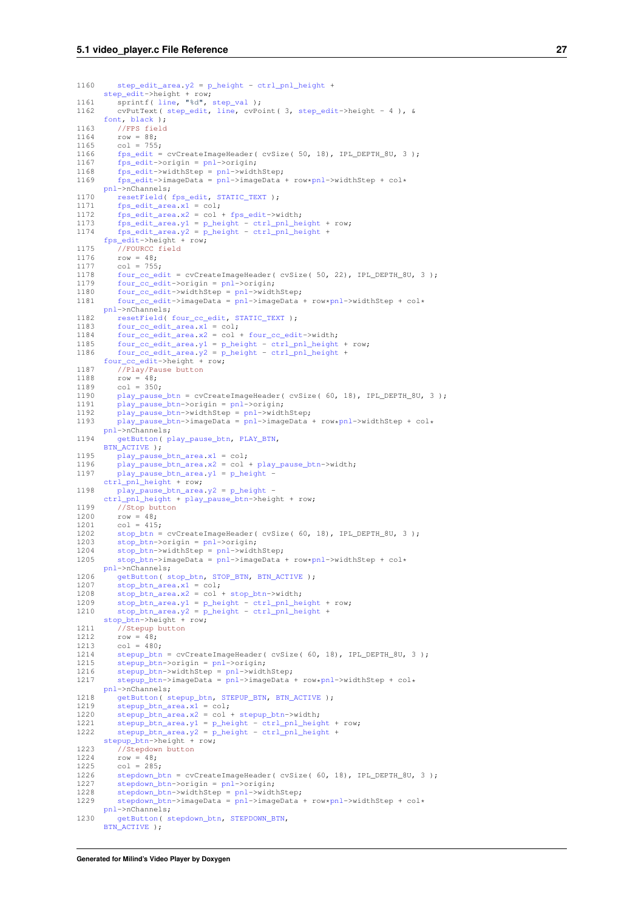```
1160 step_edit_area.y2 = p_height - ctrl_pnl_height +
step_edit->height + row;
1161 sprintf( line, "%d", step_val );
1162 cvPutText( step_edit, line, cvPoint( 3, step_edit->height - 4 ), &
       font, black );
1163 //FPS field<br>1164 row = 88;
1164 row = 88;<br>1165 col = 7551165 col = 755;<br>1166 fos edit =
          1166 fps_edit = cvCreateImageHeader( cvSize( 50, 18), IPL_DEPTH_8U, 3 );
1167 fps_edit->origin = pnl->origin;
1168 fps_edit->widthStep = pnl->widthStep;
1169 fps_edit->imageData = pnl->imageData + row*pnl->widthStep + col*
      pnl->nChannels;
resetField(fps_edit,STATIC_TEXT);<br>1171 fps_edit_area.x1 = col;
           .x1 = col;1172 fps_edit_area.x2 = col + fps_edit->width;
1173 fps_edit_area.y1 = p_height - ctrl_pnl_height + row;
1174 fps_edit_area.y2 = p_height - ctrl_pnl_height +
fps_edit->height + row;
1175 //FOURCC field<br>1176 row = 48:
1176 row = 48;<br>1177 col = 755;
four_cc_edit = cvCreateImageHeader( cvSize( 50, 22), IPL_DEPTH_8U, 3);<br>1179 four cc edit->origin = pnl->origin;
four_cc_edit-pnl->widt
four_cc_edit-pnl->widthStep;<br>1181 four cc edit->imageData = pnl->imageData
           100 \text{ m}four_cc_edit-pnl-*pnl->widthStep + col*
      pnl->nChannels;
1182 resetField( four_cc_edit, STATIC_TEXT );
four_cc_edit_area.x1 = col;<br>1184 four cc edit area.x2 = col;
           x2 = col + four\_cc\_edit->width;1185 four_cc_edit_area.y1 = p_height - ctrl_pnl_height + row;
1186 four_cc_edit_area.y2 = p_height - ctrl_pnl_height +
       four\_cc\_edit \rightarrow height + row;1187 //Play/Pause button
1188 row = 48;<br>1189 col = 350;
play_pause_btn = cvCreateImageHeader( cvSize( 60, 18), IPL_DEPTH_8U, 3 );<br>1191 play_pause_btn->origin = pnl->origin:
play_pause_btn-pnl->origin;<br>1192 play_pause_btn->widthStep = pnl->widt
play_pause_btn-pnl->widthStep;<br>1193 play_pause_btn->imageData = pnl->imageData
           112pnl-*pnl->widthStep + col*
      pnl->nChannels;
1194 getButton( play_pause_btn, PLAY_BTN,
       BTN_ACTIVE );
play_pause_btn_area.x1 = col;
play_pause_btn_area.x2play_pause_btn->width;<br>1197 play_pause_btn_area_v1 = p_height -
           .y1 = p\_heightctrl_pnl_height + row;
play_pause_btn_area.y2p_height -
       ctrl_pnl_height + play_pause_btn->height + row;
1199 //Stop button<br>1200 row = 48:
1200 row = 48;<br>1201 col = 415col = 415;1202 stop_btn = cvCreateImageHeader( cvSize( 60, 18), IPL_DEPTH_8U, 3 );
stop_btn->origin = pnl->origin;<br>1204 stop_btn->widthStep = pnl->widt
           stop_btn-pnl->widthStep;
1205 stop_btn->imageData = pnl->imageData + row*pnl->widthStep + col*
       pnl->nChannels;
getButton(stop_btn,STOP_BTN,BTN_ACTIVE );<br>1207 stop btn area yl = col;
           .x1 = col;1208 stop_btn_area.x2 = col + stop_btn->width;
1209 stop_btn_area.y1 = p_height - ctrl_pnl_height + row;
1210 stop_btn_area.y2 = p_height - ctrl_pnl_height +
       stop_btn->height + row;
1211 //Stepup button<br>1212 row = 481212 row = 48;<br>1213 col = 480col = 480:
stepup_btn = cvCreateImageHeader( cvSize( 60, 18), IPL_DEPTH_8U, 3);<br>1215 stepup btn->origin = pnl->origin:
stepup_btn-pnl->origin;<br>1216 stepup btn->widthStep = pnl->widt
1216 stepup_btn->widthStep = pnl->widthStep;
1217 stepup_btn->imageData = pnl->imageData + row*pnl->widthStep + col*
       pnl->nChannels;
1218 getButton( stepup_btn, STEPUP_BTN, BTN_ACTIVE );
stepup_btn_area.x1 = col;<br>1220 stepup btn area.x2 = col +
           stepup\_bin\_area.n1 cc_1stepup_btn_area.x2stepup_btn->width;
stepup_btn_area.y1p_heightctrl_pnl_height.y2 = p_height - ctrl_pnl_height +
       stepup_btn->height + row;
1223 //Stepdown button
1224 row = 48:
1225 \cot = 285;<br>1226 \cot = 285;stepdown_btn = cvCreateImageHeader( cvSize( 60, 18), IPL_DEPTH_8U, 3);<br>1227 stepdown_btn->origin = pnl->origin:
           stepdown_btn\rightarrow origin = pn1\rightarrow origin;1228 stepdown_btn->widthStep = pnl->widthStep;
1229 stepdown_btn->imageData = pnl->imageData + row*pnl->widthStep + col*
       pnl->nChannels;
getButton(stepdown_btn, STEPDOWN BTN,
       BTN_ACTIVE );
```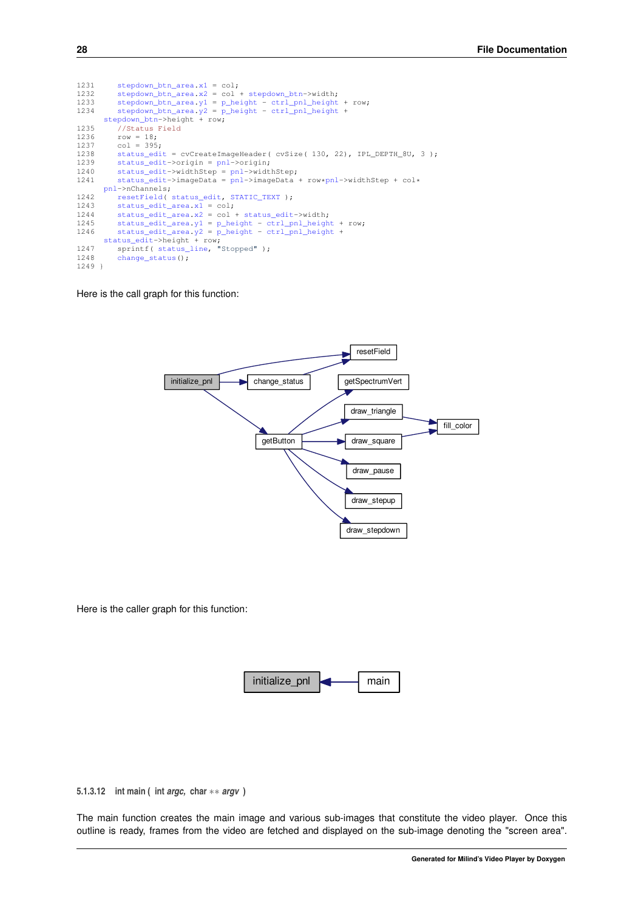```
stepdown_btn_area.x1 = col;<br>1232 stepdown htn area.x2 = col;
stepdown_btn_area.x2stepdown_btn->width;<br>1233 stepdown_btn_area.y1 = p_height - ctrl_pnl_height
1233 stepdown_btn_area.y1 = p_height - ctrl_pnl_height + row;
1234 stepdown_btn_area.y2 = p_height - ctrl_pnl_height +
stepdown_btn->height + row;
1235 //Status Field<br>1236 row = 18;
1236 row = 18;
1237 col = 395;
status_edit = cvCreateImageHeader( cvSize( 130, 22), IPL_DEPTH_8U, 3);
1239 status_edit->origin = pnl->origin;
1240 status_edit->widthStep = pnl->widthStep;
1241 status_edit->imageData = pnl->imageData + row*pnl->widthStep + col*
       pnl->nChannels;
resetField(status_edit,STATIC_TEXT);<br>1243 status_edit_area.x1 = col;
           status_edit_area.x\overline{1} = col;
1244 status_edit_area.x2 = col + status_edit->width;
1245 status_edit_area.y1 = p_height - ctrl_pnl_height + row;
1246 status_edit_area.y2 = p_height - ctrl_pnl_height +
status_edit->height + row;
status_line, "Stopped");<br>1248 change status();
           change_status();
1249 }
```
Here is the call graph for this function:



Here is the caller graph for this function:



<span id="page-33-1"></span><span id="page-33-0"></span>**5.1.3.12 int main ( int** *argc,* **char** ∗∗ *argv* **)**

The main function creates the main image and various sub-images that constitute the video player. Once this outline is ready, frames from the video are fetched and displayed on the sub-image denoting the "screen area".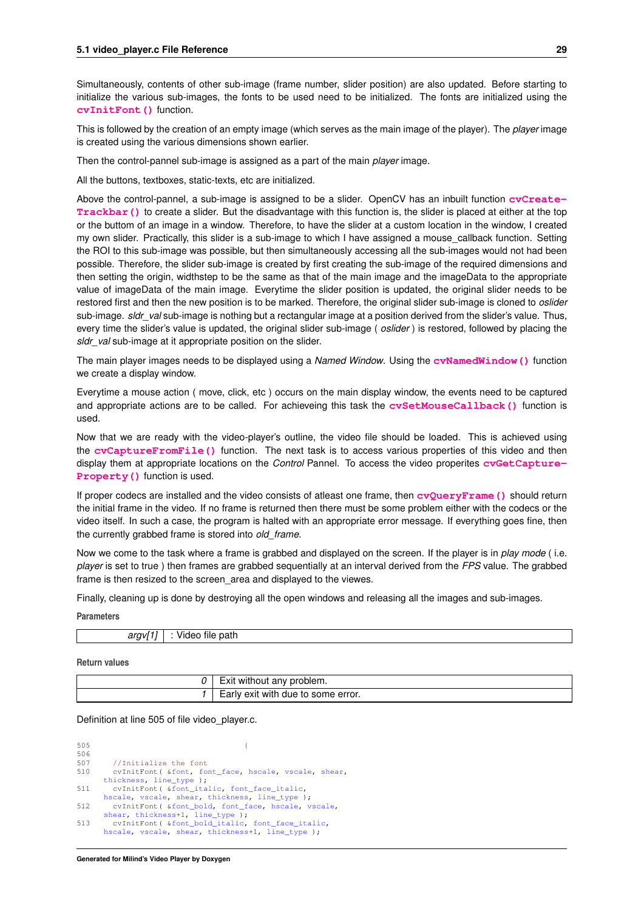Simultaneously, contents of other sub-image (frame number, slider position) are also updated. Before starting to initialize the various sub-images, the fonts to be used need to be initialized. The fonts are initialized using the **[cvInitFont\(\)](http://opencv.willowgarage.com/documentation/c/core_drawing_functions.html?highlight=initfont#cvInitFont)** function.

This is followed by the creation of an empty image (which serves as the main image of the player). The *player* image is created using the various dimensions shown earlier.

Then the control-pannel sub-image is assigned as a part of the main *player* image.

All the buttons, textboxes, static-texts, etc are initialized.

Above the control-pannel, a sub-image is assigned to be a slider. OpenCV has an inbuilt function **[cvCreate-](http://opencv.willowgarage.com/documentation/c/highgui_user_interface.html?highlight=createtrackbar#cvCreateTrackbar)[Trackbar\(\)](http://opencv.willowgarage.com/documentation/c/highgui_user_interface.html?highlight=createtrackbar#cvCreateTrackbar)** to create a slider. But the disadvantage with this function is, the slider is placed at either at the top or the buttom of an image in a window. Therefore, to have the slider at a custom location in the window, I created my own slider. Practically, this slider is a sub-image to which I have assigned a mouse\_callback function. Setting the ROI to this sub-image was possible, but then simultaneously accessing all the sub-images would not had been possible. Therefore, the slider sub-image is created by first creating the sub-image of the required dimensions and then setting the origin, widthstep to be the same as that of the main image and the imageData to the appropriate value of imageData of the main image. Everytime the slider position is updated, the original slider needs to be restored first and then the new position is to be marked. Therefore, the original slider sub-image is cloned to *oslider* sub-image. *sldr\_val* sub-image is nothing but a rectangular image at a position derived from the slider's value. Thus, every time the slider's value is updated, the original slider sub-image ( *oslider* ) is restored, followed by placing the *sldr\_val* sub-image at it appropriate position on the slider.

The main player images needs to be displayed using a *Named Window*. Using the **[cvNamedWindow\(\)](http://opencv.willowgarage.com/documentation/c/highgui_user_interface.html?highlight=namedwindow#cvNamedWindow)** function we create a display window.

Everytime a mouse action ( move, click, etc ) occurs on the main display window, the events need to be captured and appropriate actions are to be called. For achieveing this task the **[cvSetMouseCallback\(\)](http://opencv.willowgarage.com/documentation/c/highgui_user_interface.html?highlight=setmousecallback#cvSetMouseCallback)** function is used.

Now that we are ready with the video-player's outline, the video file should be loaded. This is achieved using the **[cvCaptureFromFile\(\)](http://opencv.willowgarage.com/documentation/c/highgui_reading_and_writing_images_and_video.html?highlight=capture#cvCaptureFromFile)** function. The next task is to access various properties of this video and then display them at appropriate locations on the *Control* Pannel. To access the video properites **[cvGetCapture-](http://opencv.willowgarage.com/documentation/c/highgui_reading_and_writing_images_and_video.html?highlight=cvgetcaptureproperty#cvGetCaptureProperty)[Property\(\)](http://opencv.willowgarage.com/documentation/c/highgui_reading_and_writing_images_and_video.html?highlight=cvgetcaptureproperty#cvGetCaptureProperty)** function is used.

If proper codecs are installed and the video consists of atleast one frame, then **[cvQueryFrame\(\)](http://opencv.willowgarage.com/documentation/c/highgui_reading_and_writing_images_and_video.html?highlight=cvqueryframe#cvQueryFrame)** should return the initial frame in the video. If no frame is returned then there must be some problem either with the codecs or the video itself. In such a case, the program is halted with an appropriate error message. If everything goes fine, then the currently grabbed frame is stored into *old\_frame*.

Now we come to the task where a frame is grabbed and displayed on the screen. If the player is in *play mode* ( i.e. *player* is set to true ) then frames are grabbed sequentially at an interval derived from the *FPS* value. The grabbed frame is then resized to the screen\_area and displayed to the viewes.

Finally, cleaning up is done by destroying all the open windows and releasing all the images and sub-images.

**Parameters**

| - - -<br>. . | $\sim$<br>- - -<br>path<br>ue. |
|--------------|--------------------------------|
|              |                                |

**Return values**

| Exit without any problem.          |
|------------------------------------|
| Early exit with due to some error. |

Definition at line 505 of file video\_player.c.

505 { 506<br>507 //Initialize the font 510 cvInitFont( [&font,](#page-47-10) [font\\_face,](#page-47-15) [hscale,](#page-50-12) [vscale,](#page-56-10) [shear,](#page-52-10) [thickness,](#page-55-13) [line\\_type](#page-50-13) ); 511 cvInitFont( [&font\\_italic,](#page-47-11) [font\\_face\\_italic,](#page-47-14) [hscale,](#page-50-12) [vscale,](#page-56-10) [shear,](#page-52-10) [thickness,](#page-55-13) [line\\_type](#page-50-13) ); 512 cvInitFont( [&font\\_bold,](#page-47-12) [font\\_face,](#page-47-15) [hscale,](#page-50-12) [vscale,](#page-56-10) [shear,](#page-52-10) [thickness+](#page-55-13)1, [line\\_type](#page-50-13) ); 513 cvInitFont( [&font\\_bold\\_italic,](#page-47-13) [font\\_face\\_italic,](#page-47-14) [hscale,](#page-50-12) [vscale,](#page-56-10) [shear,](#page-52-10) [thickness+](#page-55-13)1, [line\\_type](#page-50-13) );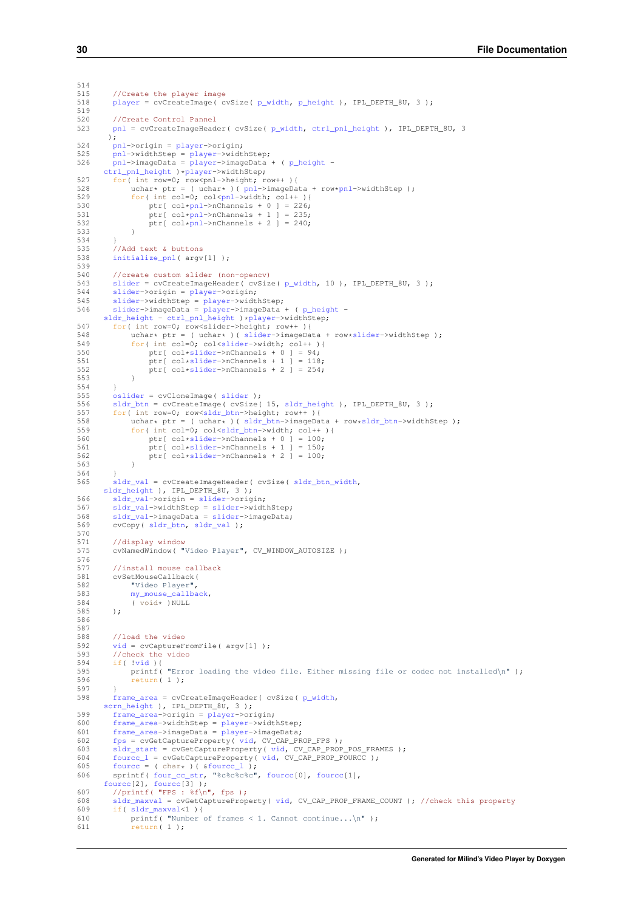```
514<br>515
515 //Create the player image<br>518 player = cyCreateImage (c)
         playerp_width,p_height ), IPL_DEPTH_8U, 3 );
519
520 //Create Control Pannel<br>523 mpl = cyCreateImageHead
         pnlp_width,ctrl_pnl_height ), IPL_DEPTH_8U, 3
        );
pnl-player->origin;<br>525 pnl->widthStep = player->widt
         pnl-player->widthStep;
526 pnl->imageData = player->imageData + ( p_height -
       ctrl_pnl_height*player->widthStep;
pnl-*pnl->widthStep );
529 for( int col=0; col <a>>
col +>
col++ ) {<br>530 for ( col + pnl ->
nChannels + 0 1 = 226;
530 ptr[ col*pnl->nChannels + 0 ] = 226;
531 ptr[ col*pnl->nChannels + 1 ] = 235;
532 ptr[ *pnl->nChannels + 2 ] = 240;<br>533 }
533 }
534 }
535 //Add text & buttons<br>538 initialize ppl (argy
         initialize_pnl( argv[1] );
539
540 //create custom slider (non-opencv)<br>543 slider = cvCreateImageHeader(cvSiz
sliderp_width, 10 ), IPL_DEPTH_8U, 3 );<br>544 slider->origin = player->origin;
slider-player->origin;<br>545 slider->widthStep = player->widt
slider-player->widthStep;<br>546 slider->imageData = player->imageData
          slider-player->imageData + (p\_height -sldr_heightctrl_pnl_height*player->widthStep;
547 for int row=0; row-slider->height; row++ ) {<br>548 uchar* ptr = (uchar* ) (slider->imageDa
slider-*slider->widthStep );<br>549 for( int col=0: colsslider->width: col++ ){
<slider->width; col++ ) {<br>550 for (col+slider->nChannels + 0 l = 94:
*slider->nChannels + 0 ] = 94;<br>551 ptr [ col*slider->nChannels + 1 ] = 118
*slider->nChannels + 1 ] = 118;<br>552 ptr[ col*slider->nChannels + 2 ] = 254;
              ptr[ col*slideer->nChannels + 2 ] = 254;
553 }
554 }
osliderslider );<br>556 sldr btn = cvCreateImage( cvSize(
sldr_btnsldr_height ), IPL_DEPTH_8U, 3 );<br>557 for( int row=0: row<sldr btn->beight: row++ ){
<sldr_btn->height; row++ ){<br>558 upbart ntr = ( upbart )( sldr btn->imageDa
558 uchar* ptr = ( uchar* )( sldr_btn\rightarrow imageData + row*sldr_btn\rightarrow widthStep );<br>559 for( int col=0: col<sldr htn->width: col++ ){
              559 for( int col=0; col<sldr_btn->width; col++ ){
560 ptr[ col*slider->nChannels + 0 ] = 100;
561 ptr[ col*slider->nChannels + 1 ] = 150;
*slider->nChannels + 2 ] = 100;<br>563 }
563 }
564 }<br>565 s
         sldr_valsldr_btn_width,
       sldr_height ), IPL_DEPTH_8U, 3 );
slider->origin;
sldr_val-slider->widthStep;<br>568 sldr_val->imageData = slider->imageData;
sldr_val-slider->imageData;<br>568 sldr_val->imageData = slider->imageData;<br>569 cvCopy(sldr_btn, sldr_val);
         sldr_btn,sldr_val );
570
571 //display window<br>575 cvNamedWindow("
         575 cvNamedWindow( "Video Player", CV_WINDOW_AUTOSIZE );
576<br>577
577 //install mouse callback<br>581 cvSetMouseCallback(
581 cvSetMouseCallback(
              "Video Player",
583 my_mouse_callback,
584 (void* )NULL<br>585 ):
585 );
586
587<br>588
588 //load the video<br>592 \frac{\text{vid}}{\text{vid}} = \text{cvCantureF}vid = cvCaptureFromFile( argv[1]) );
593 //check the video<br>594 if (!vid ) {
594 if( !vid ){
595 printf( "Error loading the video file. Either missing file or codec not installed\ln" );<br>596 peturn(1):
              return( 1 );
597 }
598 frame_area = cvCreateImageHeader( cvSize( p_width,
       scrn_height ), IPL_DEPTH_8U, 3 );
599 frame_area->origin = player->origin;
600 frame_area->widthStep = player->widthStep;
601 frame_area->imageData = player->imageData;
602 fpsvid, CV_CAP\_PRODEFS);<br>603 sldr start = cvGetCaptureProperty( vid. CV, CAP, PROP
         \frac{1}{10}sldr_startvid, CV_CAP_PROP_POS_FRAMES );
604 fourcc_l = cvGetCaptureProperty( vid, CV_CAP_PROP_FOURCC );
605 fourcc = ( char* )( &fourcc_l );
606 sprintf( four_cc_str, "%c%c%c%c", fourcc[0], fourcc[1],
       fource[2], fource[3] );
607 //printf( "FPS : f\infty", fps );<br>608 sldr maxyal = cyGetCaptureProp
sldr_maxvalvid, CV_CAP_PROP_FRAME_COUNT ); //check this property<br>609 if( sldr maxval<1 ){
         if( sldr maxval <1 ) {
610 printf( "Number of frames < 1. Cannot continue...\n");<br>611 printf( "Number of frames < 1. Cannot continue...\n");
              return(1);
```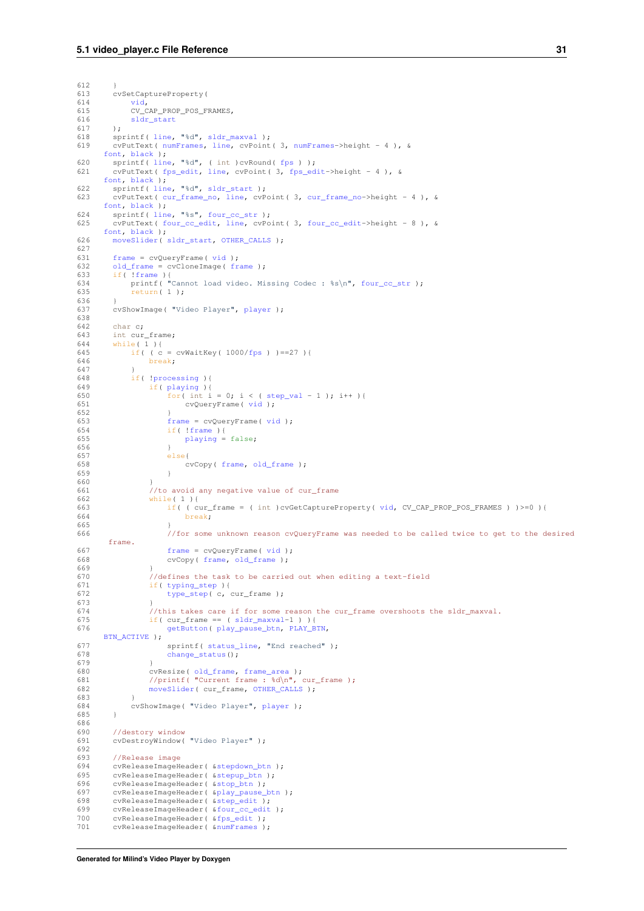```
612<br>613613 cvSetCaptureProperty(
            614 vid,
615 CV_CAP_PROP_POS_FRAMES,
616 sldr_start
617 );<br>618 sp:
line,sldr_maxval );<br>619 sprintf( line, "%d", sldr_maxval );
        619 cvPutText( numFrames, line, cvPoint( 3, numFrames->height - 4 ), &
      font, black );
620 sprintf( line, "%d", ( int )cvRound( fps ) );
621 cvPutText( fps_edit, line, cvPoint( 3, fps_edit->height - 4 ), &
      font, black );
line,sldr_start );<br>623 cvPutText( cur frame no, line, cvP
        623 cvPutText( cur_frame_no, line, cvPoint( 3, cur_frame_no->height - 4 ), &
      font, black );
624 sprintf( line, "%s", four_cc_str );
625 cvPutText( four_cc_edit, line, cvPoint( 3, four_cc_edit->height - 8 ), &
      font, black );
626 moveSlider( sldr_start, OTHER_CALLS );
627<br>631
frame = vid);<br>632 old frame = cvCloneImage( fr)old_frameframe );
633 if( !frame ){
634 printf( "Cannot load video. Missing Codec : %s\n", four_cc_str );
635 return( 1 );
636<br>637
        player );
638
642 char c;<br>643 int cur
        int cur_frame:
644 while( 1 ) {<br>645 if( ( c
645 if( /fps) ) == 27) {<br>646 break;
                break;
647 }
648 if( !processing ){
649 if( playing ){
step_val - 1 ); i++ ){<br>651 cyclueryFrame ( vid ):
                        vid );
652653 \frac{1}{2}framevid );
                    !frame ){
655playing = false;
656<br>657
                    else{658 cvCopy( frame, old_frame );
659660661 //to avoid any negative value of cur_frame
662 while( 1 ){
663 if( ( cur_frame = ( int )cvGetCaptureProperty( vid, CV_CAP_PROP_POS_FRAMES ) )>=0 ){
                        break;
665 }
666 //for some unknown reason cvQueryFrame was needed to be called twice to get to the desired
       frame.
framevid);
668 cvCopy( frame, old_frame );
669<br>670
670 //defines the task to be carried out when editing a text-field<br>671 if (typing step ) /
                typing_step ) {
672 type_step( c, cur_frame );
673 }
674 //this takes care if for some reason the cur_frame overshoots the sldr_maxval.<br>675 if (cur frame == (sldr maxval-1)) {
                if( cur_frame == ( sldr_maxval-1 ) ){
676 getButton( play_pause_btn, PLAY_BTN,
      BTN_ACTIVE );
status_line, "End reached" );<br>678 change status():
                    change_status();
679 }
old_frame,frame_area );<br>681 //printf( "Current frame : d\ln", cur_frame );
682 moveSlider( cur_frame, OTHER_CALLS );
683 }
684 cvShowImage( "Video Player", player );
685 }
686<br>690
690 //destory window<br>691 cvDestroyWindow(
        cvDestroyWindow( "Video Player" );
692693 //Release image
694 cvReleaseImageHeader( & stepdown_btn);<br>695 cvReleaseImageHeader( & stepup_btn);
er en en een mageHeader( & stepup_btn );<br>696 cvReleaseImageHeader( & stepup_btn );
696 cvReleaseImageHeader( & stop_btn);<br>697 cvReleaseImageHeader( & play_pause
&play_pause_btn);<br>698 cvReleaseImageHeader( & step edit);
698 cvReleaseImageHeader( \frac{6}{x}step_edit);<br>699 cyReleaseImageHeader( \frac{6}{x}four co-edit
&four_cc_edit&fps_edit );
701 cvReleaseImageHeader( &numFrames );
```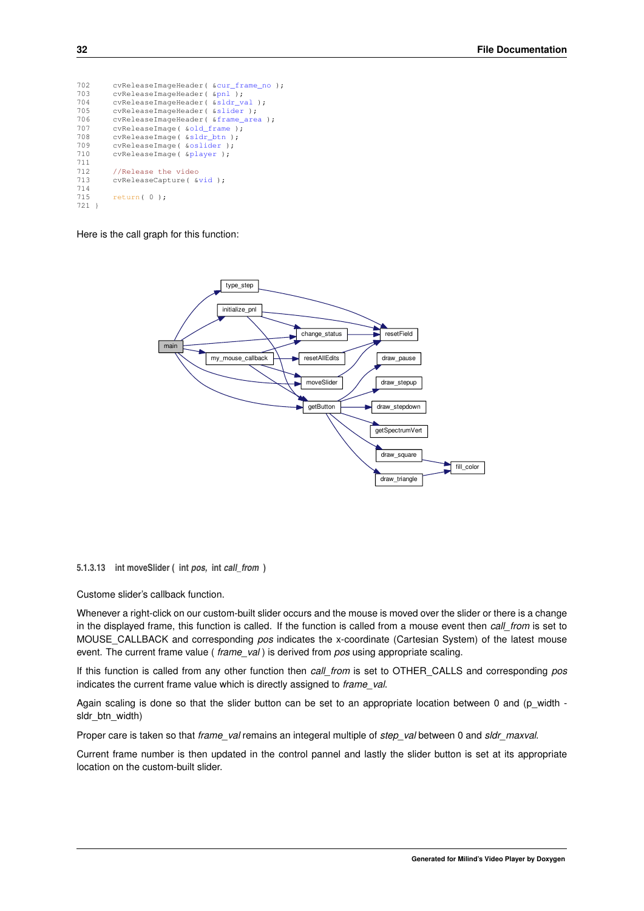<span id="page-37-2"></span>

| cvReleaseImageHeader( &cur frame no ); |
|----------------------------------------|
| cvReleaseImageHeader( &pnl);           |
| cvReleaseImageHeader( &sldr val );     |
| cvReleaseImaqeHeader( &slider );       |
| cvReleaseImageHeader( &frame_area );   |
| cvReleaseImage( &old frame );          |
| cvReleaseImage( &sldr btn );           |
| cvReleaseImage( &oslider );            |
| cvReleaseImage( &player );             |
|                                        |
| //Release the video                    |
| cvReleaseCapture( &vid );              |
|                                        |
| return $(0)$ ;                         |
|                                        |
|                                        |

Here is the call graph for this function:



<span id="page-37-1"></span><span id="page-37-0"></span>**5.1.3.13 int moveSlider ( int** *pos,* **int** *call\_from* **)**

Custome slider's callback function.

Whenever a right-click on our custom-built slider occurs and the mouse is moved over the slider or there is a change in the displayed frame, this function is called. If the function is called from a mouse event then *call\_from* is set to MOUSE\_CALLBACK and corresponding *pos* indicates the x-coordinate (Cartesian System) of the latest mouse event. The current frame value ( *frame\_val* ) is derived from *pos* using appropriate scaling.

If this function is called from any other function then *call\_from* is set to OTHER\_CALLS and corresponding *pos* indicates the current frame value which is directly assigned to *frame\_val*.

Again scaling is done so that the slider button can be set to an appropriate location between 0 and (p\_width sldr\_btn\_width)

Proper care is taken so that *frame\_val* remains an integeral multiple of *step\_val* between 0 and *sldr\_maxval*.

Current frame number is then updated in the control pannel and lastly the slider button is set at its appropriate location on the custom-built slider.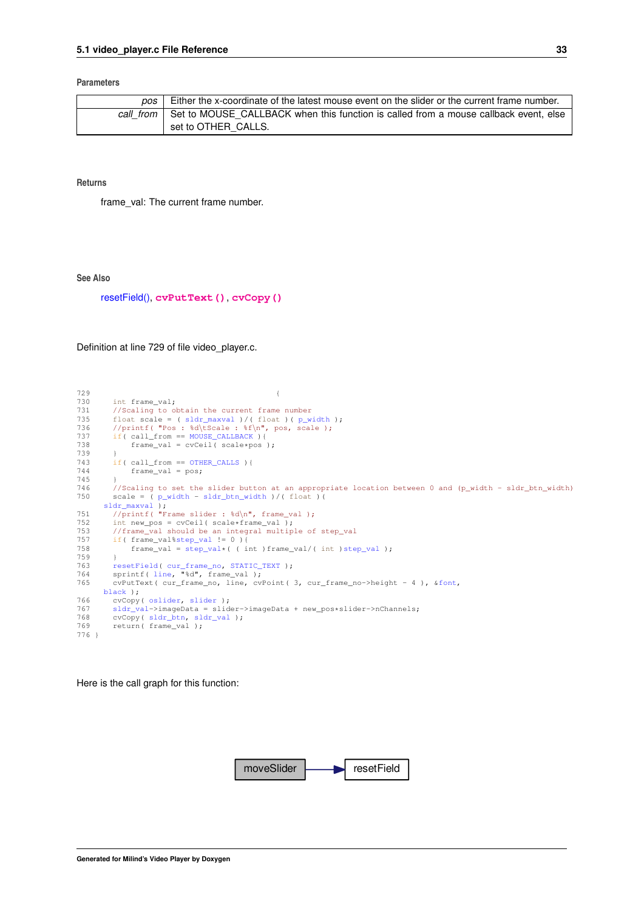#### **Parameters**

| pos l | Either the x-coordinate of the latest mouse event on the slider or the current frame number.   |
|-------|------------------------------------------------------------------------------------------------|
|       | call from Set to MOUSE CALLBACK when this function is called from a mouse callback event, else |
|       | set to OTHER CALLS.                                                                            |

**Returns**

frame\_val: The current frame number.

**See Also**

[resetField\(\),](#page-42-2) **[cvPutText\(\)](http://opencv.willowgarage.com/documentation/c/core_drawing_functions.html?highlight=put#cvPutText)**, **[cvCopy\(\)](http://opencv.willowgarage.com/documentation/c/core_operations_on_arrays.html?highlight=copy#cvCopy)**

Definition at line 729 of file video\_player.c.

```
729 {
729<br>730 int frame_val;<br>731 //Scaling to o
731 //Scaling to obtain the current frame number<br>735 float scale = (sldr_maxval)/(float)(p_w.
sldr_maxvalp_width );<br>736 //printf( "Pos : %d\tScale : %f\n", pos, scale );
737 if( call_from == MOUSE_CALLBACK ){
738 frame_val = cvCeil( scale*pos );<br>739 }
739 }
743 OTHER_CALLS)<br>744 frame val = pos;
               frame_val = pos;745 }
746 //Scaling to set the slider button at an appropriate location between 0 and (p_width - sldr_btn_width)<br>750 scale = (p_width - sldr_btn_width))(float)(
          scale = ( p\_width - sldr\_btn\_width ) / ( float )sldr_maxval );<br>
751     //printf( "Frame slider : d\pi, frame_val );<br>
752       int new_pos = cvCeil( scale*frame_val );
753 //frame_val should be an integral multiple of step_val<br>757 if (frame val sstep val != 0 ) {
%step_val != 0 ){<br>758 frame val = step val*( ( i
         frame_val = step\_val * ( ( int ) frame\_val / ( int ) step\_val );
759 }
resetField(cur_frame_no,STATIC_TEXTline, "%d", frame_val);
765 cvPutText( cur_frame_no, line, cvPoint( 3, cur_frame_no->height - 4 ), &font,
       black );
766 cvCopy( oslider, slider );
767 sldr_val->imageData = slider->imageData + new_pos*slider->nChannels;
768 cvCopy( sldr_btn, sldr_val );
769 return( frame_val );
776 }
```
Here is the call graph for this function:

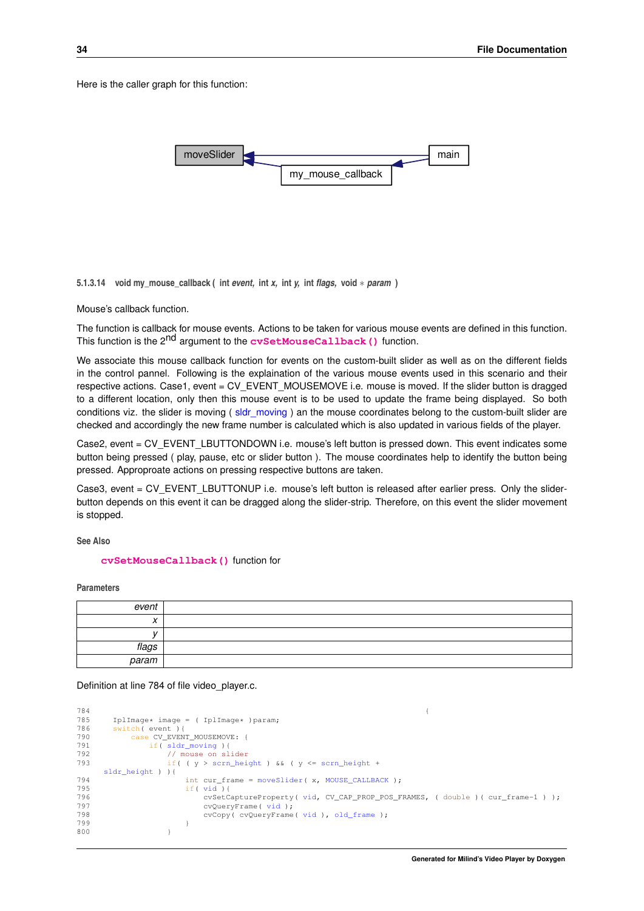<span id="page-39-2"></span>Here is the caller graph for this function:



<span id="page-39-1"></span><span id="page-39-0"></span>**5.1.3.14 void my\_mouse\_callback ( int** *event,* **int** *x,* **int** *y,* **int** *flags,* **void** ∗ *param* **)**

Mouse's callback function.

The function is callback for mouse events. Actions to be taken for various mouse events are defined in this function. This function is the 2nd argument to the **[cvSetMouseCallback\(\)](http://opencv.willowgarage.com/documentation/c/highgui_user_interface.html?highlight=setmousecallback#cvSetMouseCallback)** function.

We associate this mouse callback function for events on the custom-built slider as well as on the different fields in the control pannel. Following is the explaination of the various mouse events used in this scenario and their respective actions. Case1, event = CV\_EVENT\_MOUSEMOVE i.e. mouse is moved. If the slider button is dragged to a different location, only then this mouse event is to be used to update the frame being displayed. So both conditions viz. the slider is moving ([sldr\\_moving](#page-53-9)) an the mouse coordinates belong to the custom-built slider are checked and accordingly the new frame number is calculated which is also updated in various fields of the player.

Case2, event = CV\_EVENT\_LBUTTONDOWN i.e. mouse's left button is pressed down. This event indicates some button being pressed ( play, pause, etc or slider button ). The mouse coordinates help to identify the button being pressed. Approproate actions on pressing respective buttons are taken.

Case3, event = CV\_EVENT\_LBUTTONUP i.e. mouse's left button is released after earlier press. Only the sliderbutton depends on this event it can be dragged along the slider-strip. Therefore, on this event the slider movement is stopped.

**See Also**

**[cvSetMouseCallback\(\)](http://opencv.willowgarage.com/documentation/c/highgui_user_interface.html?highlight=setmousecallback#cvSetMouseCallback)** function for

**Parameters**

| event                                 |  |
|---------------------------------------|--|
| $\overline{\phantom{a}}$<br>$\lambda$ |  |
|                                       |  |
| flags                                 |  |
| param                                 |  |

Definition at line 784 of file video\_player.c.

```
784785 IplImage* image = ( IplImage* )param;<br>786 switch( event ){
     switch( event ) {
790 case CV_EVENT_MOUSEMOVE: {
791 if( sldr_moving ){
792 // mouse on slider
793 if( ( y > scrn_height ) && ( y <= scrn_height +
    sldr height ) ) {
moveSlider(MOUSE_CALLBACK );<br>795 if( yid ) {
vid ){<br>796 cySetC
                    796 cvSetCaptureProperty( vid, CV_CAP_PROP_POS_FRAMES, ( double )( cur_frame-1 ) );
vid);<br>798 cvCopy(cvOueryFrame)
                    vidold_frame );
799 }
800 }
```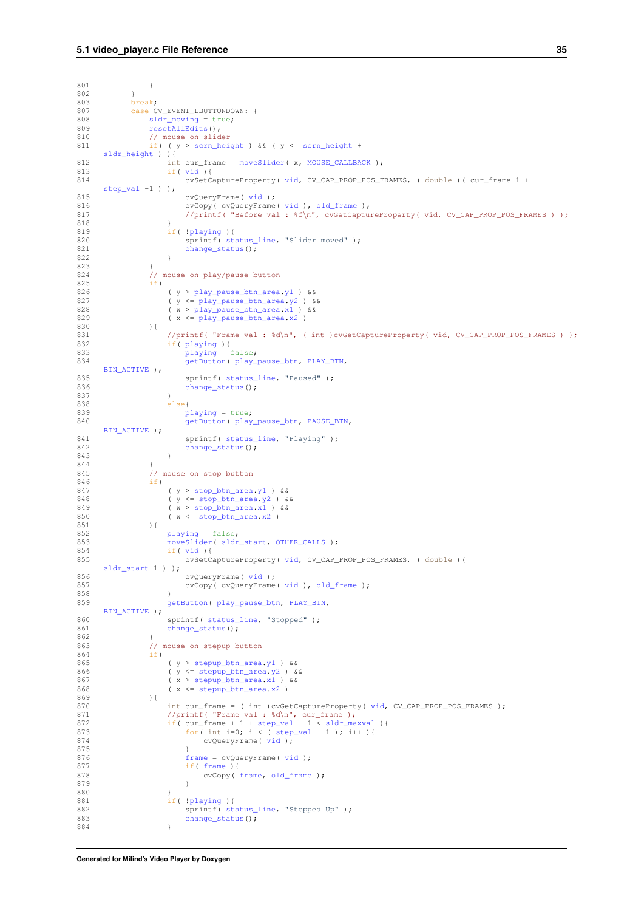```
801 }
802<br>803break;
807 case CV_EVENT_LBUTTONDOWN: {
sldr_moving = true;<br>809 resetAllEdits();
resetAllEdits();<br>810 // mouse on slid
810 // mouse on slider<br>811 if ( (y > scrn_hei
             if( (y >scrn_height) && (y < = scrn_height +
     sldr_height ) ){
moveSlider(MOUSE_CALLBACK );
813 if( vid ){
814 cvSetCaptureProperty( vid, CV_CAP_PROP_POS_FRAMES, ( double )( cur_frame-1 +
     step_val -1 ) );
vid );<br>816 cvCopy( cvQueryFrame
816 cvCopy( cvQueryFrame( vid ), old_frame );
817 //printf( "Before val : %f\n", cvGetCaptureProperty( vid, CV_CAP_PROP_POS_FRAMES ) );
818 }
819 if( !playing ){
820 sprintf( status_line, "Slider moved" );
change_status();
822 }
823 }
824 // mouse on play/pause button<br>825 if (
825 if(
826 ( .y1 ) &68<br>827 ( y < = play\_pause\_btn\_area.v2 ) &68827 y2}) & 828 (y \geq p \text{ lay pause_btn\_area_y1}) & 828
828 .x1) & ( x < plan/>pause\_btn\_area.x2)829 ( x <= play_pause_btn_area.x2 )
830 ) {
                831 //printf( "Frame val : %d\n", ( int )cvGetCaptureProperty( vid, CV_CAP_PROP_POS_FRAMES ) );
playing ) {<br>
833 playing = false;
834 getButton(play_pause_btn,PLAY_BTN,
     BTN_ACTIVE );
status_line, "Paused" );<br>836 schange status();
                    change_status();
837 }
838 else{
playing = true;<br>840 set<sup>But</sup>buton(play)
                    getButton(play_pause_btn,PAUSE_BTN,
     BTN_ACTIVE );
status_line,change_status();
843 }
844<br>845845 // mouse on stop button<br>846 if (
             if(847 ( y > stop_btn_area.y1 ) &&
848 ( y <= stop_btn_area.y2 ) &&
849 ( x > stop_btn_area.x1 ) &&
850 .x2)<br>851 ) {
851
852 playing = false;
853 moveSlider( sldr_start, OTHER_CALLS );
854 if( vid ){
855 cvSetCaptureProperty( vid, CV_CAP_PROP_POS_FRAMES, ( double )(
     sldr_start-1 ) );
vid );<br>857 cyCopy( cyCueryFrame
                    vidold_frame );
858 }
859 getButton( play_pause_btn, PLAY_BTN,
     BTN_ACTIVE );
860 status_line, "Stopped" );
change_status();
862 }<br>863
             // mouse on stepup button
864 if(
                (y > stepup.y1 ) &&
866 (y \leq \text{stepup brn\_area.} y^2) & 867 (x > \text{stepup\_btn\_area.} x^2) & 867
stepup_btn_area.x1 ) &&<br>868 (x <= stepup btn area.x2 )
                x2)869 ){
vid, CV_CAP_PROP_POS_FRAMES );<br>871 //printf( "Frame val : d \ln", cur frame );
871 //printf( "Frame val : \sqrt[3]{n}step_valsldr_maxval ){<br>
873 for( int i=0; i < ( step_val - 1 ); i++ ){
vid );
875 }
framevid);
frameframe,old_frame );
879 }
880<br>881
!playing ){<br>882 sprintf(st
                    status_line, "Stepped Up" );
change_status();<br>884 }
884 }
```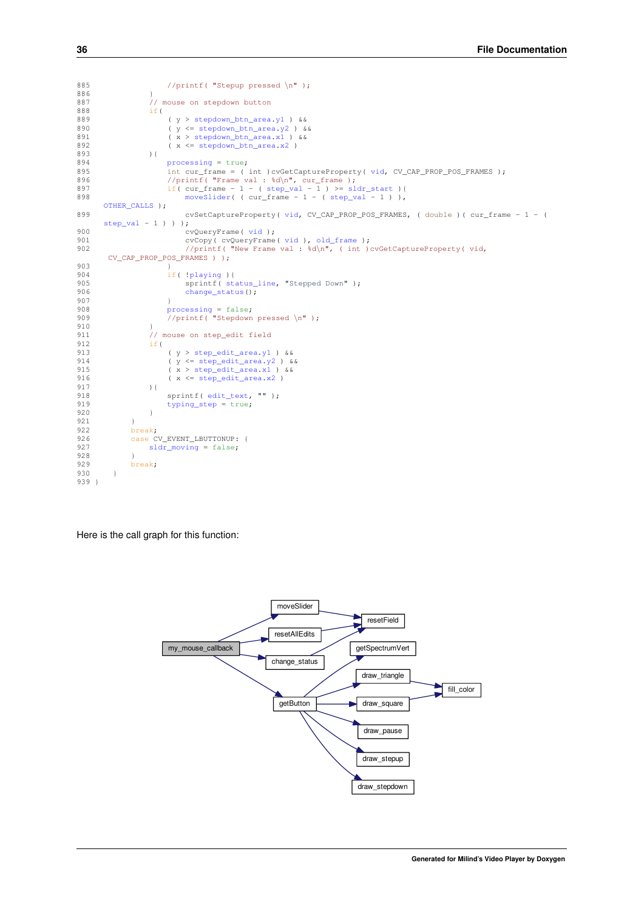```
885 //printf( "Stepup pressed \n" );
886 }<br>887 }
                   // mouse on stepdown button
888 if(
889 ( y >stepdown_btn_area.y1 ) & 890 ( y < = stepdown btn area.y2 ) &
stepdown_btn_area.y2 ) &&<br>891 ( x > stepdown_btn_area.y2 ) &&
891 x1) & 892 (x \leq \text{stepdown\_bm\_area}.x2)892 ( x \lestepdown_btn_area.x2 )<br>893 ) {
                   ) {
894 processing = true;
895 int cur_frame = ( int )cvGetCaptureProperty( vid, CV_CAP_PROP_POS_FRAMES );
896 \frac{\text{sqrt} \cdot \text{sqrt} \cdot \text{sqrt} \cdot \text{sqrt} \cdot \text{sqrt} \cdot \text{sqrt} \cdot \text{sqrt} \cdot \text{sqrt} \cdot \text{sqrt} \cdot \text{sqrt} \cdot \text{sqrt} \cdot \text{sqrt} \cdot \text{sqrt} \cdot \text{sqrt} \cdot \text{sqrt} \cdot \text{sqrt} \cdot \text{sqrt} \cdot \text{sqrt} \cdot \text{sqrt} \cdot \text{sqrt} \cdot \text{sqrt} \cdot \text{sqrt} \cdot \text{sqrt} \cdot \text{sqrt} \cdot \text{sqrt} \cdot \text{sqrt} \cdot \text{sqrt} \cdot \text{sqrt} \cdot \text{sqrt} \cdot \text{sqrt} \cdot \text{sqrt898moveSlider(step_val - 1 ) ),
       OTHER_CALLS );
899 cvSetCaptureProperty( vid, CV_CAP_PROP_POS_FRAMES, ( double )( cur_frame - 1 - (
       step\_val - 1 ) ) ;
900 cvQueryFrame( vid );
901 cvCopy( cvQueryFrame( vid ), old_frame );
902 //printf( "New Frame val : %d\n", ( int )cvGetCaptureProperty( vid,
        CV_CAP_PROP_POS_FRAMES ) );
903 }
904 if( !playing ){
905 sprintf( status_line, "Stepped Down" );
906 change status();
907 }<br>908
908 processing = false;
909 //printf( "Stepdown pressed \n" );
910 }<br>911 /
                   ,<br>// mouse on step_edit field
912 if(
step_edit_area.y1 ) & <br>914 ( y <= step_edit_area.y2 ) &
                        .y2) &&
915 ( x > step_edit_area.x1 ) &&
916 .x2)<br>917 ) {
                   ) {
edit_text,typing_step = true;
920 }
921<br>922
              break;
sldr_moving = false;
928 }<br>929 br
         break;
930 }
939 }
```
Here is the call graph for this function:

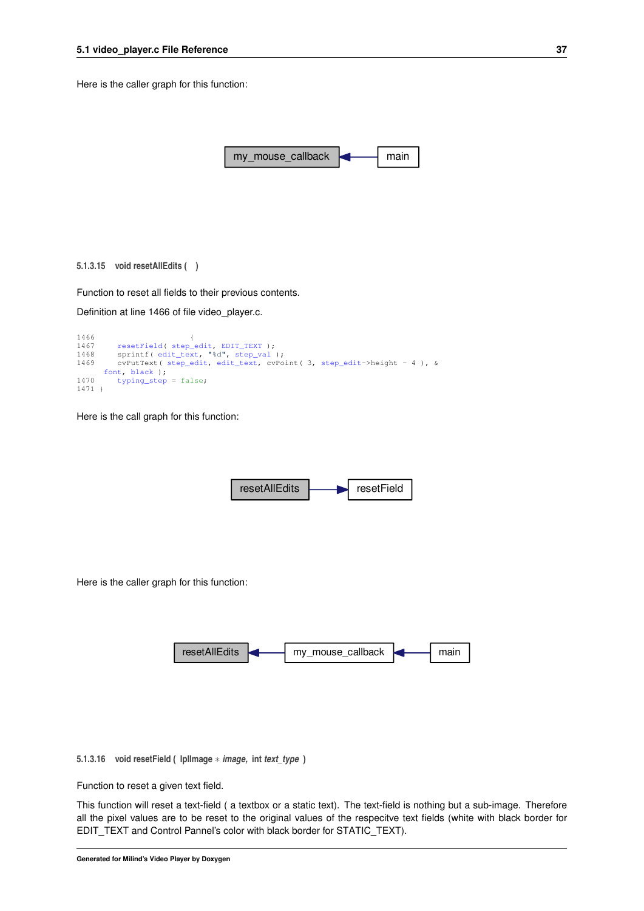<span id="page-42-4"></span>Here is the caller graph for this function:



<span id="page-42-3"></span><span id="page-42-0"></span>Function to reset all fields to their previous contents.

Definition at line 1466 of file video\_player.c.

```
1466 {
1467 resetField( step_edit, EDIT_TEXT );
1468 sprintf( edit_text, "%d", step_val );
1469 cvPutText( step_edit, edit_text, cvPoint( 3, step_edit->height - 4 ), &
      font, black );
typing_step = false;
1471 }
```
Here is the call graph for this function:



Here is the caller graph for this function:



<span id="page-42-2"></span><span id="page-42-1"></span>**5.1.3.16 void resetField ( IplImage** ∗ *image,* **int** *text\_type* **)**

Function to reset a given text field.

This function will reset a text-field ( a textbox or a static text). The text-field is nothing but a sub-image. Therefore all the pixel values are to be reset to the original values of the respecitve text fields (white with black border for EDIT\_TEXT and Control Pannel's color with black border for STATIC\_TEXT).

**Generated for Milind's Video Player by Doxygen**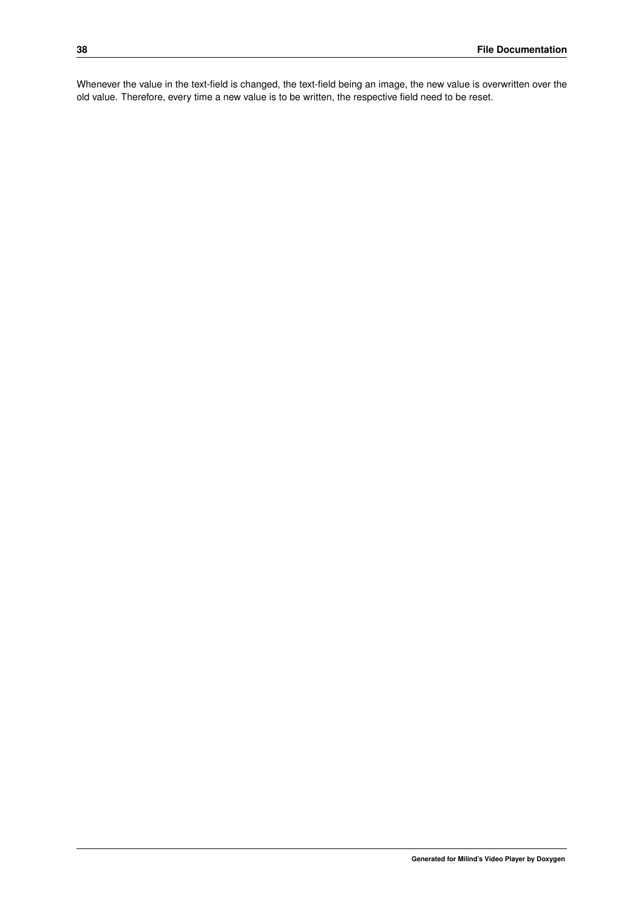Whenever the value in the text-field is changed, the text-field being an image, the new value is overwritten over the old value. Therefore, every time a new value is to be written, the respective field need to be reset.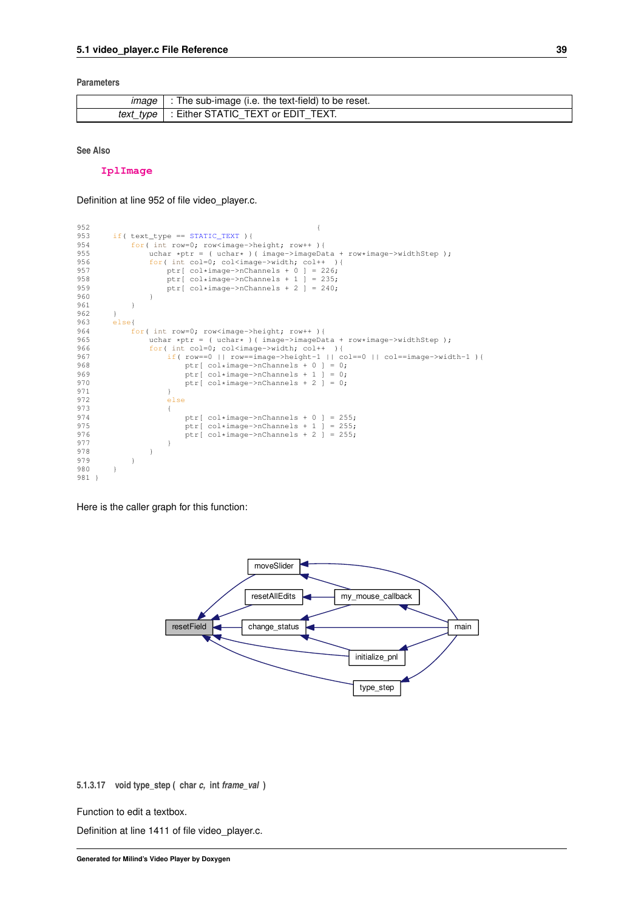#### <span id="page-44-2"></span>**Parameters**

| <i><b>Image</b></i> | The sub-image (i.e. the text-field) to be reset. |
|---------------------|--------------------------------------------------|
| text type           | : Either STATIC TEXT or EDIT<br>TEXT.<br>$-$     |

**See Also**

**[IplImage](http://opencv.willowgarage.com/documentation/c/basic_structures.html#iplimage)**

Definition at line 952 of file video\_player.c.

```
952 {
953 if( text_type = STATE_TEXT ){<br>954 for( int row=0: row<image->
954 for( int row=0; row<image->height; row++ ){<br>955 uchar *ptr = ( uchar* )( image->imageData + row*image->widthStep );
956 for( int col=0; col<image->width; col++ ){<br>957 for extracts perfect of ext{col} integers of ext{col} is the perfect of ext{col} is the perfect of ext{col} is the perfect of ext{col} is the perfect of ext{col} is the perfect of ext{957 ptr[ col*image->nChannels + 0 ] = 226;
958 ptr[ col*image->nChannels + 1 ] = 235;
959 ptr[ col*image->nChannels + 2 ] = 240;
960<br>961 }
961 }
962 }<br>963 e
963 else{<br>964 f
964 for( int row=0; row<image->height; row++ ){<br>965 uchar *ptr = ( uchar* )( image->imageDa
965 uchar *ptr = ( uchar* )( image->imageData + row*image->widthStep );<br>966 for( int col=0: col<image->width: col++ ){
                     for( int col=0; col<image->width; col++ ){
967 if( row==0 || row==image->height-1 || col==0 || col==image->width-1 ){
968 ptr[ col*image->nChannels + 0 ] = 0;
969 ptr[ col*image->nChannels + 1 ] = 0;
970 ptr[ col*image->nChannels + 2 ] = 0;<br>971 }
971<br>972
                          else
973 {
974 ptr[ col*image->nChannels + 0 ] = 255;<br>975 ptr[ col*image->nChannels + 1 ] = 255;
975 ptr[ col*image->nChannels + 1 ] = 255;
976 ptr[ col*image->nChannels + 2 ] = 255;
977 }
978 }
979 }<br>980 }
980 }
981 }
```
Here is the caller graph for this function:



<span id="page-44-1"></span><span id="page-44-0"></span>**5.1.3.17 void type\_step ( char** *c,* **int** *frame\_val* **)**

Function to edit a textbox.

Definition at line 1411 of file video\_player.c.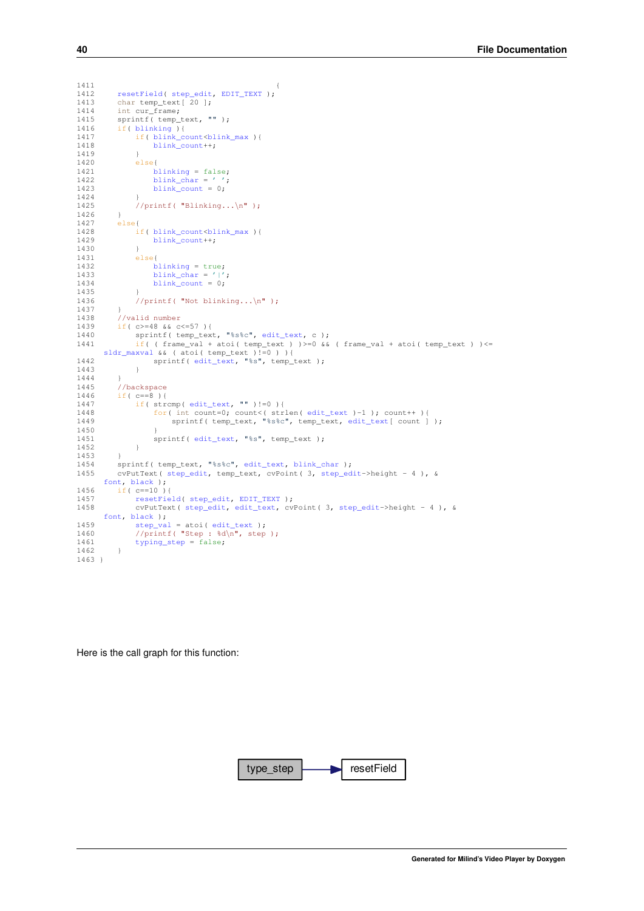```
1411 {
1412 resetField( step_edit, EDIT_TEXT );
1413 char temp_text [ 20 ];
1414 int cur_frame;<br>1415 sprintf( temp t
1415 sprintf( temp_text, "" );<br>1416 if( blinking ) {
1416 blinking){<br>1417 if(blink_c)blink_count<br/>sblink_max){<br>1418 blink count++:
                  blink_count++;
1419 }
1420 else{<br>1421 b
blinking = false;<br>1422 blink char = '':
blink_char = ' ';<br>1423 blink count = 0;
                  blink_count = 0;1424 }
              1/printf( "Blinking...\n\binom{n}{r};
1426 }<br>1427 e
         else{
1428 if( blink_count<blink_max ){
1429 blink_count++;
1430 }<br>1431 }
1431 else{<br>1432 b
                 blinking = true;
1433 blink_char = '|';<br>1434 blink_count = 0;
1435 }<br>1436 /
              1/printf( "Not blinking...\n\frac{n}{n});
1437 }<br>1438 /
         //valid number
1439 if( c>=48 && c<=57 ){<br>1440 sprintf( temp text
              edit_text, c );
1441 if( ( frame_val + atoi( temp_text ) )>=0 && ( frame_val + atoi( temp_text ) )<=
sldr_maxval && ( atoi( temp_text )!=0 ) ){
edit_text, "%s", temp_text );
1443 }
1444 }<br>1445 /
1445 //backspace<br>1446 if ( c==8 ) {
1446 if('c==8'){<br>1447 if('str)edit_text, "" )!=0 ){<br>1448 for( int count=0; count<( str)
edit_textedit_text[ count ] );
1450 }
edit_text, "%s", temp_text);<br>1452 }
1452<br>1453 }
1453 }
edit_text,blink_char );<br>1455 step edit, temp text, cyPoint( 3, step ed
         step_edit,step_edit->height - 4 ), &
      font, black );
1456 if( c==10 ){<br>1457 resetFie
             resetField(step_edit,EDIT_TEXT );
1458 cvPutText( step_edit, edit_text, cvPoint( 3, step_edit->height - 4 ), &
      font, black );
step_valedit_text );<br>1460 //printf( "Step : \sqrt[3]{n}typing_step = false;
1462 }
1463 }
```
Here is the call graph for this function:

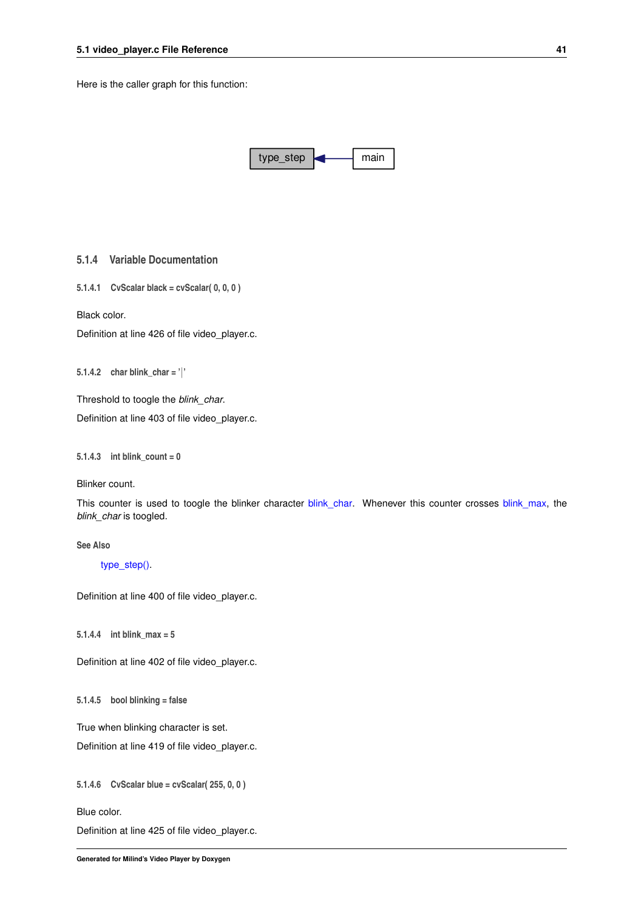<span id="page-46-13"></span>Here is the caller graph for this function:



<span id="page-46-0"></span>**5.1.4 Variable Documentation**

<span id="page-46-1"></span>**5.1.4.1 CvScalar black = cvScalar( 0, 0, 0 )**

Black color.

<span id="page-46-9"></span>Definition at line 426 of file video\_player.c.

<span id="page-46-2"></span>**5.1.4.2 char blink\_char = '**|**'**

Threshold to toogle the *blink\_char*.

<span id="page-46-7"></span>Definition at line 403 of file video\_player.c.

<span id="page-46-3"></span>**5.1.4.3 int blink\_count = 0**

Blinker count.

This counter is used to toogle the blinker character [blink\\_char.](#page-46-9) Whenever this counter crosses [blink\\_max,](#page-46-8) the *blink\_char* is toogled.

**See Also**

[type\\_step\(\).](#page-44-1)

<span id="page-46-8"></span>Definition at line 400 of file video\_player.c.

<span id="page-46-4"></span>**5.1.4.4 int blink\_max = 5**

<span id="page-46-10"></span>Definition at line 402 of file video\_player.c.

<span id="page-46-5"></span>**5.1.4.5 bool blinking = false**

True when blinking character is set.

<span id="page-46-11"></span>Definition at line 419 of file video\_player.c.

<span id="page-46-6"></span>**5.1.4.6 CvScalar blue = cvScalar( 255, 0, 0 )**

Blue color.

<span id="page-46-12"></span>Definition at line 425 of file video\_player.c.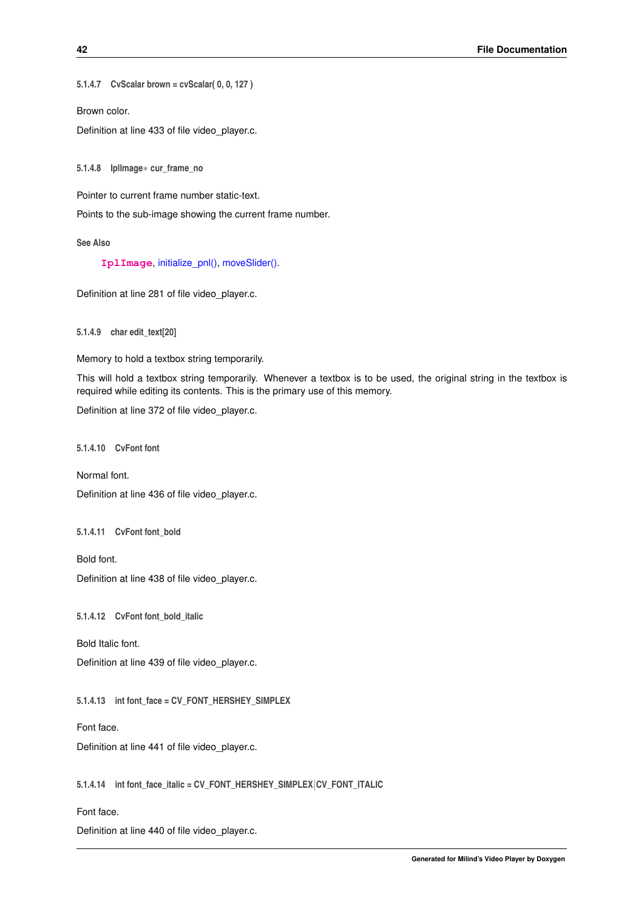<span id="page-47-16"></span><span id="page-47-0"></span>**5.1.4.7 CvScalar brown = cvScalar( 0, 0, 127 )**

Brown color.

<span id="page-47-8"></span>Definition at line 433 of file video\_player.c.

<span id="page-47-1"></span>**5.1.4.8 IplImage**∗ **cur\_frame\_no**

Pointer to current frame number static-text.

Points to the sub-image showing the current frame number.

#### **See Also**

**[IplImage](http://opencv.willowgarage.com/documentation/c/basic_structures.html#IplImage)**, [initialize\\_pnl\(\),](#page-30-1) [moveSlider\(\).](#page-37-1)

<span id="page-47-9"></span>Definition at line 281 of file video\_player.c.

<span id="page-47-2"></span>**5.1.4.9 char edit\_text[20]**

Memory to hold a textbox string temporarily.

This will hold a textbox string temporarily. Whenever a textbox is to be used, the original string in the textbox is required while editing its contents. This is the primary use of this memory.

<span id="page-47-10"></span>Definition at line 372 of file video\_player.c.

<span id="page-47-3"></span>**5.1.4.10 CvFont font**

Normal font.

<span id="page-47-12"></span>Definition at line 436 of file video\_player.c.

<span id="page-47-4"></span>**5.1.4.11 CvFont font\_bold**

Bold font. Definition at line 438 of file video\_player.c.

<span id="page-47-13"></span><span id="page-47-5"></span>**5.1.4.12 CvFont font\_bold\_italic**

Bold Italic font.

<span id="page-47-15"></span>Definition at line 439 of file video\_player.c.

<span id="page-47-6"></span>**5.1.4.13 int font\_face = CV\_FONT\_HERSHEY\_SIMPLEX**

Font face.

<span id="page-47-14"></span>Definition at line 441 of file video\_player.c.

<span id="page-47-7"></span>**5.1.4.14 int font\_face\_italic = CV\_FONT\_HERSHEY\_SIMPLEX**|**CV\_FONT\_ITALIC**

Font face.

<span id="page-47-11"></span>Definition at line 440 of file video\_player.c.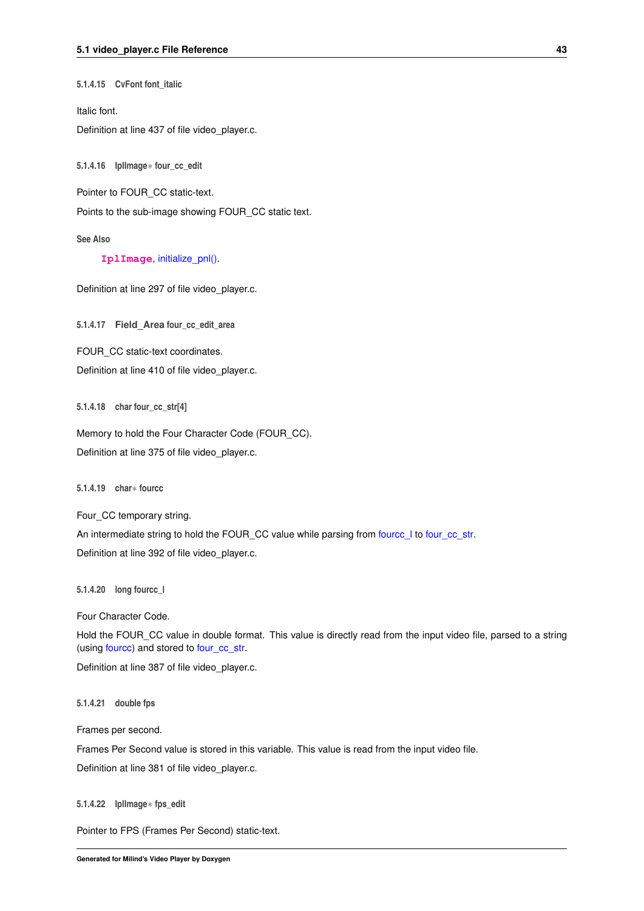<span id="page-48-15"></span><span id="page-48-0"></span>**5.1.4.15 CvFont font\_italic**

Italic font.

<span id="page-48-9"></span>Definition at line 437 of file video player.c.

<span id="page-48-1"></span>**5.1.4.16 IplImage**∗ **four\_cc\_edit**

Pointer to FOUR\_CC static-text.

Points to the sub-image showing FOUR\_CC static text.

**See Also**

**[IplImage](http://opencv.willowgarage.com/documentation/c/basic_structures.html#IplImage)**, [initialize\\_pnl\(\).](#page-30-1)

<span id="page-48-14"></span>Definition at line 297 of file video\_player.c.

<span id="page-48-2"></span>**5.1.4.17 Field\_Area four\_cc\_edit\_area**

FOUR CC static-text coordinates.

<span id="page-48-10"></span>Definition at line 410 of file video\_player.c.

<span id="page-48-3"></span>**5.1.4.18 char four\_cc\_str[4]**

Memory to hold the Four Character Code (FOUR\_CC). Definition at line 375 of file video\_player.c.

<span id="page-48-13"></span><span id="page-48-4"></span>**5.1.4.19 char**∗ **fourcc**

Four CC temporary string.

An intermediate string to hold the FOUR\_CC value while parsing from fource\_l to [four\\_cc\\_str.](#page-48-10) Definition at line 392 of file video\_player.c.

<span id="page-48-12"></span><span id="page-48-5"></span>**5.1.4.20 long fourcc\_l**

Four Character Code.

Hold the FOUR\_CC value in double format. This value is directly read from the input video file, parsed to a string (using [fourcc\)](#page-48-13) and stored to [four\\_cc\\_str.](#page-48-10)

<span id="page-48-11"></span>Definition at line 387 of file video\_player.c.

<span id="page-48-6"></span>**5.1.4.21 double fps**

Frames per second.

Frames Per Second value is stored in this variable. This value is read from the input video file.

<span id="page-48-8"></span>Definition at line 381 of file video\_player.c.

<span id="page-48-7"></span>**5.1.4.22 IplImage**∗ **fps\_edit**

Pointer to FPS (Frames Per Second) static-text.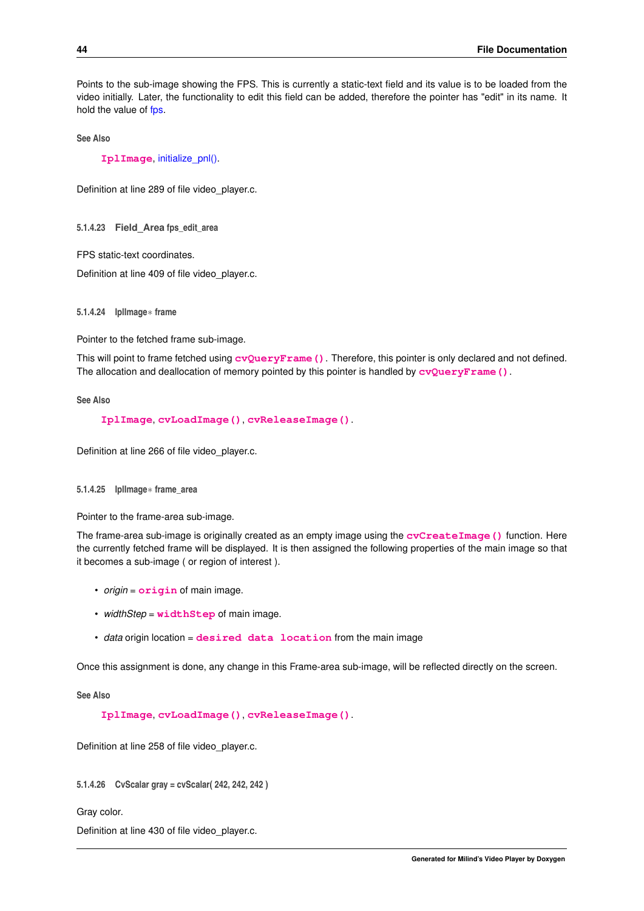<span id="page-49-9"></span>Points to the sub-image showing the FPS. This is currently a static-text field and its value is to be loaded from the video initially. Later, the functionality to edit this field can be added, therefore the pointer has "edit" in its name. It hold the value of [fps.](#page-48-11)

**See Also**

**[IplImage](http://opencv.willowgarage.com/documentation/c/basic_structures.html#IplImage)**, [initialize\\_pnl\(\).](#page-30-1)

<span id="page-49-6"></span>Definition at line 289 of file video\_player.c.

<span id="page-49-0"></span>**5.1.4.23 Field\_Area fps\_edit\_area**

FPS static-text coordinates.

<span id="page-49-5"></span>Definition at line 409 of file video\_player.c.

<span id="page-49-1"></span>**5.1.4.24 IplImage**∗ **frame**

Pointer to the fetched frame sub-image.

This will point to frame fetched using **[cvQueryFrame\(\)](http://opencv.willowgarage.com/documentation/c/reading_and_writing_images_and_video.html?highlight=cvqueryframe#cvQueryFrame)**. Therefore, this pointer is only declared and not defined. The allocation and deallocation of memory pointed by this pointer is handled by  $\mathbf{cvQueryFrame}()$ .

**See Also**

**[IplImage](http://opencv.willowgarage.com/documentation/c/basic_structures.html#IplImage)**, **[cvLoadImage\(\)](http://opencv.willowgarage.com/documentation/c/reading_and_writing_images_and_video.html#loadimage)**, **[cvReleaseImage\(\)](http://opencv.willowgarage.com/documentation/c/operations_on_arrays.html?highlight=releaseimage#cvReleaseImage)**.

<span id="page-49-4"></span>Definition at line 266 of file video\_player.c.

<span id="page-49-2"></span>**5.1.4.25 IplImage**∗ **frame\_area**

Pointer to the frame-area sub-image.

The frame-area sub-image is originally created as an empty image using the **[cvCreateImage\(\)](http://opencv.willowgarage.com/documentation/c/operations_on_arrays.html?highlight=createimage#cvCreateImage)** function. Here the currently fetched frame will be displayed. It is then assigned the following properties of the main image so that it becomes a sub-image ( or region of interest ).

- *origin* = **[origin](http://opencv.willowgarage.com/documentation/c/basic_structures.html?highlight=origin#origin)** of main image.
- *widthStep* = **[widthStep](http://opencv.willowgarage.com/documentation/c/basic_structures.html?highlight=widthstep#widthStep)** of main image.
- *data* origin location = **[desired data location](http://opencv.willowgarage.com/documentation/c/basic_structures.html?highlight=imagedata#imageData)** from the main image

Once this assignment is done, any change in this Frame-area sub-image, will be reflected directly on the screen.

**See Also**

**[IplImage](http://opencv.willowgarage.com/documentation/c/basic_structures.html#IplImage)**, **[cvLoadImage\(\)](http://opencv.willowgarage.com/documentation/c/reading_and_writing_images_and_video.html#loadimage)**, **[cvReleaseImage\(\)](http://opencv.willowgarage.com/documentation/c/operations_on_arrays.html?highlight=releaseimage#cvReleaseImage)**.

<span id="page-49-8"></span>Definition at line 258 of file video\_player.c.

<span id="page-49-3"></span>**5.1.4.26 CvScalar gray = cvScalar( 242, 242, 242 )**

Gray color.

<span id="page-49-7"></span>Definition at line 430 of file video player.c.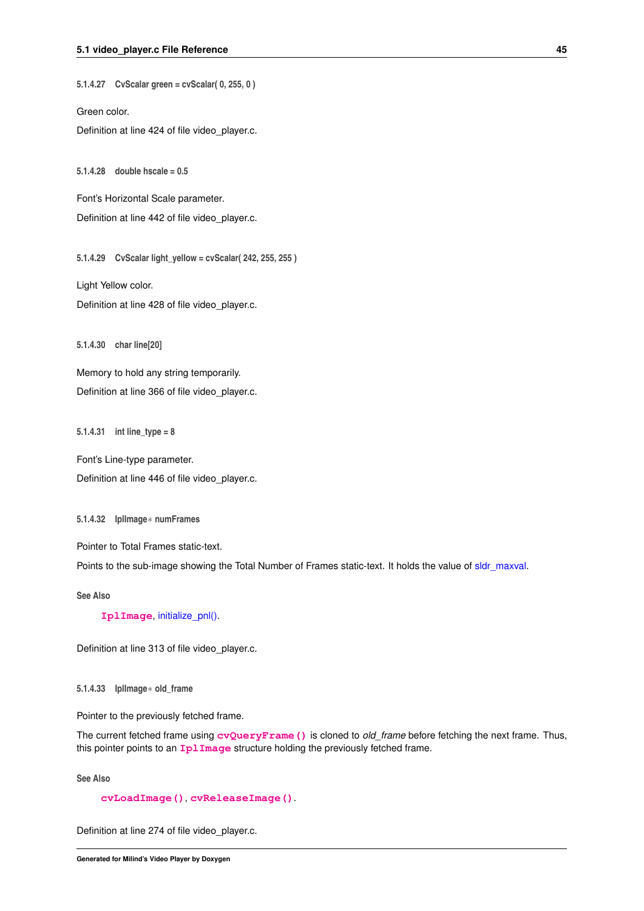<span id="page-50-14"></span><span id="page-50-0"></span>**5.1.4.27 CvScalar green = cvScalar( 0, 255, 0 )**

Green color.

<span id="page-50-12"></span>Definition at line 424 of file video\_player.c.

<span id="page-50-1"></span>**5.1.4.28 double hscale = 0.5**

Font's Horizontal Scale parameter.

<span id="page-50-10"></span>Definition at line 442 of file video\_player.c.

<span id="page-50-2"></span>**5.1.4.29 CvScalar light\_yellow = cvScalar( 242, 255, 255 )**

Light Yellow color.

<span id="page-50-9"></span>Definition at line 428 of file video\_player.c.

<span id="page-50-3"></span>**5.1.4.30 char line[20]**

<span id="page-50-13"></span>Memory to hold any string temporarily. Definition at line 366 of file video\_player.c.

<span id="page-50-4"></span>**5.1.4.31 int line\_type = 8**

<span id="page-50-8"></span>Font's Line-type parameter. Definition at line 446 of file video\_player.c.

<span id="page-50-5"></span>**5.1.4.32 IplImage**∗ **numFrames**

Pointer to Total Frames static-text.

Points to the sub-image showing the Total Number of Frames static-text. It holds the value of [sldr\\_maxval.](#page-53-8)

**See Also**

**[IplImage](http://opencv.willowgarage.com/documentation/c/basic_structures.html#IplImage)**, [initialize\\_pnl\(\).](#page-30-1)

<span id="page-50-7"></span>Definition at line 313 of file video\_player.c.

<span id="page-50-6"></span>**5.1.4.33 IplImage**∗ **old\_frame**

Pointer to the previously fetched frame.

The current fetched frame using **[cvQueryFrame\(\)](http://opencv.willowgarage.com/documentation/c/reading_and_writing_images_and_video.html?highlight=cvqueryframe#cvQueryFrame)** is cloned to *old\_frame* before fetching the next frame. Thus, this pointer points to an **[IplImage](http://opencv.willowgarage.com/documentation/c/basic_structures.html#IplImage)** structure holding the previously fetched frame.

**See Also**

**[cvLoadImage\(\)](http://opencv.willowgarage.com/documentation/c/reading_and_writing_images_and_video.html#loadimage)**, **[cvReleaseImage\(\)](http://opencv.willowgarage.com/documentation/c/operations_on_arrays.html?highlight=releaseimage#cvReleaseImage)**.

<span id="page-50-11"></span>Definition at line 274 of file video\_player.c.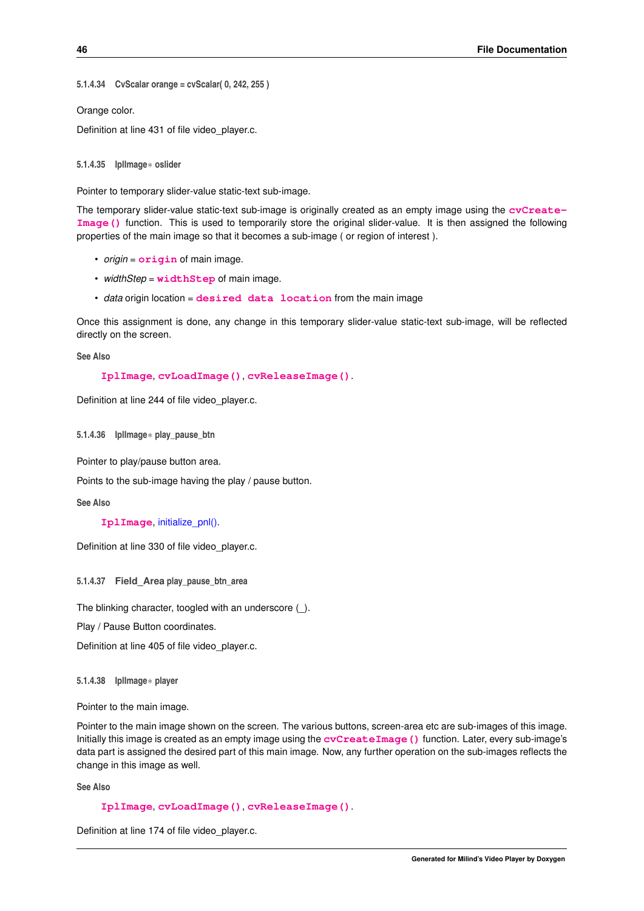```
5.1.4.34 CvScalar orange = cvScalar( 0, 242, 255 )
```
Orange color. Definition at line 431 of file video\_player.c.

<span id="page-51-6"></span><span id="page-51-1"></span>**5.1.4.35 IplImage**∗ **oslider**

Pointer to temporary slider-value static-text sub-image.

The temporary slider-value static-text sub-image is originally created as an empty image using the **[cvCreate-](http://opencv.willowgarage.com/documentation/c/operations_on_arrays.html?highlight=createimage#cvCreateImage)[Image\(\)](http://opencv.willowgarage.com/documentation/c/operations_on_arrays.html?highlight=createimage#cvCreateImage)** function. This is used to temporarily store the original slider-value. It is then assigned the following properties of the main image so that it becomes a sub-image ( or region of interest ).

- *origin* = **[origin](http://opencv.willowgarage.com/documentation/c/basic_structures.html?highlight=origin#origin)** of main image.
- *widthStep* = **[widthStep](http://opencv.willowgarage.com/documentation/c/basic_structures.html?highlight=widthstep#widthStep)** of main image.
- *data* origin location = **[desired data location](http://opencv.willowgarage.com/documentation/c/basic_structures.html?highlight=imagedata#imageData)** from the main image

Once this assignment is done, any change in this temporary slider-value static-text sub-image, will be reflected directly on the screen.

**See Also**

```
IplImage, cvLoadImage(), cvReleaseImage().
```
<span id="page-51-7"></span>Definition at line 244 of file video player.c.

<span id="page-51-2"></span>**5.1.4.36 IplImage**∗ **play\_pause\_btn**

Pointer to play/pause button area.

Points to the sub-image having the play / pause button.

**See Also**

**[IplImage](http://opencv.willowgarage.com/documentation/c/basic_structures.html#IplImage)**, [initialize\\_pnl\(\).](#page-30-1)

<span id="page-51-8"></span>Definition at line 330 of file video\_player.c.

<span id="page-51-3"></span>**5.1.4.37 Field\_Area play\_pause\_btn\_area**

The blinking character, toogled with an underscore ().

Play / Pause Button coordinates.

<span id="page-51-5"></span>Definition at line 405 of file video\_player.c.

<span id="page-51-4"></span>**5.1.4.38 IplImage**∗ **player**

Pointer to the main image.

Pointer to the main image shown on the screen. The various buttons, screen-area etc are sub-images of this image. Initially this image is created as an empty image using the **[cvCreateImage\(\)](http://opencv.willowgarage.com/documentation/c/operations_on_arrays.html?highlight=createimage#cvCreateImage)** function. Later, every sub-image's data part is assigned the desired part of this main image. Now, any further operation on the sub-images reflects the change in this image as well.

**See Also**

```
IplImage, cvLoadImage(), cvReleaseImage().
```
<span id="page-51-9"></span>Definition at line 174 of file video player.c.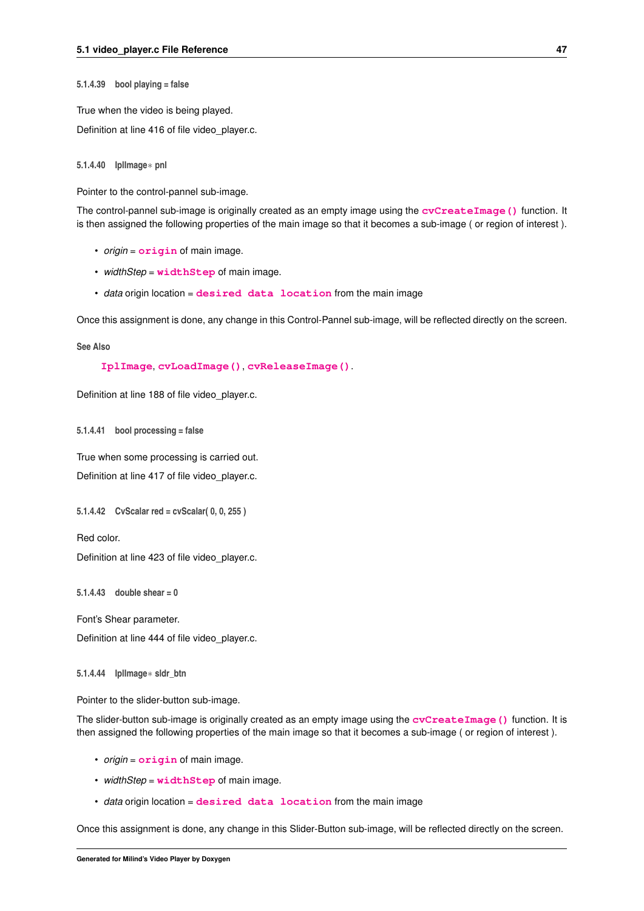<span id="page-52-11"></span><span id="page-52-0"></span>**5.1.4.39 bool playing = false**

True when the video is being played.

<span id="page-52-6"></span>Definition at line 416 of file video player.c.

<span id="page-52-1"></span>**5.1.4.40 IplImage**∗ **pnl**

Pointer to the control-pannel sub-image.

The control-pannel sub-image is originally created as an empty image using the **[cvCreateImage\(\)](http://opencv.willowgarage.com/documentation/c/operations_on_arrays.html?highlight=createimage#cvCreateImage)** function. It is then assigned the following properties of the main image so that it becomes a sub-image ( or region of interest ).

- *origin* = **[origin](http://opencv.willowgarage.com/documentation/c/basic_structures.html?highlight=origin#origin)** of main image.
- *widthStep* = **[widthStep](http://opencv.willowgarage.com/documentation/c/basic_structures.html?highlight=widthstep#widthStep)** of main image.
- *data* origin location = **[desired data location](http://opencv.willowgarage.com/documentation/c/basic_structures.html?highlight=imagedata#imageData)** from the main image

Once this assignment is done, any change in this Control-Pannel sub-image, will be reflected directly on the screen.

**See Also**

**[IplImage](http://opencv.willowgarage.com/documentation/c/basic_structures.html#IplImage)**, **[cvLoadImage\(\)](http://opencv.willowgarage.com/documentation/c/reading_and_writing_images_and_video.html#loadimage)**, **[cvReleaseImage\(\)](http://opencv.willowgarage.com/documentation/c/operations_on_arrays.html?highlight=releaseimage#cvReleaseImage)**.

<span id="page-52-8"></span>Definition at line 188 of file video\_player.c.

<span id="page-52-2"></span>**5.1.4.41 bool processing = false**

True when some processing is carried out.

<span id="page-52-9"></span>Definition at line 417 of file video\_player.c.

<span id="page-52-3"></span>**5.1.4.42 CvScalar red = cvScalar( 0, 0, 255 )**

Red color.

<span id="page-52-10"></span>Definition at line 423 of file video\_player.c.

<span id="page-52-4"></span>**5.1.4.43 double shear = 0**

Font's Shear parameter.

<span id="page-52-7"></span>Definition at line 444 of file video player.c.

<span id="page-52-5"></span>**5.1.4.44 IplImage**∗ **sldr\_btn**

Pointer to the slider-button sub-image.

The slider-button sub-image is originally created as an empty image using the **[cvCreateImage\(\)](http://opencv.willowgarage.com/documentation/c/operations_on_arrays.html?highlight=createimage#cvCreateImage)** function. It is then assigned the following properties of the main image so that it becomes a sub-image ( or region of interest ).

- *origin* = **[origin](http://opencv.willowgarage.com/documentation/c/basic_structures.html?highlight=origin#origin)** of main image.
- *widthStep* = **[widthStep](http://opencv.willowgarage.com/documentation/c/basic_structures.html?highlight=widthstep#widthStep)** of main image.
- *data* origin location = **[desired data location](http://opencv.willowgarage.com/documentation/c/basic_structures.html?highlight=imagedata#imageData)** from the main image

Once this assignment is done, any change in this Slider-Button sub-image, will be reflected directly on the screen.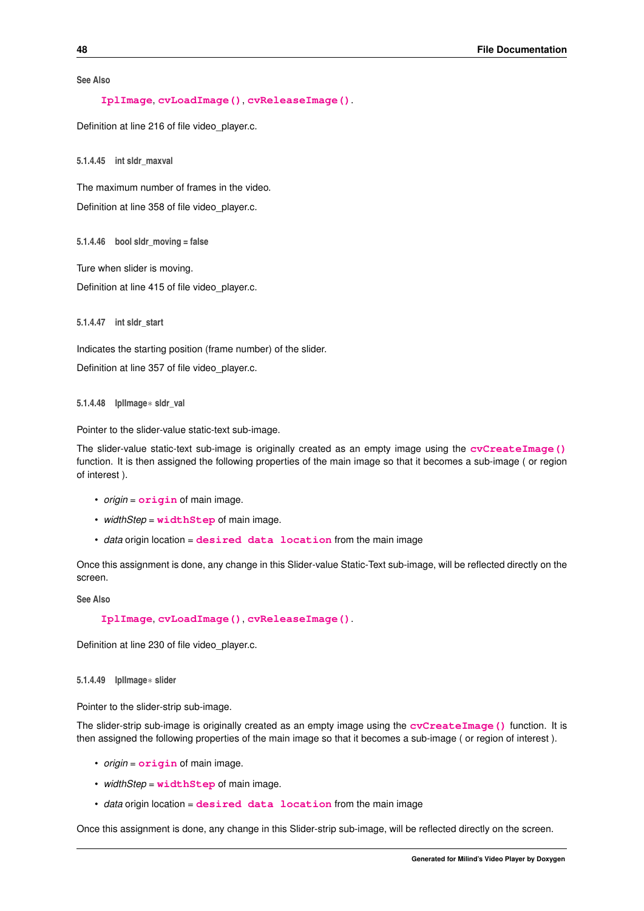<span id="page-53-10"></span>**See Also**

**[IplImage](http://opencv.willowgarage.com/documentation/c/basic_structures.html#IplImage)**, **[cvLoadImage\(\)](http://opencv.willowgarage.com/documentation/c/reading_and_writing_images_and_video.html#loadimage)**, **[cvReleaseImage\(\)](http://opencv.willowgarage.com/documentation/c/operations_on_arrays.html?highlight=releaseimage#cvReleaseImage)**.

<span id="page-53-8"></span>Definition at line 216 of file video\_player.c.

<span id="page-53-0"></span>**5.1.4.45 int sldr\_maxval**

The maximum number of frames in the video. Definition at line 358 of file video\_player.c.

<span id="page-53-9"></span><span id="page-53-1"></span>**5.1.4.46 bool sldr\_moving = false**

Ture when slider is moving.

<span id="page-53-7"></span>Definition at line 415 of file video\_player.c.

<span id="page-53-2"></span>**5.1.4.47 int sldr\_start**

Indicates the starting position (frame number) of the slider.

<span id="page-53-6"></span>Definition at line 357 of file video\_player.c.

<span id="page-53-3"></span>**5.1.4.48 IplImage**∗ **sldr\_val**

Pointer to the slider-value static-text sub-image.

The slider-value static-text sub-image is originally created as an empty image using the **[cvCreateImage\(\)](http://opencv.willowgarage.com/documentation/c/operations_on_arrays.html?highlight=createimage#cvCreateImage)** function. It is then assigned the following properties of the main image so that it becomes a sub-image ( or region of interest ).

- *origin* = **[origin](http://opencv.willowgarage.com/documentation/c/basic_structures.html?highlight=origin#origin)** of main image.
- *widthStep* = **[widthStep](http://opencv.willowgarage.com/documentation/c/basic_structures.html?highlight=widthstep#widthStep)** of main image.
- *data* origin location = **[desired data location](http://opencv.willowgarage.com/documentation/c/basic_structures.html?highlight=imagedata#imageData)** from the main image

Once this assignment is done, any change in this Slider-value Static-Text sub-image, will be reflected directly on the screen.

**See Also**

**[IplImage](http://opencv.willowgarage.com/documentation/c/basic_structures.html#IplImage)**, **[cvLoadImage\(\)](http://opencv.willowgarage.com/documentation/c/reading_and_writing_images_and_video.html#loadimage)**, **[cvReleaseImage\(\)](http://opencv.willowgarage.com/documentation/c/operations_on_arrays.html?highlight=releaseimage#cvReleaseImage)**.

<span id="page-53-5"></span>Definition at line 230 of file video\_player.c.

<span id="page-53-4"></span>**5.1.4.49 IplImage**∗ **slider**

Pointer to the slider-strip sub-image.

The slider-strip sub-image is originally created as an empty image using the **[cvCreateImage\(\)](http://opencv.willowgarage.com/documentation/c/operations_on_arrays.html?highlight=createimage#cvCreateImage)** function. It is then assigned the following properties of the main image so that it becomes a sub-image ( or region of interest ).

- *origin* = **[origin](http://opencv.willowgarage.com/documentation/c/basic_structures.html?highlight=origin#origin)** of main image.
- *widthStep* = **[widthStep](http://opencv.willowgarage.com/documentation/c/basic_structures.html?highlight=widthstep#widthStep)** of main image.
- *data* origin location = **[desired data location](http://opencv.willowgarage.com/documentation/c/basic_structures.html?highlight=imagedata#imageData)** from the main image

Once this assignment is done, any change in this Slider-strip sub-image, will be reflected directly on the screen.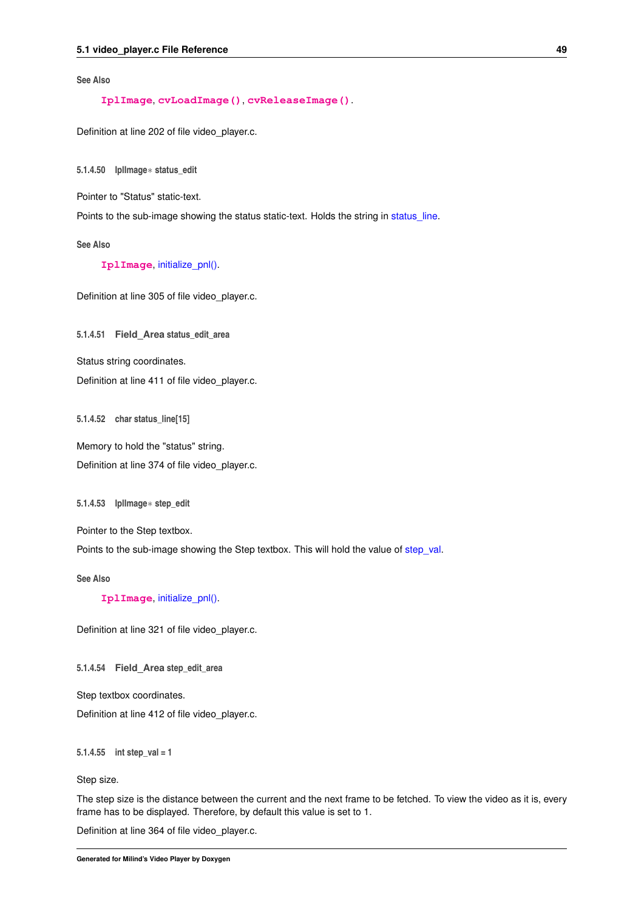<span id="page-54-13"></span>**See Also**

**[IplImage](http://opencv.willowgarage.com/documentation/c/basic_structures.html#IplImage)**, **[cvLoadImage\(\)](http://opencv.willowgarage.com/documentation/c/reading_and_writing_images_and_video.html#loadimage)**, **[cvReleaseImage\(\)](http://opencv.willowgarage.com/documentation/c/operations_on_arrays.html?highlight=releaseimage#cvReleaseImage)**.

<span id="page-54-6"></span>Definition at line 202 of file video\_player.c.

<span id="page-54-0"></span>**5.1.4.50 IplImage**∗ **status\_edit**

Pointer to "Status" static-text.

Points to the sub-image showing the status static-text. Holds the string in status line.

**See Also**

**[IplImage](http://opencv.willowgarage.com/documentation/c/basic_structures.html#IplImage)**, [initialize\\_pnl\(\).](#page-30-1)

<span id="page-54-11"></span>Definition at line 305 of file video\_player.c.

<span id="page-54-1"></span>**5.1.4.51 Field\_Area status\_edit\_area**

Status string coordinates.

<span id="page-54-10"></span>Definition at line 411 of file video\_player.c.

<span id="page-54-2"></span>**5.1.4.52 char status\_line[15]**

Memory to hold the "status" string. Definition at line 374 of file video\_player.c.

<span id="page-54-7"></span><span id="page-54-3"></span>**5.1.4.53 IplImage**∗ **step\_edit**

Pointer to the Step textbox.

Points to the sub-image showing the Step textbox. This will hold the value of [step\\_val.](#page-54-9)

**See Also**

**[IplImage](http://opencv.willowgarage.com/documentation/c/basic_structures.html#IplImage)**, [initialize\\_pnl\(\).](#page-30-1)

<span id="page-54-12"></span>Definition at line 321 of file video\_player.c.

<span id="page-54-4"></span>**5.1.4.54 Field\_Area step\_edit\_area**

Step textbox coordinates.

<span id="page-54-9"></span>Definition at line 412 of file video\_player.c.

<span id="page-54-5"></span>**5.1.4.55 int step\_val = 1**

Step size.

The step size is the distance between the current and the next frame to be fetched. To view the video as it is, every frame has to be displayed. Therefore, by default this value is set to 1.

<span id="page-54-8"></span>Definition at line 364 of file video\_player.c.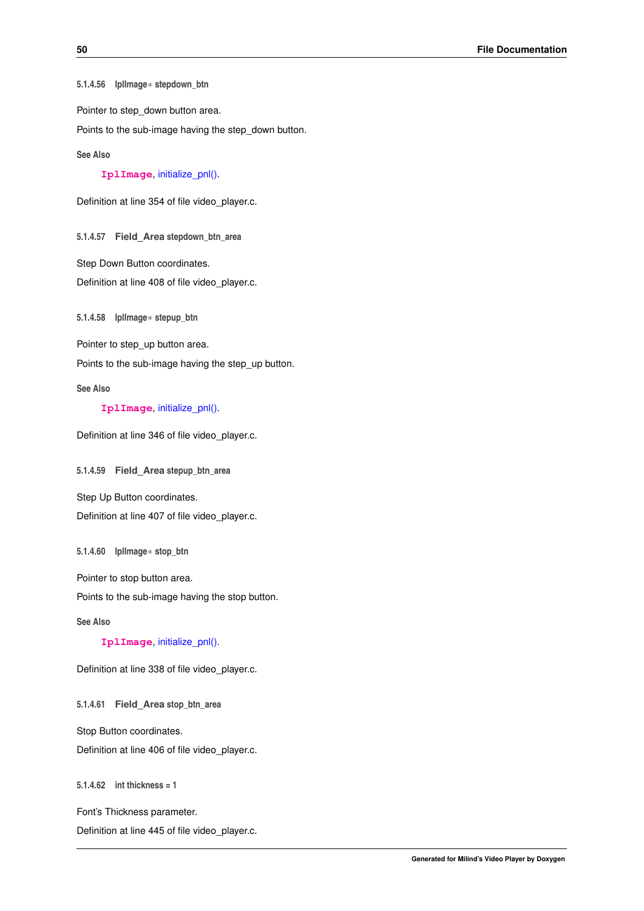<span id="page-55-14"></span><span id="page-55-0"></span>**5.1.4.56 IplImage**∗ **stepdown\_btn**

Pointer to step\_down button area.

Points to the sub-image having the step down button.

**See Also**

**[IplImage](http://opencv.willowgarage.com/documentation/c/basic_structures.html#IplImage)**, [initialize\\_pnl\(\).](#page-30-1)

<span id="page-55-11"></span>Definition at line 354 of file video\_player.c.

<span id="page-55-1"></span>**5.1.4.57 Field\_Area stepdown\_btn\_area**

Step Down Button coordinates.

<span id="page-55-8"></span>Definition at line 408 of file video\_player.c.

<span id="page-55-2"></span>**5.1.4.58 IplImage**∗ **stepup\_btn**

Pointer to step\_up button area.

Points to the sub-image having the step up button.

**See Also**

**[IplImage](http://opencv.willowgarage.com/documentation/c/basic_structures.html#IplImage)**, [initialize\\_pnl\(\).](#page-30-1)

<span id="page-55-10"></span>Definition at line 346 of file video\_player.c.

<span id="page-55-3"></span>**5.1.4.59 Field\_Area stepup\_btn\_area**

Step Up Button coordinates.

<span id="page-55-7"></span>Definition at line 407 of file video\_player.c.

<span id="page-55-4"></span>**5.1.4.60 IplImage**∗ **stop\_btn**

Pointer to stop button area.

Points to the sub-image having the stop button.

**See Also**

**[IplImage](http://opencv.willowgarage.com/documentation/c/basic_structures.html#IplImage)**, [initialize\\_pnl\(\).](#page-30-1)

<span id="page-55-9"></span>Definition at line 338 of file video\_player.c.

<span id="page-55-5"></span>**5.1.4.61 Field\_Area stop\_btn\_area**

Stop Button coordinates.

<span id="page-55-13"></span>Definition at line 406 of file video\_player.c.

<span id="page-55-6"></span>**5.1.4.62 int thickness = 1**

Font's Thickness parameter.

<span id="page-55-12"></span>Definition at line 445 of file video\_player.c.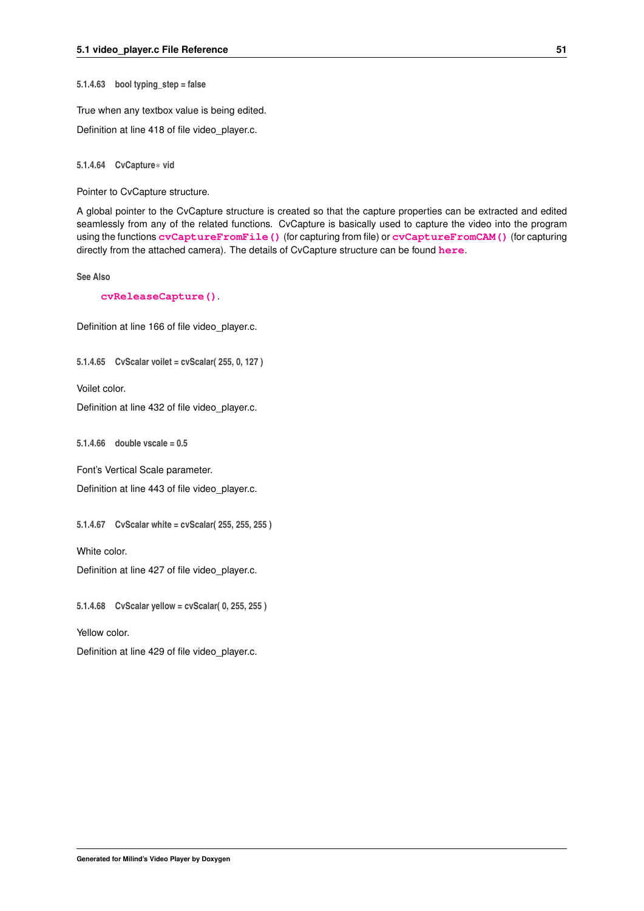<span id="page-56-11"></span><span id="page-56-0"></span>**5.1.4.63 bool typing\_step = false**

True when any textbox value is being edited.

<span id="page-56-6"></span>Definition at line 418 of file video\_player.c.

<span id="page-56-1"></span>**5.1.4.64 CvCapture**∗ **vid**

Pointer to CvCapture structure.

A global pointer to the CvCapture structure is created so that the capture properties can be extracted and edited seamlessly from any of the related functions. CvCapture is basically used to capture the video into the program using the functions **[cvCaptureFromFile\(\)](http://opencv.willowgarage.com/documentation/c/reading_and_writing_images_and_video.html#capturefromfile)** (for capturing from file) or **[cvCaptureFromCAM\(\)](http://opencv.willowgarage.com/documentation/c/reading_and_writing_images_and_video.html#capturefromcam)** (for capturing directly from the attached camera). The details of CvCapture structure can be found **[here](http://opencv.willowgarage.com/documentation/c/reading_and_writing_images_and_video.html#cvcapture)**.

**See Also**

**[cvReleaseCapture\(\)](http://opencv.willowgarage.com/documentation/c/reading_and_writing_images_and_video.html#releasecapture)**.

<span id="page-56-9"></span>Definition at line 166 of file video\_player.c.

<span id="page-56-2"></span>**5.1.4.65 CvScalar voilet = cvScalar( 255, 0, 127 )**

Voilet color.

<span id="page-56-10"></span>Definition at line 432 of file video\_player.c.

<span id="page-56-3"></span>**5.1.4.66 double vscale = 0.5**

Font's Vertical Scale parameter.

<span id="page-56-7"></span>Definition at line 443 of file video\_player.c.

<span id="page-56-4"></span>**5.1.4.67 CvScalar white = cvScalar( 255, 255, 255 )**

White color.

<span id="page-56-8"></span>Definition at line 427 of file video\_player.c.

<span id="page-56-5"></span>**5.1.4.68 CvScalar yellow = cvScalar( 0, 255, 255 )**

Yellow color.

Definition at line 429 of file video\_player.c.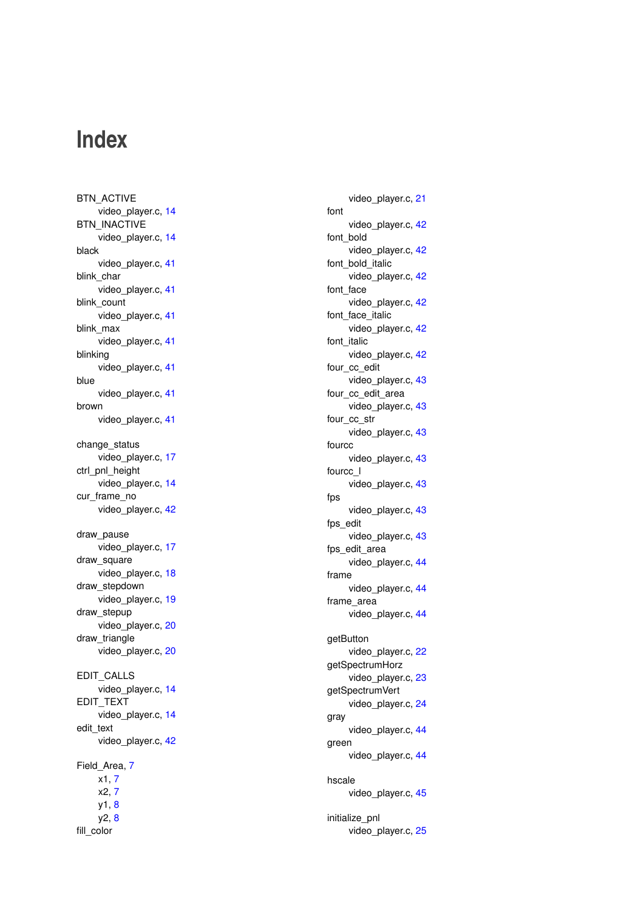## **Index**

<span id="page-57-0"></span>BTN\_ACTIVE video\_player.c, [14](#page-19-13) BTN\_INACTIVE video\_player.c, [14](#page-19-13) black video player.c, [41](#page-46-13) blink\_char video\_player.c, [41](#page-46-13) blink\_count video player.c, [41](#page-46-13) blink\_max video player.c, [41](#page-46-13) blinking video player.c, [41](#page-46-13) blue video\_player.c, [41](#page-46-13) brown video\_player.c, [41](#page-46-13) change\_status video\_player.c, [17](#page-22-4) ctrl\_pnl\_height video player.c, [14](#page-19-13) cur\_frame\_no video player.c, [42](#page-47-16) draw\_pause video\_player.c, [17](#page-22-4) draw\_square video\_player.c, [18](#page-23-2) draw\_stepdown video player.c, [19](#page-24-2) draw stepup video player.c, [20](#page-25-4) draw triangle video\_player.c, [20](#page-25-4) EDIT\_CALLS video\_player.c, [14](#page-19-13) EDIT\_TEXT video\_player.c, [14](#page-19-13) edit\_text video\_player.c, [42](#page-47-16) Field\_Area, [7](#page-12-7) x1, [7](#page-12-7) x2, [7](#page-12-7) y1, [8](#page-13-4) y2, [8](#page-13-4) fill\_color

video player.c, [21](#page-26-2) font video\_player.c, [42](#page-47-16) font\_bold video\_player.c, [42](#page-47-16) font bold italic video player.c, [42](#page-47-16) font\_face video player.c, [42](#page-47-16) font face italic video\_player.c, [42](#page-47-16) font italic video player.c, [42](#page-47-16) four cc\_edit video\_player.c, [43](#page-48-15) four\_cc\_edit\_area video\_player.c, [43](#page-48-15) four\_cc\_str video player.c, [43](#page-48-15) fourcc video player.c, [43](#page-48-15) fourcc\_l video\_player.c, [43](#page-48-15) fps video player.c, [43](#page-48-15) fps\_edit video\_player.c, [43](#page-48-15) fps\_edit\_area video\_player.c, [44](#page-49-9) frame video player.c, [44](#page-49-9) frame\_area video\_player.c, [44](#page-49-9) getButton video\_player.c, [22](#page-27-2) getSpectrumHorz video\_player.c, [23](#page-28-2) getSpectrumVert video\_player.c, [24](#page-29-2) gray video\_player.c, [44](#page-49-9) green video\_player.c, [44](#page-49-9) hscale video\_player.c, [45](#page-50-14) initialize\_pnl video\_player.c, [25](#page-30-2)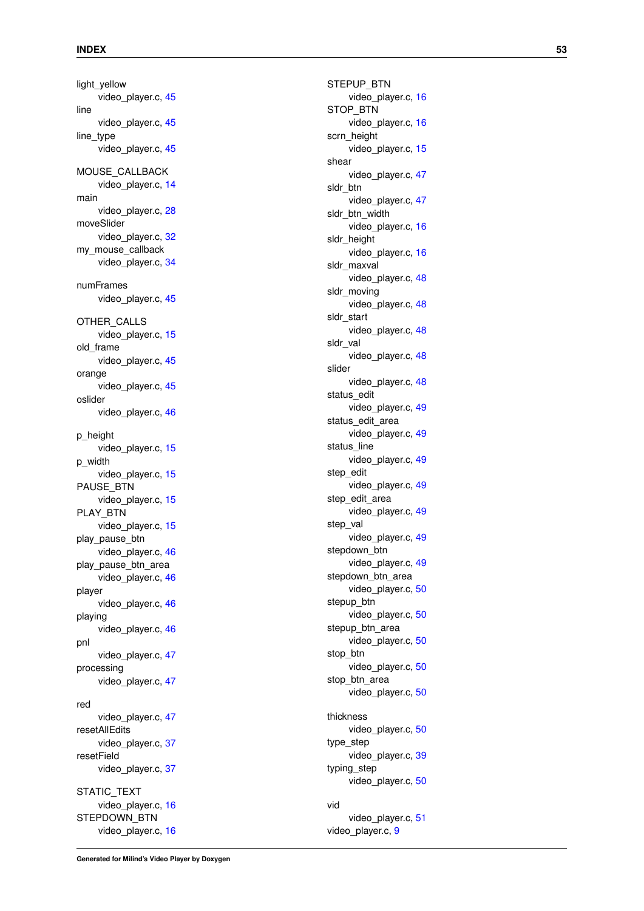light\_yellow video player.c, [45](#page-50-14) line video\_player.c, [45](#page-50-14) line\_type video\_player.c, [45](#page-50-14) MOUSE\_CALLBACK video player.c, [14](#page-19-13) main video\_player.c, [28](#page-33-2) moveSlider video player.c, [32](#page-37-2) my\_mouse\_callback video\_player.c, [34](#page-39-2) numFrames video\_player.c, [45](#page-50-14) OTHER\_CALLS video\_player.c, [15](#page-20-11) old\_frame video\_player.c, [45](#page-50-14) orange video player.c, [45](#page-50-14) oslider video player.c, [46](#page-51-10) p\_height video player.c, [15](#page-20-11) p\_width video\_player.c, [15](#page-20-11) PAUSE\_BTN video\_player.c, [15](#page-20-11) PLAY\_BTN video player.c, [15](#page-20-11) play\_pause\_btn video player.c, [46](#page-51-10) play pause btn area video player.c, [46](#page-51-10) player video player.c, [46](#page-51-10) playing video\_player.c, [46](#page-51-10) pnl video player.c, [47](#page-52-11) processing video player.c, [47](#page-52-11) red video\_player.c, [47](#page-52-11) resetAllEdits video\_player.c, [37](#page-42-4) resetField video\_player.c, [37](#page-42-4) STATIC TEXT video\_player.c, [16](#page-21-13) STEPDOWN\_BTN video\_player.c, [16](#page-21-13)

STEPUP\_BTN video player.c, [16](#page-21-13) STOP\_BTN video\_player.c, [16](#page-21-13) scrn\_height video\_player.c, [15](#page-20-11) shear video\_player.c, [47](#page-52-11) sldr\_btn video player.c, [47](#page-52-11) sldr\_btn\_width video\_player.c, [16](#page-21-13) sldr\_height video\_player.c, [16](#page-21-13) sldr\_maxval video\_player.c, [48](#page-53-10) sldr\_moving video player.c, [48](#page-53-10) sldr\_start video\_player.c, [48](#page-53-10) sldr\_val video\_player.c, [48](#page-53-10) slider video player.c, [48](#page-53-10) status edit video\_player.c, [49](#page-54-13) status\_edit\_area video player.c, [49](#page-54-13) status line video\_player.c, [49](#page-54-13) step\_edit video\_player.c, [49](#page-54-13) step edit area video\_player.c, [49](#page-54-13) step val video player.c, [49](#page-54-13) stepdown\_btn video player.c, [49](#page-54-13) stepdown btn area video player.c, [50](#page-55-14) stepup btn video\_player.c, [50](#page-55-14) stepup\_btn\_area video player.c, [50](#page-55-14) stop\_btn video\_player.c, [50](#page-55-14) stop btn area video player.c, [50](#page-55-14) thickness video player.c, [50](#page-55-14) type\_step video player.c, [39](#page-44-2) typing\_step video\_player.c, [50](#page-55-14) vid video\_player.c, [51](#page-56-11) video\_player.c, [9](#page-14-2)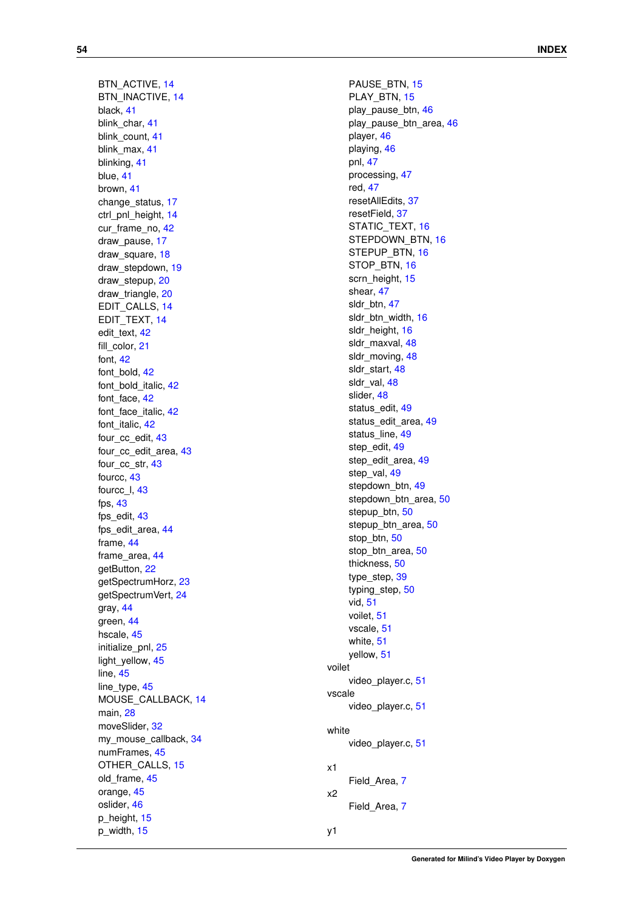x1

y1